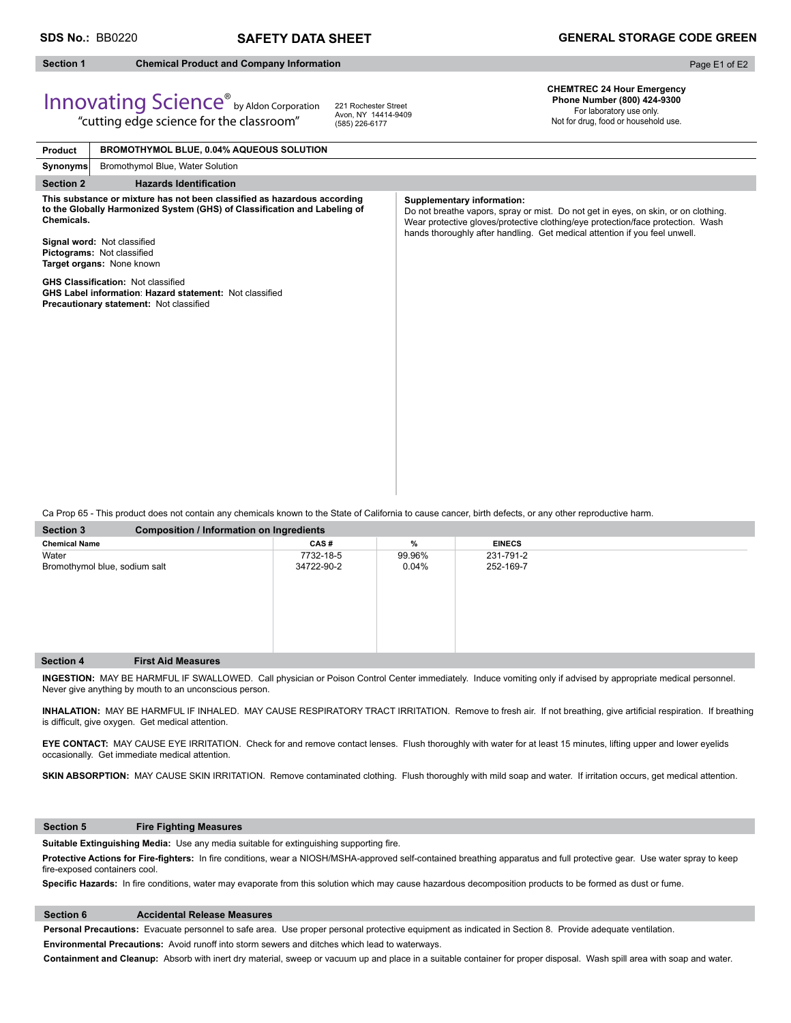# **Section 1 Chemical Product and Company Information**

Page E1 of E2

# Innovating Science® by Aldon Corporation "cutting edge science for the classroom"

221 Rochester Street Avon, NY 14414-9409 (585) 226-6177

**CHEMTREC 24 Hour Emergency Phone Number (800) 424-9300** 

For laboratory use only. Not for drug, food or household use.

| Product                                                                                                                                                                                                                                                       | BROMOTHYMOL BLUE, 0.04% AQUEOUS SOLUTION                                                                                                               |                                                                                                                                                                                                                                                                                          |
|---------------------------------------------------------------------------------------------------------------------------------------------------------------------------------------------------------------------------------------------------------------|--------------------------------------------------------------------------------------------------------------------------------------------------------|------------------------------------------------------------------------------------------------------------------------------------------------------------------------------------------------------------------------------------------------------------------------------------------|
| <b>Synonyms</b>                                                                                                                                                                                                                                               | Bromothymol Blue, Water Solution                                                                                                                       |                                                                                                                                                                                                                                                                                          |
| <b>Section 2</b>                                                                                                                                                                                                                                              | <b>Hazards Identification</b>                                                                                                                          |                                                                                                                                                                                                                                                                                          |
| This substance or mixture has not been classified as hazardous according<br>to the Globally Harmonized System (GHS) of Classification and Labeling of<br>Chemicals.<br>Signal word: Not classified<br>Pictograms: Not classified<br>Target organs: None known |                                                                                                                                                        | <b>Supplementary information:</b><br>Do not breathe vapors, spray or mist. Do not get in eyes, on skin, or on clothing.<br>Wear protective gloves/protective clothing/eye protection/face protection. Wash<br>hands thoroughly after handling. Get medical attention if you feel unwell. |
|                                                                                                                                                                                                                                                               | <b>GHS Classification: Not classified</b><br><b>GHS Label information: Hazard statement: Not classified</b><br>Precautionary statement: Not classified |                                                                                                                                                                                                                                                                                          |

Ca Prop 65 - This product does not contain any chemicals known to the State of California to cause cancer, birth defects, or any other reproductive harm.

| <b>Section 3</b><br><b>Composition / Information on Ingredients</b> |            |        |               |  |  |
|---------------------------------------------------------------------|------------|--------|---------------|--|--|
| <b>Chemical Name</b>                                                | CAS#       | %      | <b>EINECS</b> |  |  |
| Water                                                               | 7732-18-5  | 99.96% | 231-791-2     |  |  |
| Bromothymol blue, sodium salt                                       | 34722-90-2 | 0.04%  | 252-169-7     |  |  |
|                                                                     |            |        |               |  |  |
|                                                                     |            |        |               |  |  |
|                                                                     |            |        |               |  |  |
|                                                                     |            |        |               |  |  |
|                                                                     |            |        |               |  |  |
|                                                                     |            |        |               |  |  |
| <b>Section 4</b><br><b>First Aid Measures</b>                       |            |        |               |  |  |
|                                                                     |            |        |               |  |  |

**INGESTION:** MAY BE HARMFUL IF SWALLOWED. Call physician or Poison Control Center immediately. Induce vomiting only if advised by appropriate medical personnel. Never give anything by mouth to an unconscious person.

INHALATION: MAY BE HARMFUL IF INHALED. MAY CAUSE RESPIRATORY TRACT IRRITATION. Remove to fresh air. If not breathing, give artificial respiration. If breathing is difficult, give oxygen. Get medical attention.

**EYE CONTACT:** MAY CAUSE EYE IRRITATION. Check for and remove contact lenses. Flush thoroughly with water for at least 15 minutes, lifting upper and lower eyelids occasionally. Get immediate medical attention.

SKIN ABSORPTION: MAY CAUSE SKIN IRRITATION. Remove contaminated clothing. Flush thoroughly with mild soap and water. If irritation occurs, get medical attention.

# **Section 5 Fire Fighting Measures**

Suitable Extinguishing Media: Use any media suitable for extinguishing supporting fire.

Protective Actions for Fire-fighters: In fire conditions, wear a NIOSH/MSHA-approved self-contained breathing apparatus and full protective gear. Use water spray to keep fire-exposed containers cool.

Specific Hazards: In fire conditions, water may evaporate from this solution which may cause hazardous decomposition products to be formed as dust or fume.

# **Section 6 Accidental Release Measures**

**Personal Precautions:** Evacuate personnel to safe area. Use proper personal protective equipment as indicated in Section 8. Provide adequate ventilation. **Environmental Precautions:** Avoid runoff into storm sewers and ditches which lead to waterways.

**Containment and Cleanup:** Absorb with inert dry material, sweep or vacuum up and place in a suitable container for proper disposal. Wash spill area with soap and water.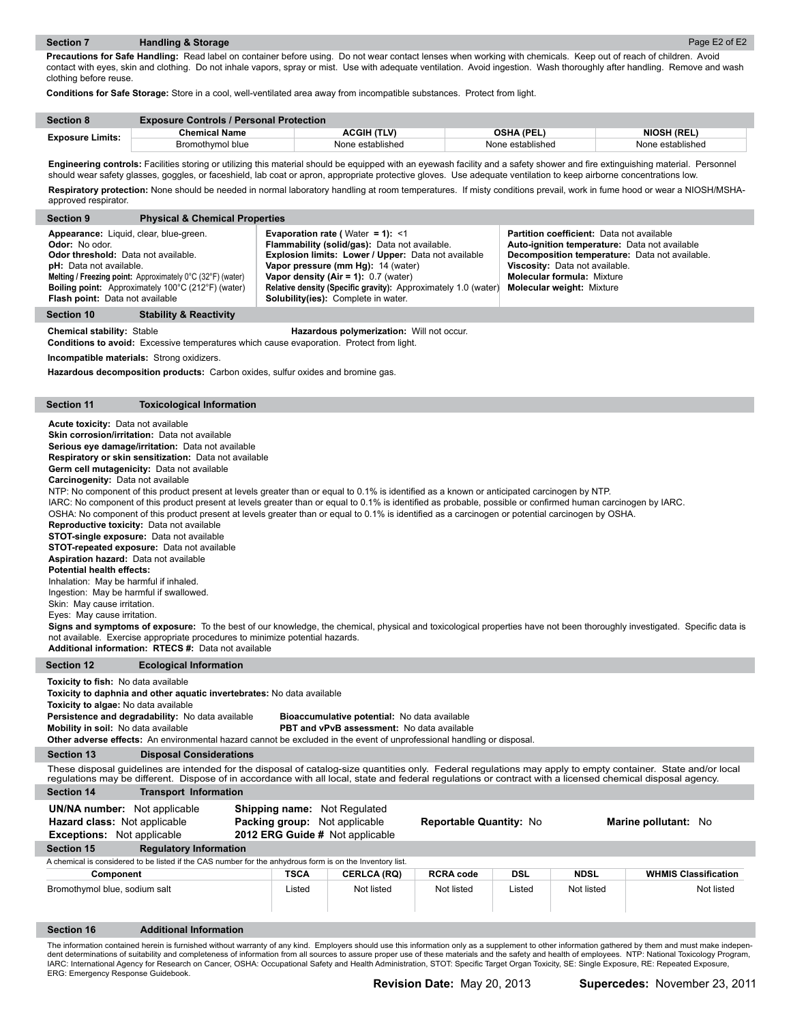**Precautions for Safe Handling:** Read label on container before using. Do not wear contact lenses when working with chemicals. Keep out of reach of children. Avoid contact with eyes, skin and clothing. Do not inhale vapors, spray or mist. Use with adequate ventilation. Avoid ingestion. Wash thoroughly after handling. Remove and wash clothing before reuse.

**Conditions for Safe Storage:** Store in a cool, well-ventilated area away from incompatible substances. Protect from light.

| <b>Section 8</b>        | <b>Exposure Controls / Personal Protection</b> |                    |                   |                    |
|-------------------------|------------------------------------------------|--------------------|-------------------|--------------------|
|                         | Chemical Name                                  | <b>ACGIH (TLV)</b> | <b>OSHA (PEL)</b> | <b>NIOSH (REL)</b> |
| <b>Exposure Limits:</b> | Bromothymol blue                               | None established   | None established  | None established   |

Engineering controls: Facilities storing or utilizing this material should be equipped with an eyewash facility and a safety shower and fire extinguishing material. Personnel should wear safety glasses, goggles, or faceshield, lab coat or apron, appropriate protective gloves. Use adequate ventilation to keep airborne concentrations low. Respiratory protection: None should be needed in normal laboratory handling at room temperatures. If misty conditions prevail, work in fume hood or wear a NIOSH/MSHAapproved respirator.

| approved respirator.                                                                                                                                                                                                                                                                                                                                                                                                                                                                   |                                                                                                                                                                                                                                                                                                                                                                                                                                                                                                                                                                                                                                                                                                                                                                                                                                                                                                                                                                                                                                                                                                                                                                                                                                                                                                                                                                                                                                    |                                                                                                  |                                                                                                                                                                                                                                                                           |                                                                |            |                                                                                                                                                      |                                                                                                                                                               |
|----------------------------------------------------------------------------------------------------------------------------------------------------------------------------------------------------------------------------------------------------------------------------------------------------------------------------------------------------------------------------------------------------------------------------------------------------------------------------------------|------------------------------------------------------------------------------------------------------------------------------------------------------------------------------------------------------------------------------------------------------------------------------------------------------------------------------------------------------------------------------------------------------------------------------------------------------------------------------------------------------------------------------------------------------------------------------------------------------------------------------------------------------------------------------------------------------------------------------------------------------------------------------------------------------------------------------------------------------------------------------------------------------------------------------------------------------------------------------------------------------------------------------------------------------------------------------------------------------------------------------------------------------------------------------------------------------------------------------------------------------------------------------------------------------------------------------------------------------------------------------------------------------------------------------------|--------------------------------------------------------------------------------------------------|---------------------------------------------------------------------------------------------------------------------------------------------------------------------------------------------------------------------------------------------------------------------------|----------------------------------------------------------------|------------|------------------------------------------------------------------------------------------------------------------------------------------------------|---------------------------------------------------------------------------------------------------------------------------------------------------------------|
| <b>Section 9</b>                                                                                                                                                                                                                                                                                                                                                                                                                                                                       | <b>Physical &amp; Chemical Properties</b>                                                                                                                                                                                                                                                                                                                                                                                                                                                                                                                                                                                                                                                                                                                                                                                                                                                                                                                                                                                                                                                                                                                                                                                                                                                                                                                                                                                          |                                                                                                  |                                                                                                                                                                                                                                                                           |                                                                |            |                                                                                                                                                      |                                                                                                                                                               |
| Appearance: Liquid, clear, blue-green.<br>Odor: No odor.<br>Odor threshold: Data not available.<br>pH: Data not available.<br>Flash point: Data not available                                                                                                                                                                                                                                                                                                                          | Melting / Freezing point: Approximately 0°C (32°F) (water)<br>Boiling point: Approximately 100°C (212°F) (water)                                                                                                                                                                                                                                                                                                                                                                                                                                                                                                                                                                                                                                                                                                                                                                                                                                                                                                                                                                                                                                                                                                                                                                                                                                                                                                                   |                                                                                                  | <b>Evaporation rate (Water = 1): &lt;1</b><br>Flammability (solid/gas): Data not available.<br>Explosion limits: Lower / Upper: Data not available<br>Vapor pressure (mm Hg): 14 (water)<br>Vapor density (Air = 1): $0.7$ (water)<br>Solubility(ies): Complete in water. | Relative density (Specific gravity): Approximately 1.0 (water) |            | Partition coefficient: Data not available<br>Viscosity: Data not available.<br><b>Molecular formula: Mixture</b><br><b>Molecular weight: Mixture</b> | Auto-ignition temperature: Data not available<br>Decomposition temperature: Data not available.                                                               |
| <b>Section 10</b>                                                                                                                                                                                                                                                                                                                                                                                                                                                                      | <b>Stability &amp; Reactivity</b>                                                                                                                                                                                                                                                                                                                                                                                                                                                                                                                                                                                                                                                                                                                                                                                                                                                                                                                                                                                                                                                                                                                                                                                                                                                                                                                                                                                                  |                                                                                                  |                                                                                                                                                                                                                                                                           |                                                                |            |                                                                                                                                                      |                                                                                                                                                               |
| <b>Chemical stability: Stable</b>                                                                                                                                                                                                                                                                                                                                                                                                                                                      | <b>Conditions to avoid:</b> Excessive temperatures which cause evaporation. Protect from light.                                                                                                                                                                                                                                                                                                                                                                                                                                                                                                                                                                                                                                                                                                                                                                                                                                                                                                                                                                                                                                                                                                                                                                                                                                                                                                                                    |                                                                                                  | Hazardous polymerization: Will not occur.                                                                                                                                                                                                                                 |                                                                |            |                                                                                                                                                      |                                                                                                                                                               |
|                                                                                                                                                                                                                                                                                                                                                                                                                                                                                        | Incompatible materials: Strong oxidizers.                                                                                                                                                                                                                                                                                                                                                                                                                                                                                                                                                                                                                                                                                                                                                                                                                                                                                                                                                                                                                                                                                                                                                                                                                                                                                                                                                                                          |                                                                                                  |                                                                                                                                                                                                                                                                           |                                                                |            |                                                                                                                                                      |                                                                                                                                                               |
|                                                                                                                                                                                                                                                                                                                                                                                                                                                                                        | Hazardous decomposition products: Carbon oxides, sulfur oxides and bromine gas.                                                                                                                                                                                                                                                                                                                                                                                                                                                                                                                                                                                                                                                                                                                                                                                                                                                                                                                                                                                                                                                                                                                                                                                                                                                                                                                                                    |                                                                                                  |                                                                                                                                                                                                                                                                           |                                                                |            |                                                                                                                                                      |                                                                                                                                                               |
| <b>Section 11</b>                                                                                                                                                                                                                                                                                                                                                                                                                                                                      | <b>Toxicological Information</b>                                                                                                                                                                                                                                                                                                                                                                                                                                                                                                                                                                                                                                                                                                                                                                                                                                                                                                                                                                                                                                                                                                                                                                                                                                                                                                                                                                                                   |                                                                                                  |                                                                                                                                                                                                                                                                           |                                                                |            |                                                                                                                                                      |                                                                                                                                                               |
| Additional information: RTECS #: Data not available                                                                                                                                                                                                                                                                                                                                                                                                                                    | <b>Acute toxicity: Data not available</b><br>Skin corrosion/irritation: Data not available<br>Serious eye damage/irritation: Data not available<br>Respiratory or skin sensitization: Data not available<br>Germ cell mutagenicity: Data not available<br>Carcinogenity: Data not available<br>NTP: No component of this product present at levels greater than or equal to 0.1% is identified as a known or anticipated carcinogen by NTP.<br>IARC: No component of this product present at levels greater than or equal to 0.1% is identified as probable, possible or confirmed human carcinogen by IARC.<br>OSHA: No component of this product present at levels greater than or equal to 0.1% is identified as a carcinogen or potential carcinogen by OSHA.<br><b>Reproductive toxicity:</b> Data not available<br><b>STOT-single exposure:</b> Data not available<br><b>STOT-repeated exposure:</b> Data not available<br><b>Aspiration hazard:</b> Data not available<br><b>Potential health effects:</b><br>Inhalation: May be harmful if inhaled.<br>Ingestion: May be harmful if swallowed.<br>Skin: May cause irritation.<br>Eyes: May cause irritation.<br>Signs and symptoms of exposure: To the best of our knowledge, the chemical, physical and toxicological properties have not been thoroughly investigated. Specific data is<br>not available. Exercise appropriate procedures to minimize potential hazards. |                                                                                                  |                                                                                                                                                                                                                                                                           |                                                                |            |                                                                                                                                                      |                                                                                                                                                               |
| <b>Section 12</b>                                                                                                                                                                                                                                                                                                                                                                                                                                                                      | <b>Ecological Information</b>                                                                                                                                                                                                                                                                                                                                                                                                                                                                                                                                                                                                                                                                                                                                                                                                                                                                                                                                                                                                                                                                                                                                                                                                                                                                                                                                                                                                      |                                                                                                  |                                                                                                                                                                                                                                                                           |                                                                |            |                                                                                                                                                      |                                                                                                                                                               |
| <b>Toxicity to fish:</b> No data available<br>Toxicity to daphnia and other aquatic invertebrates: No data available<br>Toxicity to algae: No data available<br>Persistence and degradability: No data available<br>Bioaccumulative potential: No data available<br>Mobility in soil: No data available<br><b>PBT and vPvB assessment:</b> No data available<br>Other adverse effects: An environmental hazard cannot be excluded in the event of unprofessional handling or disposal. |                                                                                                                                                                                                                                                                                                                                                                                                                                                                                                                                                                                                                                                                                                                                                                                                                                                                                                                                                                                                                                                                                                                                                                                                                                                                                                                                                                                                                                    |                                                                                                  |                                                                                                                                                                                                                                                                           |                                                                |            |                                                                                                                                                      |                                                                                                                                                               |
| <b>Section 13</b>                                                                                                                                                                                                                                                                                                                                                                                                                                                                      | <b>Disposal Considerations</b>                                                                                                                                                                                                                                                                                                                                                                                                                                                                                                                                                                                                                                                                                                                                                                                                                                                                                                                                                                                                                                                                                                                                                                                                                                                                                                                                                                                                     |                                                                                                  |                                                                                                                                                                                                                                                                           |                                                                |            |                                                                                                                                                      |                                                                                                                                                               |
|                                                                                                                                                                                                                                                                                                                                                                                                                                                                                        | regulations may be different. Dispose of in accordance with all local, state and federal regulations or contract with a licensed chemical disposal agency.                                                                                                                                                                                                                                                                                                                                                                                                                                                                                                                                                                                                                                                                                                                                                                                                                                                                                                                                                                                                                                                                                                                                                                                                                                                                         |                                                                                                  |                                                                                                                                                                                                                                                                           |                                                                |            |                                                                                                                                                      | These disposal guidelines are intended for the disposal of catalog-size quantities only. Federal regulations may apply to empty container. State and/or local |
| <b>Section 14</b>                                                                                                                                                                                                                                                                                                                                                                                                                                                                      | <b>Transport Information</b>                                                                                                                                                                                                                                                                                                                                                                                                                                                                                                                                                                                                                                                                                                                                                                                                                                                                                                                                                                                                                                                                                                                                                                                                                                                                                                                                                                                                       |                                                                                                  |                                                                                                                                                                                                                                                                           |                                                                |            |                                                                                                                                                      |                                                                                                                                                               |
| <b>UN/NA number:</b> Not applicable<br>Hazard class: Not applicable<br><b>Exceptions:</b> Not applicable                                                                                                                                                                                                                                                                                                                                                                               |                                                                                                                                                                                                                                                                                                                                                                                                                                                                                                                                                                                                                                                                                                                                                                                                                                                                                                                                                                                                                                                                                                                                                                                                                                                                                                                                                                                                                                    | Shipping name: Not Regulated<br>Packing group: Not applicable<br>2012 ERG Guide # Not applicable |                                                                                                                                                                                                                                                                           | Reportable Quantity: No                                        |            |                                                                                                                                                      | Marine pollutant: No                                                                                                                                          |
| <b>Section 15</b><br><b>Regulatory Information</b>                                                                                                                                                                                                                                                                                                                                                                                                                                     |                                                                                                                                                                                                                                                                                                                                                                                                                                                                                                                                                                                                                                                                                                                                                                                                                                                                                                                                                                                                                                                                                                                                                                                                                                                                                                                                                                                                                                    |                                                                                                  |                                                                                                                                                                                                                                                                           |                                                                |            |                                                                                                                                                      |                                                                                                                                                               |
|                                                                                                                                                                                                                                                                                                                                                                                                                                                                                        | A chemical is considered to be listed if the CAS number for the anhydrous form is on the Inventory list.                                                                                                                                                                                                                                                                                                                                                                                                                                                                                                                                                                                                                                                                                                                                                                                                                                                                                                                                                                                                                                                                                                                                                                                                                                                                                                                           |                                                                                                  |                                                                                                                                                                                                                                                                           |                                                                |            |                                                                                                                                                      |                                                                                                                                                               |
| Component                                                                                                                                                                                                                                                                                                                                                                                                                                                                              |                                                                                                                                                                                                                                                                                                                                                                                                                                                                                                                                                                                                                                                                                                                                                                                                                                                                                                                                                                                                                                                                                                                                                                                                                                                                                                                                                                                                                                    | <b>TSCA</b>                                                                                      | <b>CERLCA (RQ)</b>                                                                                                                                                                                                                                                        | <b>RCRA code</b>                                               | <b>DSL</b> | <b>NDSL</b>                                                                                                                                          | <b>WHMIS Classification</b>                                                                                                                                   |
| Bromothymol blue, sodium salt                                                                                                                                                                                                                                                                                                                                                                                                                                                          |                                                                                                                                                                                                                                                                                                                                                                                                                                                                                                                                                                                                                                                                                                                                                                                                                                                                                                                                                                                                                                                                                                                                                                                                                                                                                                                                                                                                                                    | Listed                                                                                           | Not listed                                                                                                                                                                                                                                                                | Not listed                                                     | Listed     | Not listed                                                                                                                                           | Not listed                                                                                                                                                    |
| Section 16                                                                                                                                                                                                                                                                                                                                                                                                                                                                             | <b>Additional Information</b>                                                                                                                                                                                                                                                                                                                                                                                                                                                                                                                                                                                                                                                                                                                                                                                                                                                                                                                                                                                                                                                                                                                                                                                                                                                                                                                                                                                                      |                                                                                                  |                                                                                                                                                                                                                                                                           |                                                                |            |                                                                                                                                                      |                                                                                                                                                               |

The information contained herein is furnished without warranty of any kind. Employers should use this information only as a supplement to other information gathered by them and must make indepen-<br>dent determinations of sui IARC: International Agency for Research on Cancer, OSHA: Occupational Safety and Health Administration, STOT: Specific Target Organ Toxicity, SE: Single Exposure, RE: Repeated Exposure,<br>ERG: Emergency Response Guidebook.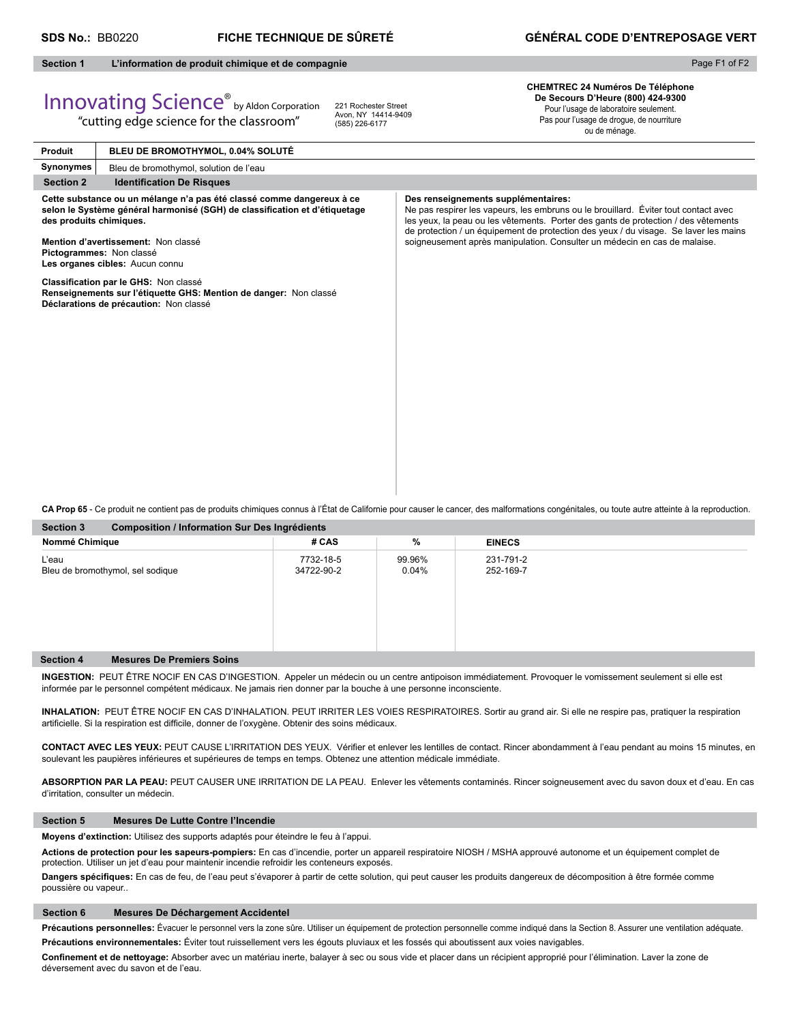# **SDS No.:** BB0220 **FICHE TECHNIQUE DE SÛRETÉ GÉNÉRAL CODE D'ENTREPOSAGE VERT**

# **Section 1 L'information de produit chimique et de compagnie**

"cutting edge science for the classroom"

# Page F1 of F2

# Innovating Science® by Aldon Corporation

221 Rochester Street Avon, NY 14414-9409 (585) 226-6177

**CHEMTREC 24 Numéros De Téléphone De Secours D'Heure (800) 424-9300** Pour l'usage de laboratoire seulement. Pas pour l'usage de drogue, de nourriture ou de ménage.

**Produit Synonymes Section 2** Identification De Risques **Cette substance ou un mélange n'a pas été classé comme dangereux à ce**  selon le Système général harmonisé (SGH) de classification et d'étiquetage **des produits chimiques. Mention d'avertissement:** Non classé **Pictogrammes:** Non classé **Les organes cibles:** Aucun connu **Classifi cation par le GHS:** Non classé **Renseignements sur l'étiquette GHS: Mention de danger:** Non classé **Déclarations de précaution:** Non classé **Des renseignements supplémentaires:** Ne pas respirer les vapeurs, les embruns ou le brouillard. Éviter tout contact avec les yeux, la peau ou les vêtements. Porter des gants de protection / des vêtements de protection / un équipement de protection des yeux / du visage. Se laver les mains soigneusement après manipulation. Consulter un médecin en cas de malaise. **BLEU DE BROMOTHYMOL, 0.04% SOLUTÉ** Bleu de bromothymol, solution de l'eau

**Section 3 Composition / Information Sur Des Ingrédients CA Prop 65** - Ce produit ne contient pas de produits chimiques connus à l'État de Californie pour causer le cancer, des malformations congénitales, ou toute autre atteinte à la reproduction.

| Section 3        | Composition / Information Sur Des Ingredients |                         |                    |                        |  |  |
|------------------|-----------------------------------------------|-------------------------|--------------------|------------------------|--|--|
| Nommé Chimique   |                                               | # CAS                   | %                  | <b>EINECS</b>          |  |  |
| L'eau            | Bleu de bromothymol, sel sodique              | 7732-18-5<br>34722-90-2 | 99.96%<br>$0.04\%$ | 231-791-2<br>252-169-7 |  |  |
| <b>Section 4</b> | <b>Mesures De Premiers Soins</b>              |                         |                    |                        |  |  |

**INGESTION:** PEUT ÊTRE NOCIF EN CAS D'INGESTION. Appeler un médecin ou un centre antipoison immédiatement. Provoquer le vomissement seulement si elle est informée par le personnel compétent médicaux. Ne jamais rien donner par la bouche à une personne inconsciente.

**INHALATION:** PEUT ÊTRE NOCIF EN CAS D'INHALATION. PEUT IRRITER LES VOIES RESPIRATOIRES. Sortir au grand air. Si elle ne respire pas, pratiquer la respiration artificielle. Si la respiration est difficile, donner de l'oxygène. Obtenir des soins médicaux.

CONTACT AVEC LES YEUX: PEUT CAUSE L'IRRITATION DES YEUX. Vérifier et enlever les lentilles de contact. Rincer abondamment à l'eau pendant au moins 15 minutes, en soulevant les paupières inférieures et supérieures de temps en temps. Obtenez une attention médicale immédiate.

**ABSORPTION PAR LA PEAU:** PEUT CAUSER UNE IRRITATION DE LA PEAU. Enlever les vêtements contaminés. Rincer soigneusement avec du savon doux et d'eau. En cas d'irritation, consulter un médecin.

# **Section 5 Mesures De Lutte Contre l'Incendie**

**Moyens d'extinction:** Utilisez des supports adaptés pour éteindre le feu à l'appui.

**Actions de protection pour les sapeurs-pompiers:** En cas d'incendie, porter un appareil respiratoire NIOSH / MSHA approuvé autonome et un équipement complet de protection. Utiliser un jet d'eau pour maintenir incendie refroidir les conteneurs exposés.

Dangers spécifiques: En cas de feu, de l'eau peut s'évaporer à partir de cette solution, qui peut causer les produits dangereux de décomposition à être formée comme poussière ou vapeur..

# **Section 6 Mesures De Déchargement Accidentel**

Précautions personnelles: Évacuer le personnel vers la zone sûre. Utiliser un équipement de protection personnelle comme indiqué dans la Section 8. Assurer une ventilation adéquate. **Précautions environnementales:** Éviter tout ruissellement vers les égouts pluviaux et les fossés qui aboutissent aux voies navigables.

Confinement et de nettoyage: Absorber avec un matériau inerte, balayer à sec ou sous vide et placer dans un récipient approprié pour l'élimination. Laver la zone de déversement avec du savon et de l'eau.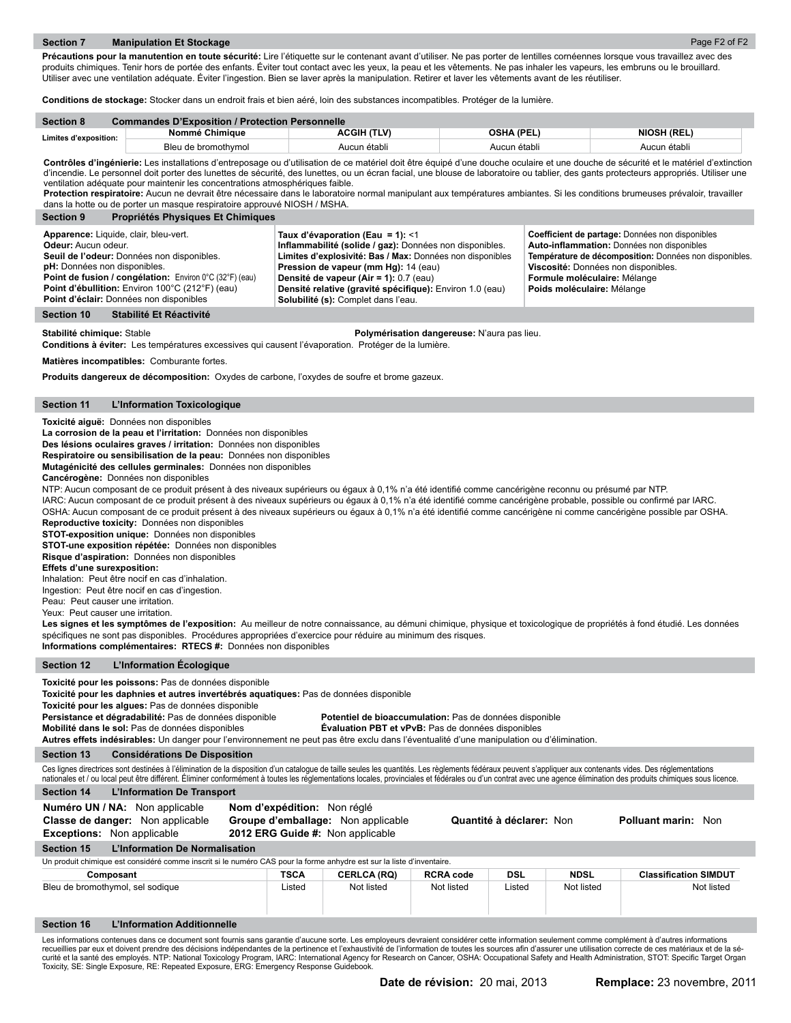Précautions pour la manutention en toute sécurité: Lire l'étiquette sur le contenant avant d'utiliser. Ne pas porter de lentilles cornéennes lorsque vous travaillez avec des produits chimiques. Tenir hors de portée des enfants. Éviter tout contact avec les yeux, la peau et les vêtements. Ne pas inhaler les vapeurs, les embruns ou le brouillard. Utiliser avec une ventilation adéquate. Éviter l'ingestion. Bien se laver après la manipulation. Retirer et laver les vêtements avant de les réutiliser.

**Conditions de stockage:** Stocker dans un endroit frais et bien aéré, loin des substances incompatibles. Protéger de la lumière.

| <b>Section 8</b>      | <b>Commandes D'Exposition / Protection Personnelle</b> |                    |                   |                    |  |  |
|-----------------------|--------------------------------------------------------|--------------------|-------------------|--------------------|--|--|
| Limites d'exposition: | Nommé Chimique                                         | <b>ACGIH (TLV)</b> | <b>OSHA (PEL)</b> | <b>NIOSH (REL)</b> |  |  |
|                       | Bleu de bromothymol                                    | Aucun établi       | Aucun établi      | Aucun établi       |  |  |

Contrôles d'ingénierie: Les installations d'entreposage ou d'utilisation de ce matériel doit être équipé d'une douche oculaire et une douche de sécurité et le matériel d'extinction d'incendie. Le personnel doit porter des lunettes de sécurité, des lunettes, ou un écran facial, une blouse de laboratoire ou tablier, des gants protecteurs appropriés. Utiliser une ventilation adéquate pour maintenir les concentrations atmosphériques faible.

Protection respiratoire: Aucun ne devrait être nécessaire dans le laboratoire normal manipulant aux températures ambiantes. Si les conditions brumeuses prévaloir, travailler dans la hotte ou de porter un masque respiratoire approuvé NIOSH / MSHA.

| <b>Section 9</b><br>Propriétés Physiques Et Chimiques                                                                                                                                                                                                                                                             |                                                                                                                                                                                                                                                                                                                                               |                                                                                                                                                                                                                                                              |
|-------------------------------------------------------------------------------------------------------------------------------------------------------------------------------------------------------------------------------------------------------------------------------------------------------------------|-----------------------------------------------------------------------------------------------------------------------------------------------------------------------------------------------------------------------------------------------------------------------------------------------------------------------------------------------|--------------------------------------------------------------------------------------------------------------------------------------------------------------------------------------------------------------------------------------------------------------|
| Apparence: Liquide, clair, bleu-vert.<br><b>Odeur:</b> Aucun odeur.<br>Seuil de l'odeur: Données non disponibles.<br><b>pH:</b> Données non disponibles.<br>Point de fusion / congélation: Environ 0°C (32°F) (eau)<br>Point d'ébullition: Environ 100°C (212°F) (eau)<br>Point d'éclair: Données non disponibles | Taux d'évaporation (Eau = 1): <1<br>Inflammabilité (solide / gaz): Données non disponibles.<br>Limites d'explosivité: Bas / Max: Données non disponibles<br>Pression de vapeur (mm Hg): 14 (eau)<br>Densité de vapeur (Air = 1): 0.7 (eau)<br>Densité relative (gravité spécifique): Environ 1.0 (eau)<br>Solubilité (s): Complet dans l'eau. | Coefficient de partage: Données non disponibles<br>Auto-inflammation: Données non disponibles<br>Température de décomposition: Données non disponibles.<br>Viscosité: Données non disponibles.<br>Formule moléculaire: Mélange<br>Poids moléculaire: Mélange |
| Stabilité Et Réactivité<br>Section 10                                                                                                                                                                                                                                                                             |                                                                                                                                                                                                                                                                                                                                               |                                                                                                                                                                                                                                                              |

**Stabilité chimique:** Stable **Polymérisation dangereuse:** N'aura pas lieu.

**Conditions à éviter:** Les températures excessives qui causent l'évaporation. Protéger de la lumière.

**Matières incompatibles:** Comburante fortes.

**Produits dangereux de décomposition:** Oxydes de carbone, l'oxydes de soufre et brome gazeux.

# **Section 11 L'Information Toxicologique**

**Toxicité aiguë:** Données non disponibles

**La corrosion de la peau et l'irritation:** Données non disponibles

**Des lésions oculaires graves / irritation:** Données non disponibles

**Respiratoire ou sensibilisation de la peau:** Données non disponibles

**Mutagénicité des cellules germinales:** Données non disponibles

**Cancérogène:** Données non disponibles

NTP: Aucun composant de ce produit présent à des niveaux supérieurs ou égaux à 0,1% n'a été identifié comme cancérigène reconnu ou présumé par NTP.

IARC: Aucun composant de ce produit présent à des niveaux supérieurs ou égaux à 0,1% n'a été identifié comme cancérigène probable, possible ou confirmé par IARC. OSHA: Aucun composant de ce produit présent à des niveaux supérieurs ou égaux à 0,1% n'a été identifié comme cancérigène ni comme cancérigène possible par OSHA.

**Reproductive toxicity:** Données non disponibles

**STOT-exposition unique:** Données non disponibles **STOT-une exposition répétée:** Données non disponibles

**Risque d'aspiration:** Données non disponibles

**Effets d'une surexposition:** 

Inhalation: Peut être nocif en cas d'inhalation.

Ingestion: Peut être nocif en cas d'ingestion.

Peau: Peut causer une irritation.

Yeux: Peut causer une irritation.

Les signes et les symptômes de l'exposition: Au meilleur de notre connaissance, au démuni chimique, physique et toxicologique de propriétés à fond étudié. Les données spécifiques ne sont pas disponibles. Procédures appropriées d'exercice pour réduire au minimum des risques. **Informations complémentaires: RTECS #:** Données non disponibles

# **Section 12 L'Information Écologique**

**Toxicité pour les poissons:** Pas de données disponible

**Toxicité pour les daphnies et autres invertébrés aquatiques:** Pas de données disponible

**Toxicité pour les algues:** Pas de données disponible

**Persistance et dégradabilité:** Pas de données disponible **Potentiel de bioaccumulation:** Pas de données disponible

**Mobilité dans le sol:** Pas de données disponibles **Évaluation PBT et vPvB:** Pas de données disponibles

**Autres effets indésirables:** Un danger pour l'environnement ne peut pas être exclu dans l'éventualité d'une manipulation ou d'élimination.

**Section 13 Considérations De Disposition**

Ces lignes directrices sont destinées à l'élimination de la disposition d'un catalogue de taille seules les quantités. Les règlements fédéraux peuvent s'appliquer aux contenants vides. Des réglementations nationales et / ou local peut être différent. Éliminer conformément à toutes les réglementations locales, provinciales et fédérales ou d'un contrat avec une agence élimination des produits chimiques sous licence

| L'Information De Transport<br><b>Section 14</b>                                                                       |                                                                                                       |                    |                  |                          |             |                              |            |
|-----------------------------------------------------------------------------------------------------------------------|-------------------------------------------------------------------------------------------------------|--------------------|------------------|--------------------------|-------------|------------------------------|------------|
| Numéro UN / NA: Non applicable<br>Classe de danger: Non applicable<br><b>Exceptions:</b> Non applicable               | Nom d'expédition: Non réglé<br>Groupe d'emballage: Non applicable<br>2012 ERG Guide #: Non applicable |                    |                  | Quantité à déclarer: Non |             | <b>Polluant marin: Non</b>   |            |
| L'Information De Normalisation<br><b>Section 15</b>                                                                   |                                                                                                       |                    |                  |                          |             |                              |            |
| Un produit chimique est considéré comme inscrit si le numéro CAS pour la forme anhydre est sur la liste d'inventaire. |                                                                                                       |                    |                  |                          |             |                              |            |
| Composant                                                                                                             | <b>TSCA</b>                                                                                           | <b>CERLCA (RQ)</b> | <b>RCRA code</b> | <b>DSL</b>               | <b>NDSL</b> | <b>Classification SIMDUT</b> |            |
| Bleu de bromothymol, sel sodique                                                                                      | Listed                                                                                                | Not listed         | Not listed       | Listed                   | Not listed  |                              | Not listed |

# **Section 16 L'Information Additionnelle**

Les informations contenues dans ce document sont fournis sans garantie d'aucune sorte. Les employeurs devraient considérer cette information seulement comme complément à d'autres informations<br>recueillies par eux et doivent Toxicity, SE: Single Exposure, RE: Repeated Exposure, ERG: Emergency Response Guidebook.

Page F2 of F2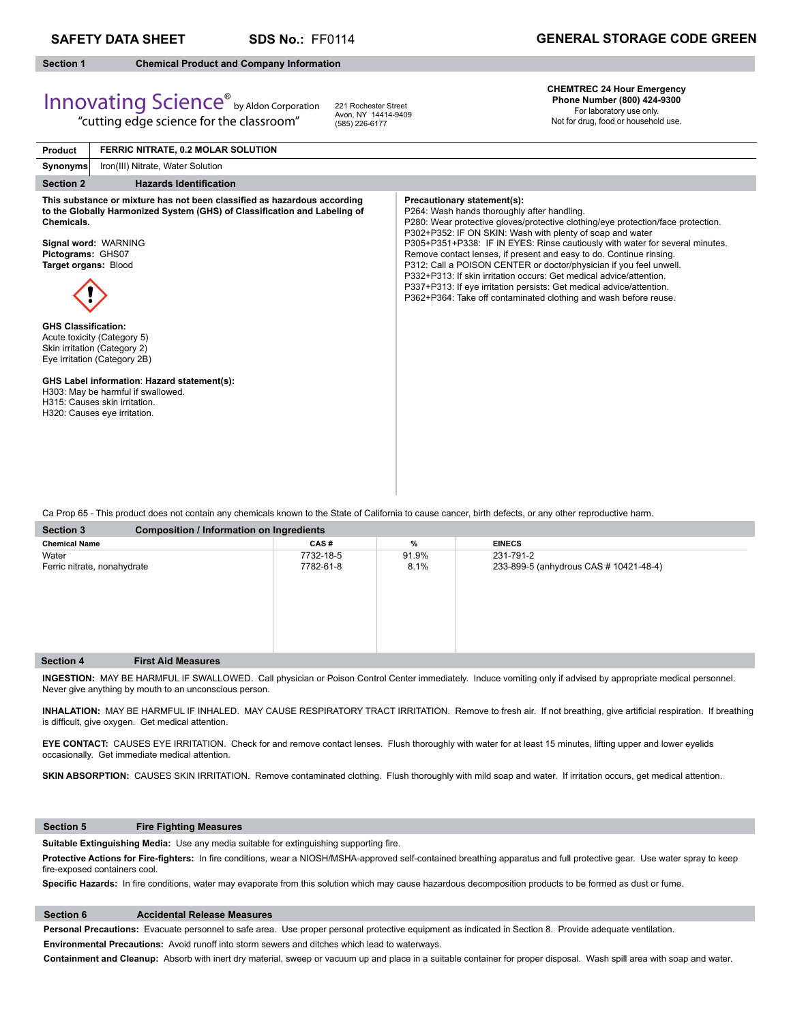**SDS No.:** FF0114

# **Section 1 Chemical Product and Company Information**

# **CHEMTREC 24 Hour Emergency Phone Number (800) 484-**

|                                                                                       | <b>Innovating Science</b> <sup>®</sup> by Aldon Corporation<br>"cutting edge science for the classroom"                                                                                                                                                                                                                                                                                                                            | 221 Rochester Street<br>Avon, NY 14414-9409<br>(585) 226-6177 |                                                                                                                                                                                                                                                                                                                                                                                                                                                                                                         | 011 - 111 11 12 12 13 14 14 14 14 14 14 14 14 15 16 17<br>Phone Number (800) 424-9300<br>For laboratory use only.<br>Not for drug, food or household use.        |
|---------------------------------------------------------------------------------------|------------------------------------------------------------------------------------------------------------------------------------------------------------------------------------------------------------------------------------------------------------------------------------------------------------------------------------------------------------------------------------------------------------------------------------|---------------------------------------------------------------|---------------------------------------------------------------------------------------------------------------------------------------------------------------------------------------------------------------------------------------------------------------------------------------------------------------------------------------------------------------------------------------------------------------------------------------------------------------------------------------------------------|------------------------------------------------------------------------------------------------------------------------------------------------------------------|
| <b>Product</b>                                                                        | FERRIC NITRATE, 0.2 MOLAR SOLUTION                                                                                                                                                                                                                                                                                                                                                                                                 |                                                               |                                                                                                                                                                                                                                                                                                                                                                                                                                                                                                         |                                                                                                                                                                  |
| <b>Synonyms</b>                                                                       | Iron(III) Nitrate, Water Solution                                                                                                                                                                                                                                                                                                                                                                                                  |                                                               |                                                                                                                                                                                                                                                                                                                                                                                                                                                                                                         |                                                                                                                                                                  |
| <b>Section 2</b>                                                                      | <b>Hazards Identification</b>                                                                                                                                                                                                                                                                                                                                                                                                      |                                                               |                                                                                                                                                                                                                                                                                                                                                                                                                                                                                                         |                                                                                                                                                                  |
| Chemicals.<br>Pictograms: GHS07<br>Target organs: Blood<br><b>GHS Classification:</b> | This substance or mixture has not been classified as hazardous according<br>to the Globally Harmonized System (GHS) of Classification and Labeling of<br>Signal word: WARNING<br>Acute toxicity (Category 5)<br>Skin irritation (Category 2)<br>Eye irritation (Category 2B)<br>GHS Label information: Hazard statement(s):<br>H303: May be harmful if swallowed.<br>H315: Causes skin irritation.<br>H320: Causes eye irritation. |                                                               | Precautionary statement(s):<br>P264: Wash hands thoroughly after handling.<br>P302+P352: IF ON SKIN: Wash with plenty of soap and water<br>Remove contact lenses, if present and easy to do. Continue rinsing.<br>P312: Call a POISON CENTER or doctor/physician if you feel unwell.<br>P332+P313: If skin irritation occurs: Get medical advice/attention.<br>P337+P313: If eye irritation persists: Get medical advice/attention.<br>P362+P364: Take off contaminated clothing and wash before reuse. | P280: Wear protective gloves/protective clothing/eye protection/face protection.<br>P305+P351+P338: IF IN EYES: Rinse cautiously with water for several minutes. |

Ca Prop 65 - This product does not contain any chemicals known to the State of California to cause cancer, birth defects, or any other reproductive harm.

| <b>Section 3</b>            | <b>Composition / Information on Ingredients</b> |           |       |                                        |  |  |
|-----------------------------|-------------------------------------------------|-----------|-------|----------------------------------------|--|--|
| <b>Chemical Name</b>        |                                                 | CAS#      | %     | <b>EINECS</b>                          |  |  |
| Water                       |                                                 | 7732-18-5 | 91.9% | 231-791-2                              |  |  |
| Ferric nitrate, nonahydrate |                                                 | 7782-61-8 | 8.1%  | 233-899-5 (anhydrous CAS # 10421-48-4) |  |  |
|                             |                                                 |           |       |                                        |  |  |
|                             |                                                 |           |       |                                        |  |  |
|                             |                                                 |           |       |                                        |  |  |
|                             |                                                 |           |       |                                        |  |  |
|                             |                                                 |           |       |                                        |  |  |
|                             |                                                 |           |       |                                        |  |  |
| <b>Section 4</b>            | <b>First Aid Measures</b>                       |           |       |                                        |  |  |

**INGESTION:** MAY BE HARMFUL IF SWALLOWED. Call physician or Poison Control Center immediately. Induce vomiting only if advised by appropriate medical personnel. Never give anything by mouth to an unconscious person.

INHALATION: MAY BE HARMFUL IF INHALED. MAY CAUSE RESPIRATORY TRACT IRRITATION. Remove to fresh air. If not breathing, give artificial respiration. If breathing is difficult, give oxygen. Get medical attention.

**EYE CONTACT:** CAUSES EYE IRRITATION. Check for and remove contact lenses. Flush thoroughly with water for at least 15 minutes, lifting upper and lower eyelids occasionally. Get immediate medical attention.

SKIN ABSORPTION: CAUSES SKIN IRRITATION. Remove contaminated clothing. Flush thoroughly with mild soap and water. If irritation occurs, get medical attention.

# **Section 5 Fire Fighting Measures**

Suitable Extinguishing Media: Use any media suitable for extinguishing supporting fire.

Protective Actions for Fire-fighters: In fire conditions, wear a NIOSH/MSHA-approved self-contained breathing apparatus and full protective gear. Use water spray to keep fire-exposed containers cool.

Specific Hazards: In fire conditions, water may evaporate from this solution which may cause hazardous decomposition products to be formed as dust or fume.

# **Section 6 Accidental Release Measures**

**Personal Precautions:** Evacuate personnel to safe area. Use proper personal protective equipment as indicated in Section 8. Provide adequate ventilation. **Environmental Precautions:** Avoid runoff into storm sewers and ditches which lead to waterways.

**Containment and Cleanup:** Absorb with inert dry material, sweep or vacuum up and place in a suitable container for proper disposal. Wash spill area with soap and water.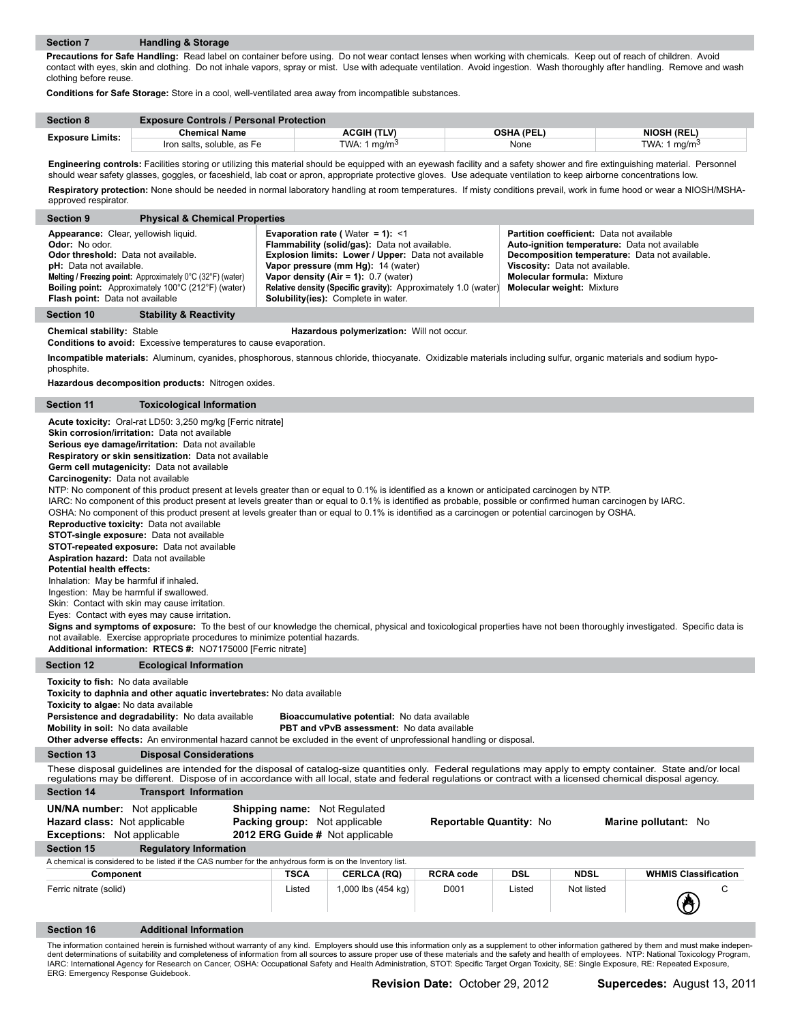**Precautions for Safe Handling:** Read label on container before using. Do not wear contact lenses when working with chemicals. Keep out of reach of children. Avoid contact with eyes, skin and clothing. Do not inhale vapors, spray or mist. Use with adequate ventilation. Avoid ingestion. Wash thoroughly after handling. Remove and wash clothing before reuse.

**Conditions for Safe Storage:** Store in a cool, well-ventilated area away from incompatible substances.

| <b>Section 8</b>        | <b>Exposure Controls / Personal Protection</b> |                    |                   |                    |
|-------------------------|------------------------------------------------|--------------------|-------------------|--------------------|
| <b>Exposure Limits:</b> | <b>Chemical Name</b>                           | <b>ACGIH (TLV)</b> | <b>OSHA (PEL)</b> | <b>NIOSH (REL)</b> |
|                         | Iron salts, soluble, as Fe                     | TWA: 1 $ma/m3$     | None              | TWA: 1<br>°ma/m ا  |

**Engineering controls:** Facilities storing or utilizing this material should be equipped with an eyewash facility and a safety shower and fire extinguishing material. Personnel should wear safety glasses, goggles, or faceshield, lab coat or apron, appropriate protective gloves. Use adequate ventilation to keep airborne concentrations low. **Respiratory protection:** None should be needed in normal laboratory handling at room temperatures. If misty conditions prevail, work in fume hood or wear a NIOSH/MSHAapproved respirator.

| <b>Physical &amp; Chemical Properties</b><br><b>Section 9</b>                                                                                                                                                                                                                                                                    |                                                                                                                                                                                                                                                                                                                                                     |                                                                                                                                                                                                                                                                |
|----------------------------------------------------------------------------------------------------------------------------------------------------------------------------------------------------------------------------------------------------------------------------------------------------------------------------------|-----------------------------------------------------------------------------------------------------------------------------------------------------------------------------------------------------------------------------------------------------------------------------------------------------------------------------------------------------|----------------------------------------------------------------------------------------------------------------------------------------------------------------------------------------------------------------------------------------------------------------|
| Appearance: Clear, yellowish liquid.<br><b>Odor:</b> No odor.<br>Odor threshold: Data not available.<br><b>pH:</b> Data not available.<br><b>Melting / Freezing point:</b> Approximately $0^{\circ}$ C (32 $^{\circ}$ F) (water)<br><b>Boiling point:</b> Approximately 100°C (212°F) (water)<br>Flash point: Data not available | <b>Evaporation rate (</b> $Water = 1$ ): <1<br>Flammability (solid/gas): Data not available.<br>Explosion limits: Lower / Upper: Data not available<br>Vapor pressure (mm Hg): 14 (water)<br>Vapor density $(Air = 1): 0.7$ (water)<br>Relative density (Specific gravity): Approximately 1.0 (water)<br><b>Solubility(ies):</b> Complete in water. | <b>Partition coefficient:</b> Data not available<br>Auto-ignition temperature: Data not available<br>Decomposition temperature: Data not available.<br>Viscosity: Data not available.<br><b>Molecular formula: Mixture</b><br><b>Molecular weight: Mixture</b> |
| <b>Stability &amp; Reactivity</b><br>Section 10                                                                                                                                                                                                                                                                                  |                                                                                                                                                                                                                                                                                                                                                     |                                                                                                                                                                                                                                                                |
| <b>Chemical stability: Stable</b><br>Conditiona to avoid: Evenesiya temperatures to equas expensation                                                                                                                                                                                                                            | Hazardous polymerization: Will not occur.                                                                                                                                                                                                                                                                                                           |                                                                                                                                                                                                                                                                |

**Conditions to avoid:** Excessive temperatures to cause evaporation.

**Incompatible materials:** Aluminum, cyanides, phosphorous, stannous chloride, thiocyanate. Oxidizable materials including sulfur, organic materials and sodium hypophosphite.

**Hazardous decomposition products:** Nitrogen oxides.

## **Section 11 Toxicological Information**

**Acute toxicity:** Oral-rat LD50: 3,250 mg/kg [Ferric nitrate] **Skin corrosion/irritation:** Data not available **Serious eye damage/irritation:** Data not available **Respiratory or skin sensitization:** Data not available **Germ cell mutagenicity:** Data not available **Carcinogenity:** Data not available NTP: No component of this product present at levels greater than or equal to 0.1% is identified as a known or anticipated carcinogen by NTP. IARC: No component of this product present at levels greater than or equal to 0.1% is identified as probable, possible or confirmed human carcinogen by IARC. OSHA: No component of this product present at levels greater than or equal to 0.1% is identified as a carcinogen or potential carcinogen by OSHA. **Reproductive toxicity:** Data not available **STOT-single exposure:** Data not available **STOT-repeated exposure:** Data not available **Aspiration hazard:** Data not available **Potential health effects:**  Inhalation: May be harmful if inhaled. Ingestion: May be harmful if swallowed. Skin: Contact with skin may cause irritation. Eyes: Contact with eyes may cause irritation. Signs and symptoms of exposure: To the best of our knowledge the chemical, physical and toxicological properties have not been thoroughly investigated. Specific data is not available. Exercise appropriate procedures to minimize potential hazards. **Additional information: RTECS #:** NO7175000 [Ferric nitrate] **Section 12 Ecological Information Toxicity to fish:** No data available **Toxicity to daphnia and other aquatic invertebrates:** No data available **Toxicity to algae:** No data available **Persistence and degradability:** No data available **Bioaccumulative potential:** No data available **Mobility in soil:** No data available **PBT and vPvB assessment:** No data available **Other adverse effects:** An environmental hazard cannot be excluded in the event of unprofessional handling or disposal. **Section 13 Disposal Considerations** These disposal guidelines are intended for the disposal of catalog-size quantities only. Federal regulations may apply to empty container. State and/or local regulations may be different. Dispose of in accordance with all local, state and federal regulations or contract with a licensed chemical disposal agency. **Section 14 Transport Information UN/NA number:** Not applicable **Shipping name:** Not Regulated **Hazard class:** Not applicable **Packing group:** Not applicable **Reportable Quantity:** No **Marine pollutant:** No **Exceptions:** Not applicable **2012 ERG Guide #** Not applicable **Section 15 Regulatory Information** A chemical is considered to be listed if the CAS number for the anhydrous form is on the Inventory list. **Component TSCA CERLCA (RQ) RCRA code DSL NDSL WHMIS Classification** Ferric nitrate (solid) Contained Contained Listed 1,000 lbs (454 kg) D001 Listed Not listed Contained Contained O **Section 16 Additional Information** The information contained herein is furnished without warranty of any kind. Employers should use this information only as a supplement to other information gathered by them and must make indepen-

dent determinations of suitability and completeness of information from all sources to assure proper use of these materials and the safety and health of employees. NTP: National Toxicology Program, IARC: International Agency for Research on Cancer, OSHA: Occupational Safety and Health Administration, STOT: Specific Target Organ Toxicity, SE: Single Exposure, RE: Repeated Exposure, ERG: Emergency Response Guidebook.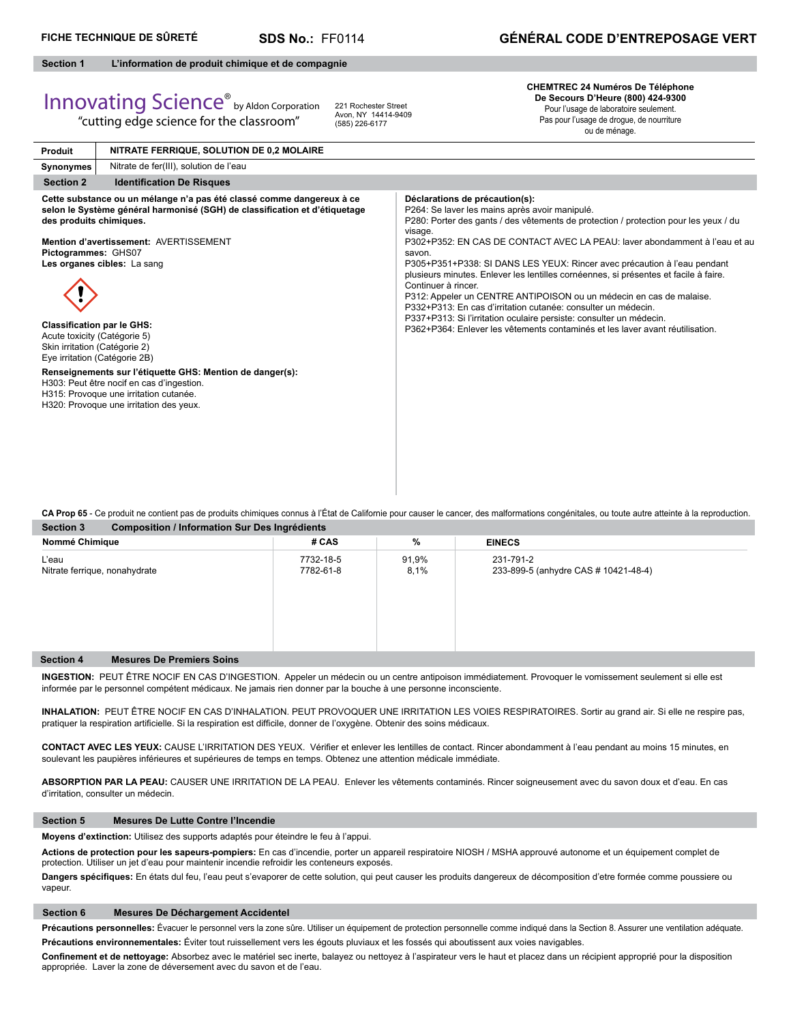# **Section 1 L'information de produit chimique et de compagnie**

# Innovating Science® by Aldon Corporation

**Produit**

"cutting edge science for the classroom"

**NITRATE FERRIQUE, SOLUTION DE 0,2 MOLAIRE**

221 Rochester Street Avon, NY 14414-9409 (585) 226-6177

**CHEMTREC 24 Numéros De Téléphone De Secours D'Heure (800) 424-9300** Pour l'usage de laboratoire seulement.

Pas pour l'usage de drogue, de nourriture ou de ménage.

| Synonymes                                                                                                                                                                             | Nitrate de fer(III), solution de l'eau                                                                                                                                                                                                                                                                                                                                                                                      |                                                                                                                                                                                                                                                                                                                                                                                                                                                                                                                                                                                                                                                                                                                                                                        |
|---------------------------------------------------------------------------------------------------------------------------------------------------------------------------------------|-----------------------------------------------------------------------------------------------------------------------------------------------------------------------------------------------------------------------------------------------------------------------------------------------------------------------------------------------------------------------------------------------------------------------------|------------------------------------------------------------------------------------------------------------------------------------------------------------------------------------------------------------------------------------------------------------------------------------------------------------------------------------------------------------------------------------------------------------------------------------------------------------------------------------------------------------------------------------------------------------------------------------------------------------------------------------------------------------------------------------------------------------------------------------------------------------------------|
| <b>Section 2</b>                                                                                                                                                                      | <b>Identification De Risques</b>                                                                                                                                                                                                                                                                                                                                                                                            |                                                                                                                                                                                                                                                                                                                                                                                                                                                                                                                                                                                                                                                                                                                                                                        |
| des produits chimiques.<br>Pictogrammes: GHS07<br><b>Classification par le GHS:</b><br>Acute toxicity (Catégorie 5)<br>Skin irritation (Catégorie 2)<br>Eye irritation (Catégorie 2B) | Cette substance ou un mélange n'a pas été classé comme dangereux à ce<br>selon le Système général harmonisé (SGH) de classification et d'étiquetage<br>Mention d'avertissement: AVERTISSEMENT<br>Les organes cibles: La sang<br>Renseignements sur l'étiquette GHS: Mention de danger(s):<br>H303: Peut être nocif en cas d'ingestion.<br>H315: Provoque une irritation cutanée.<br>H320: Provoque une irritation des yeux. | Déclarations de précaution(s):<br>P264: Se laver les mains après avoir manipulé.<br>P280: Porter des gants / des vêtements de protection / protection pour les yeux / du<br>visage.<br>P302+P352: EN CAS DE CONTACT AVEC LA PEAU: laver abondamment à l'eau et au<br>savon.<br>P305+P351+P338: SI DANS LES YEUX: Rincer avec précaution à l'eau pendant<br>plusieurs minutes. Enlever les lentilles cornéennes, si présentes et facile à faire.<br>Continuer à rincer.<br>P312: Appeler un CENTRE ANTIPOISON ou un médecin en cas de malaise.<br>P332+P313: En cas d'irritation cutanée: consulter un médecin.<br>P337+P313: Si l'irritation oculaire persiste: consulter un médecin.<br>P362+P364: Enlever les vêtements contaminés et les layer avant réutilisation. |

**Section 3 Composition / Information Sur Des Ingrédients CA Prop 65** - Ce produit ne contient pas de produits chimiques connus à l'État de Californie pour causer le cancer, des malformations congénitales, ou toute autre atteinte à la reproduction.

| Nommé Chimique                                       | # CAS                  | %             | <b>EINECS</b>                                     |
|------------------------------------------------------|------------------------|---------------|---------------------------------------------------|
| L'eau<br>Nitrate ferrique, nonahydrate               | 7732-18-5<br>7782-61-8 | 91,9%<br>8,1% | 231-791-2<br>233-899-5 (anhydre CAS # 10421-48-4) |
| <b>Mesures De Premiers Soins</b><br><b>Section 4</b> |                        |               |                                                   |

**INGESTION:** PEUT ÊTRE NOCIF EN CAS D'INGESTION. Appeler un médecin ou un centre antipoison immédiatement. Provoquer le vomissement seulement si elle est informée par le personnel compétent médicaux. Ne jamais rien donner par la bouche à une personne inconsciente.

**INHALATION:** PEUT ÊTRE NOCIF EN CAS D'INHALATION. PEUT PROVOQUER UNE IRRITATION LES VOIES RESPIRATOIRES. Sortir au grand air. Si elle ne respire pas, pratiquer la respiration artificielle. Si la respiration est difficile, donner de l'oxygène. Obtenir des soins médicaux.

CONTACT AVEC LES YEUX: CAUSE L'IRRITATION DES YEUX. Vérifier et enlever les lentilles de contact. Rincer abondamment à l'eau pendant au moins 15 minutes, en soulevant les paupières inférieures et supérieures de temps en temps. Obtenez une attention médicale immédiate.

**ABSORPTION PAR LA PEAU:** CAUSER UNE IRRITATION DE LA PEAU. Enlever les vêtements contaminés. Rincer soigneusement avec du savon doux et d'eau. En cas d'irritation, consulter un médecin.

# **Section 5 Mesures De Lutte Contre l'Incendie**

**Moyens d'extinction:** Utilisez des supports adaptés pour éteindre le feu à l'appui.

**Actions de protection pour les sapeurs-pompiers:** En cas d'incendie, porter un appareil respiratoire NIOSH / MSHA approuvé autonome et un équipement complet de protection. Utiliser un jet d'eau pour maintenir incendie refroidir les conteneurs exposés.

Dangers spécifiques: En états dul feu, l'eau peut s'evaporer de cette solution, qui peut causer les produits dangereux de décomposition d'etre formée comme poussiere ou vapeur.

# **Section 6 Mesures De Déchargement Accidentel**

Précautions personnelles: Évacuer le personnel vers la zone sûre. Utiliser un équipement de protection personnelle comme indiqué dans la Section 8. Assurer une ventilation adéquate. **Précautions environnementales:** Éviter tout ruissellement vers les égouts pluviaux et les fossés qui aboutissent aux voies navigables.

Confinement et de nettoyage: Absorbez avec le matériel sec inerte, balayez ou nettoyez à l'aspirateur vers le haut et placez dans un récipient approprié pour la disposition appropriée. Laver la zone de déversement avec du savon et de l'eau.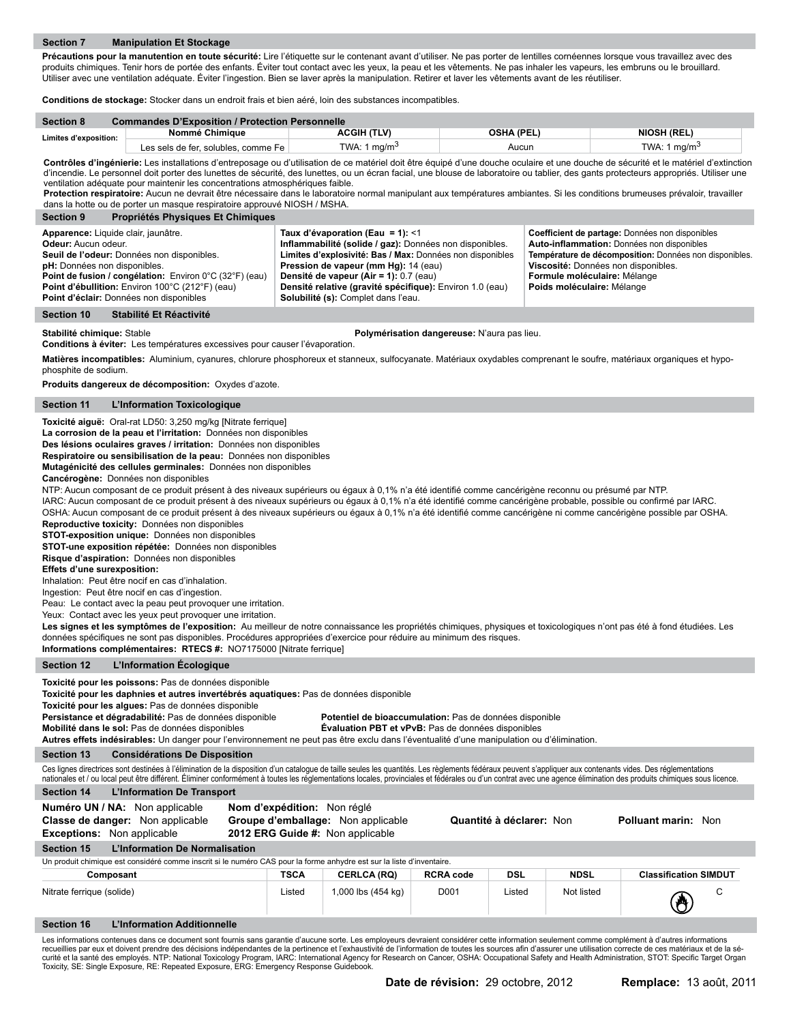Précautions pour la manutention en toute sécurité: Lire l'étiquette sur le contenant avant d'utiliser. Ne pas porter de lentilles cornéennes lorsque vous travaillez avec des produits chimiques. Tenir hors de portée des enfants. Éviter tout contact avec les yeux, la peau et les vêtements. Ne pas inhaler les vapeurs, les embruns ou le brouillard. Utiliser avec une ventilation adéquate. Éviter l'ingestion. Bien se laver après la manipulation. Retirer et laver les vêtements avant de les réutiliser.

**Conditions de stockage:** Stocker dans un endroit frais et bien aéré, loin des substances incompatibles.

| <b>Section 8</b>      | <b>Commandes D'Exposition / Protection Personnelle</b> |                 |            |                    |  |  |
|-----------------------|--------------------------------------------------------|-----------------|------------|--------------------|--|--|
| Limites d'exposition: | Nommé Chimique                                         | ACGIH (TLV)     | OSHA (PEL) | <b>NIOSH (REL)</b> |  |  |
|                       | Les sels de fer. solubles. comme Fe                    | TWA: 1 mg/m $3$ | Aucun      | TWA: 1 $ma/m3$     |  |  |

Contrôles d'ingénierie: Les installations d'entreposage ou d'utilisation de ce matériel doit être équipé d'une douche oculaire et une douche de sécurité et le matériel d'extinction d'incendie. Le personnel doit porter des lunettes de sécurité, des lunettes, ou un écran facial, une blouse de laboratoire ou tablier, des gants protecteurs appropriés. Utiliser une ventilation adéquate pour maintenir les concentrations atmosphériques faible.

Protection respiratoire: Aucun ne devrait être nécessaire dans le laboratoire normal manipulant aux températures ambiantes. Si les conditions brumeuses prévaloir, travailler dans la hotte ou de porter un masque respiratoire approuvé NIOSH / MSHA.

| <b>Section 9</b><br>Propriétés Physiques Et Chimiques                                                                                                                                                                                                                                                           |                                                                                                                                                                                                                                                                                                                                                  |                                                                                                                                                                                                                                                              |
|-----------------------------------------------------------------------------------------------------------------------------------------------------------------------------------------------------------------------------------------------------------------------------------------------------------------|--------------------------------------------------------------------------------------------------------------------------------------------------------------------------------------------------------------------------------------------------------------------------------------------------------------------------------------------------|--------------------------------------------------------------------------------------------------------------------------------------------------------------------------------------------------------------------------------------------------------------|
| Apparence: Liquide clair, jaunâtre.<br><b>Odeur:</b> Aucun odeur.<br>Seuil de l'odeur: Données non disponibles.<br><b>pH:</b> Données non disponibles.<br>Point de fusion / congélation: Environ 0°C (32°F) (eau)<br>Point d'ébullition: Environ 100°C (212°F) (eau)<br>Point d'éclair: Données non disponibles | Taux d'évaporation (Eau = 1): $<$ 1<br>Inflammabilité (solide / gaz): Données non disponibles.<br>Limites d'explosivité: Bas / Max: Données non disponibles<br>Pression de vapeur (mm Hg): 14 (eau)<br>Densité de vapeur (Air = 1): 0.7 (eau)<br>Densité relative (gravité spécifique): Environ 1.0 (eau)<br>Solubilité (s): Complet dans l'eau. | Coefficient de partage: Données non disponibles<br>Auto-inflammation: Données non disponibles<br>Température de décomposition: Données non disponibles.<br>Viscosité: Données non disponibles.<br>Formule moléculaire: Mélange<br>Poids moléculaire: Mélange |

#### **Section 10 Stabilité Et Réactivité**

**Stabilité chimique:** Stable **Polymérisation dangereuse:** N'aura pas lieu.

**Conditions à éviter:** Les températures excessives pour causer l'évaporation.

**Matières incompatibles:** Aluminium, cyanures, chlorure phosphoreux et stanneux, sulfocyanate. Matériaux oxydables comprenant le soufre, matériaux organiques et hypophosphite de sodium.

**Produits dangereux de décomposition:** Oxydes d'azote.

# **Section 11 L'Information Toxicologique**

**Toxicité aiguë:** Oral-rat LD50: 3,250 mg/kg [Nitrate ferrique]

**La corrosion de la peau et l'irritation:** Données non disponibles

**Des lésions oculaires graves / irritation:** Données non disponibles

**Respiratoire ou sensibilisation de la peau:** Données non disponibles

**Mutagénicité des cellules germinales:** Données non disponibles

**Cancérogène:** Données non disponibles

NTP: Aucun composant de ce produit présent à des niveaux supérieurs ou égaux à 0,1% n'a été identifié comme cancérigène reconnu ou présumé par NTP.

IARC: Aucun composant de ce produit présent à des niveaux supérieurs ou égaux à 0,1% n'a été identifié comme cancérigène probable, possible ou confirmé par IARC.

OSHA: Aucun composant de ce produit présent à des niveaux supérieurs ou égaux à 0,1% n'a été identifié comme cancérigène ni comme cancérigène possible par OSHA. **Reproductive toxicity:** Données non disponibles

**STOT-exposition unique:** Données non disponibles

**STOT-une exposition répétée:** Données non disponibles

**Risque d'aspiration:** Données non disponibles

# **Effets d'une surexposition:**

Inhalation: Peut être nocif en cas d'inhalation.

Ingestion: Peut être nocif en cas d'ingestion.

Peau: Le contact avec la peau peut provoquer une irritation.

Yeux: Contact avec les yeux peut provoquer une irritation.

Les signes et les symptômes de l'exposition: Au meilleur de notre connaissance les propriétés chimiques, physiques et toxicologiques n'ont pas été à fond étudiées. Les données spécifiques ne sont pas disponibles. Procédures appropriées d'exercice pour réduire au minimum des risques. **Informations complémentaires: RTECS #:** NO7175000 [Nitrate ferrique]

# **Section 12 L'Information Écologique**

**Toxicité pour les poissons:** Pas de données disponible

**Toxicité pour les daphnies et autres invertébrés aquatiques:** Pas de données disponible

**Toxicité pour les algues:** Pas de données disponible

Potentiel de bioaccumulation: Pas de données disponible

**Mobilité dans le sol:** Pas de données disponibles **Évaluation PBT et vPvB:** Pas de données disponibles

|  | Autres effets indésirables: Un danger pour l'environnement ne peut pas être exclu dans l'éventualité d'une manipulation ou d'élimination. |
|--|-------------------------------------------------------------------------------------------------------------------------------------------|
|  |                                                                                                                                           |

**Section 13 Considérations De Disposition**

Ces lignes directrices sont destinées à l'élimination de la disposition d'un catalogue de taille seules les quantités. Les règlements fédéraux peuvent s'appliquer aux contenants vides. Des réglementations nationales et / ou local peut être différent. Éliminer conformément à toutes les réglementations locales, provinciales et fédérales ou d'un contrat avec une agence élimination des produits chimiques sous licence

| <b>Section 14</b> | L'Information De Transport |  |  |
|-------------------|----------------------------|--|--|
|-------------------|----------------------------|--|--|

| Numéro UN / NA: Non applicable<br><b>Classe de danger:</b> Non applicable<br><b>Exceptions:</b> Non applicable        | <b>Nom d'expédition:</b> Non réglé<br><b>Groupe d'emballage:</b> Non applicable<br>2012 ERG Guide #: Non applicable |  | Quantité à déclarer: Non | <b>Polluant marin: Non</b> |  |  |
|-----------------------------------------------------------------------------------------------------------------------|---------------------------------------------------------------------------------------------------------------------|--|--------------------------|----------------------------|--|--|
| Section 15<br>L'Information De Normalisation                                                                          |                                                                                                                     |  |                          |                            |  |  |
| Un produit chimique est considéré comme inscrit si le numéro CAS pour la forme anhydre est sur la liste d'inventaire. |                                                                                                                     |  |                          |                            |  |  |

| Composant                 | TSCA   | <b>CERLCA (RQ)</b> | <b>RCRA code</b> | DSL    | NDSL       | <b>Classification SIMDUT</b> |
|---------------------------|--------|--------------------|------------------|--------|------------|------------------------------|
| Nitrate ferrique (solide) | _isted | ,000 lbs (454 kg)  | D001             | Listed | Not listed | - 10<br>ے                    |

# **Section 16 L'Information Additionnelle**

Les informations contenues dans ce document sont fournis sans garantie d'aucune sorte. Les employeurs devraient considérer cette information seulement comme complément à d'autres informations<br>recueillies par eux et doivent Toxicity, SE: Single Exposure, RE: Repeated Exposure, ERG: Emergency Response Guidebook.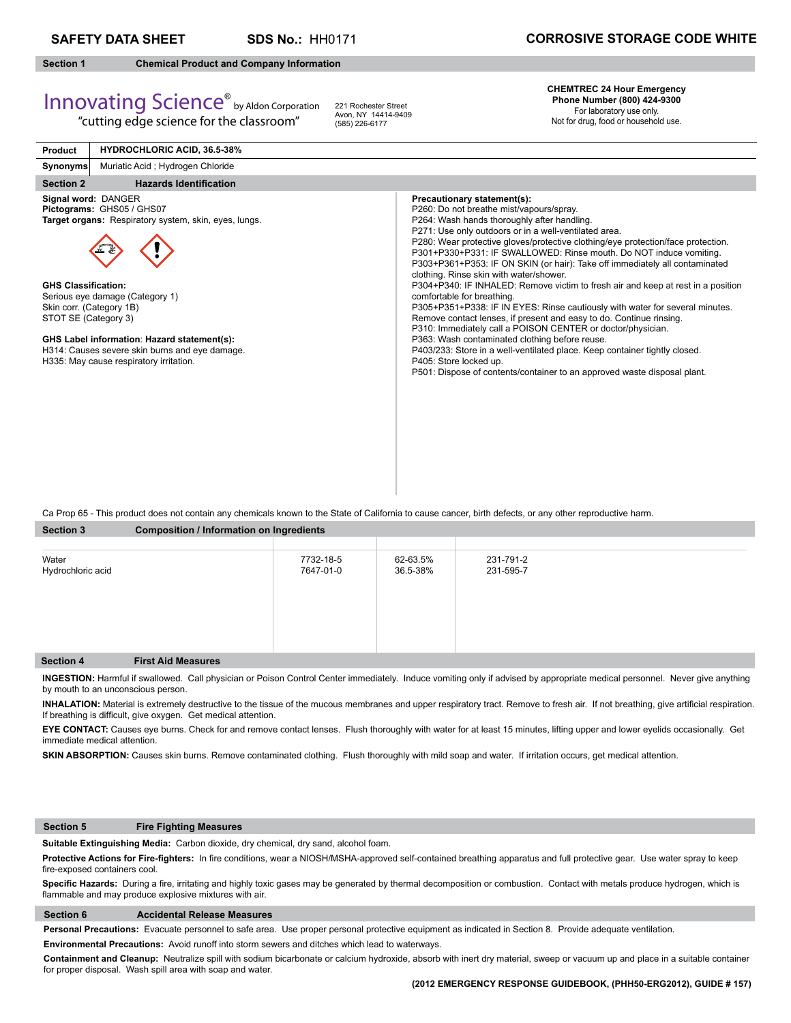**SDS No.:** HH0171

# **Section 1 Chemical Product and Company Information**

Innovating Science® by Aldon Corporation

"cutting edge science for the classroom"

221 Rochester Street Avon, NY 14414-9409 (585) 226-6177

# **CHEMTREC 24 Hour Emergency Phone Number (800) 424-9300**

For laboratory use only. Not for drug, food or household use.

| <b>Product</b>                                                                 | <b>HYDROCHLORIC ACID, 36.5-38%</b>                                                                                                                                                                                                                                                       |                                                                                                                                                                                                                                                                                                                                                                                                                                                                                                                                                                                                                                                                                                                                                                                                                                                                                                                                                                                                                                                   |
|--------------------------------------------------------------------------------|------------------------------------------------------------------------------------------------------------------------------------------------------------------------------------------------------------------------------------------------------------------------------------------|---------------------------------------------------------------------------------------------------------------------------------------------------------------------------------------------------------------------------------------------------------------------------------------------------------------------------------------------------------------------------------------------------------------------------------------------------------------------------------------------------------------------------------------------------------------------------------------------------------------------------------------------------------------------------------------------------------------------------------------------------------------------------------------------------------------------------------------------------------------------------------------------------------------------------------------------------------------------------------------------------------------------------------------------------|
| <b>Synonyms</b>                                                                | Muriatic Acid; Hydrogen Chloride                                                                                                                                                                                                                                                         |                                                                                                                                                                                                                                                                                                                                                                                                                                                                                                                                                                                                                                                                                                                                                                                                                                                                                                                                                                                                                                                   |
| <b>Section 2</b>                                                               | <b>Hazards Identification</b>                                                                                                                                                                                                                                                            |                                                                                                                                                                                                                                                                                                                                                                                                                                                                                                                                                                                                                                                                                                                                                                                                                                                                                                                                                                                                                                                   |
| <b>GHS Classification:</b><br>Skin corr. (Category 1B)<br>STOT SE (Category 3) | Signal word: DANGER<br>Pictograms: GHS05 / GHS07<br>Target organs: Respiratory system, skin, eyes, lungs.<br>Serious eye damage (Category 1)<br>GHS Label information: Hazard statement(s):<br>H314: Causes severe skin burns and eye damage.<br>H335: May cause respiratory irritation. | Precautionary statement(s):<br>P260: Do not breathe mist/vapours/spray.<br>P264: Wash hands thoroughly after handling.<br>P271: Use only outdoors or in a well-ventilated area.<br>P280: Wear protective gloves/protective clothing/eye protection/face protection.<br>P301+P330+P331: IF SWALLOWED: Rinse mouth. Do NOT induce vomiting.<br>P303+P361+P353: IF ON SKIN (or hair): Take off immediately all contaminated<br>clothing. Rinse skin with water/shower.<br>P304+P340: IF INHALED: Remove victim to fresh air and keep at rest in a position<br>comfortable for breathing.<br>P305+P351+P338: IF IN EYES: Rinse cautiously with water for several minutes.<br>Remove contact lenses, if present and easy to do. Continue rinsing.<br>P310: Immediately call a POISON CENTER or doctor/physician.<br>P363: Wash contaminated clothing before reuse.<br>P403/233: Store in a well-ventilated place. Keep container tightly closed.<br>P405: Store locked up.<br>P501: Dispose of contents/container to an approved waste disposal plant. |

Ca Prop 65 - This product does not contain any chemicals known to the State of California to cause cancer, birth defects, or any other reproductive harm.

| <b>Section 3</b>           | Composition / Information on Ingredients |                        |                      |                        |  |  |
|----------------------------|------------------------------------------|------------------------|----------------------|------------------------|--|--|
|                            |                                          |                        |                      |                        |  |  |
| Water<br>Hydrochloric acid |                                          | 7732-18-5<br>7647-01-0 | 62-63.5%<br>36.5-38% | 231-791-2<br>231-595-7 |  |  |
| Section 4                  | <b>First Aid Measures</b>                |                        |                      |                        |  |  |

**INGESTION:** Harmful if swallowed. Call physician or Poison Control Center immediately. Induce vomiting only if advised by appropriate medical personnel.Never give anything by mouth to an unconscious person.

INHALATION: Material is extremely destructive to the tissue of the mucous membranes and upper respiratory tract. Remove to fresh air. If not breathing, give artificial respiration. If breathing is difficult, give oxygen. Get medical attention.

**EYE CONTACT:** Causes eye burns. Check for and remove contact lenses. Flush thoroughly with water for at least 15 minutes, lifting upper and lower eyelids occasionally. Get immediate medical attention.

SKIN ABSORPTION: Causes skin burns. Remove contaminated clothing. Flush thoroughly with mild soap and water. If irritation occurs, get medical attention.

# **Section 5 Fire Fighting Measures**

**Suitable Extinguishing Media:** Carbon dioxide, dry chemical, dry sand, alcohol foam.

Protective Actions for Fire-fighters: In fire conditions, wear a NIOSH/MSHA-approved self-contained breathing apparatus and full protective gear. Use water spray to keep fire-exposed containers cool.

Specific Hazards: During a fire, irritating and highly toxic gases may be generated by thermal decomposition or combustion. Contact with metals produce hydrogen, which is flammable and may produce explosive mixtures with air.

# **Section 6 Accidental Release Measures**

**Personal Precautions:** Evacuate personnel to safe area. Use proper personal protective equipment as indicated in Section 8. Provide adequate ventilation.

**Environmental Precautions:** Avoid runoff into storm sewers and ditches which lead to waterways.

**Containment and Cleanup:** Neutralize spill with sodium bicarbonate or calcium hydroxide, absorb with inert dry material, sweep or vacuum up and place in a suitable container for proper disposal. Wash spill area with soap and water.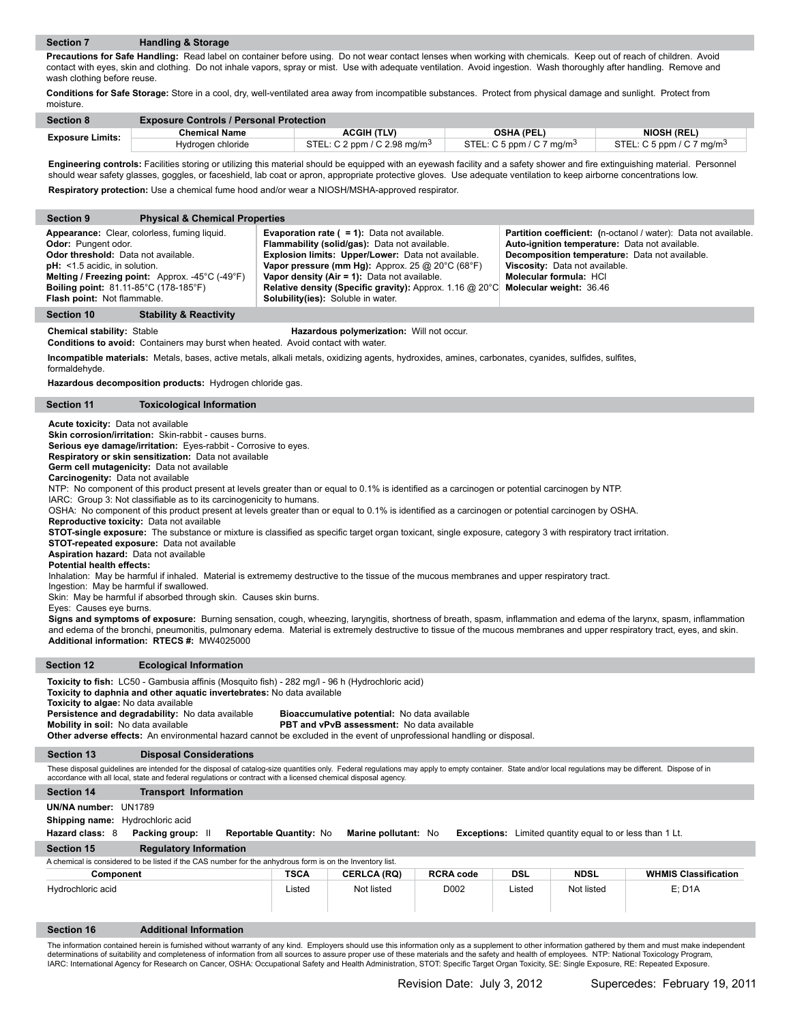**Precautions for Safe Handling:** Read label on container before using. Do not wear contact lenses when working with chemicals. Keep out of reach of children. Avoid contact with eyes, skin and clothing. Do not inhale vapors, spray or mist. Use with adequate ventilation. Avoid ingestion. Wash thoroughly after handling. Remove and wash clothing before reuse.

**Conditions for Safe Storage:** Store in a cool, dry, well-ventilated area away from incompatible substances. Protect from physical damage and sunlight. Protect from moisture.

| <b>Section 8</b>        | <b>Exposure Controls / Personal Protection</b> |                                          |                                       |                                       |  |  |
|-------------------------|------------------------------------------------|------------------------------------------|---------------------------------------|---------------------------------------|--|--|
| <b>Exposure Limits:</b> | Chemical Name                                  | <b>ACGIH (TLV)</b>                       | <b>OSHA (PEL)</b>                     | NIOSH (REL)                           |  |  |
|                         | Hydrogen chloride                              | STEL: C 2 ppm / C 2.98 mg/m <sup>3</sup> | STEL: C 5 ppm / C 7 mg/m <sup>3</sup> | STEL: C 5 ppm / C 7 mg/m <sup>3</sup> |  |  |

Engineering controls: Facilities storing or utilizing this material should be equipped with an eyewash facility and a safety shower and fire extinguishing material. Personnel should wear safety glasses, goggles, or faceshield, lab coat or apron, appropriate protective gloves. Use adequate ventilation to keep airborne concentrations low. **Respiratory protection:** Use a chemical fume hood and/or wear a NIOSH/MSHA-approved respirator.

| <b>Section 9</b>                                                                                                                                                             | <b>Physical &amp; Chemical Properties</b>                                                                                                                                                                                                                                                                                                                                                                                                                                                                                                                                                                                                                                                                                                                                                                                                                                                                                                                                                                                                                                                                                                                                                                                                                                                                                                                                                                                                                                                                                                                                                                                                                                                                                                 |                                |                                                                                                                                                                                                                                                                                                                                                                                       |                  |            |                                                                                                                                       |                                                                                                                   |
|------------------------------------------------------------------------------------------------------------------------------------------------------------------------------|-------------------------------------------------------------------------------------------------------------------------------------------------------------------------------------------------------------------------------------------------------------------------------------------------------------------------------------------------------------------------------------------------------------------------------------------------------------------------------------------------------------------------------------------------------------------------------------------------------------------------------------------------------------------------------------------------------------------------------------------------------------------------------------------------------------------------------------------------------------------------------------------------------------------------------------------------------------------------------------------------------------------------------------------------------------------------------------------------------------------------------------------------------------------------------------------------------------------------------------------------------------------------------------------------------------------------------------------------------------------------------------------------------------------------------------------------------------------------------------------------------------------------------------------------------------------------------------------------------------------------------------------------------------------------------------------------------------------------------------------|--------------------------------|---------------------------------------------------------------------------------------------------------------------------------------------------------------------------------------------------------------------------------------------------------------------------------------------------------------------------------------------------------------------------------------|------------------|------------|---------------------------------------------------------------------------------------------------------------------------------------|-------------------------------------------------------------------------------------------------------------------|
| Odor: Pungent odor.<br>Odor threshold: Data not available.<br>$pH:$ <1.5 acidic, in solution.<br><b>Boiling point:</b> 81.11-85°C (178-185°F)<br>Flash point: Not flammable. | Appearance: Clear, colorless, fuming liquid.<br>Melting / Freezing point: Approx. -45°C (-49°F)                                                                                                                                                                                                                                                                                                                                                                                                                                                                                                                                                                                                                                                                                                                                                                                                                                                                                                                                                                                                                                                                                                                                                                                                                                                                                                                                                                                                                                                                                                                                                                                                                                           |                                | <b>Evaporation rate (<math>= 1</math>):</b> Data not available.<br>Flammability (solid/gas): Data not available.<br>Explosion limits: Upper/Lower: Data not available.<br>Vapor pressure (mm Hg): Approx. 25 $@$ 20 $°C$ (68 $°F$ )<br>Vapor density (Air = 1): Data not available.<br>Relative density (Specific gravity): Approx. 1.16 @ 20°C<br>Solubility(ies): Soluble in water. |                  |            | Auto-ignition temperature: Data not available.<br>Viscosity: Data not available.<br>Molecular formula: HCI<br>Molecular weight: 36.46 | Partition coefficient: (n-octanol / water): Data not available.<br>Decomposition temperature: Data not available. |
| <b>Section 10</b>                                                                                                                                                            | <b>Stability &amp; Reactivity</b>                                                                                                                                                                                                                                                                                                                                                                                                                                                                                                                                                                                                                                                                                                                                                                                                                                                                                                                                                                                                                                                                                                                                                                                                                                                                                                                                                                                                                                                                                                                                                                                                                                                                                                         |                                |                                                                                                                                                                                                                                                                                                                                                                                       |                  |            |                                                                                                                                       |                                                                                                                   |
| <b>Chemical stability: Stable</b>                                                                                                                                            | <b>Conditions to avoid:</b> Containers may burst when heated. Avoid contact with water.                                                                                                                                                                                                                                                                                                                                                                                                                                                                                                                                                                                                                                                                                                                                                                                                                                                                                                                                                                                                                                                                                                                                                                                                                                                                                                                                                                                                                                                                                                                                                                                                                                                   |                                | Hazardous polymerization: Will not occur.                                                                                                                                                                                                                                                                                                                                             |                  |            |                                                                                                                                       |                                                                                                                   |
| formaldehyde.                                                                                                                                                                | Incompatible materials: Metals, bases, active metals, alkali metals, oxidizing agents, hydroxides, amines, carbonates, cyanides, sulfides, sulfites,                                                                                                                                                                                                                                                                                                                                                                                                                                                                                                                                                                                                                                                                                                                                                                                                                                                                                                                                                                                                                                                                                                                                                                                                                                                                                                                                                                                                                                                                                                                                                                                      |                                |                                                                                                                                                                                                                                                                                                                                                                                       |                  |            |                                                                                                                                       |                                                                                                                   |
|                                                                                                                                                                              | Hazardous decomposition products: Hydrogen chloride gas.                                                                                                                                                                                                                                                                                                                                                                                                                                                                                                                                                                                                                                                                                                                                                                                                                                                                                                                                                                                                                                                                                                                                                                                                                                                                                                                                                                                                                                                                                                                                                                                                                                                                                  |                                |                                                                                                                                                                                                                                                                                                                                                                                       |                  |            |                                                                                                                                       |                                                                                                                   |
| <b>Section 11</b>                                                                                                                                                            | <b>Toxicological Information</b>                                                                                                                                                                                                                                                                                                                                                                                                                                                                                                                                                                                                                                                                                                                                                                                                                                                                                                                                                                                                                                                                                                                                                                                                                                                                                                                                                                                                                                                                                                                                                                                                                                                                                                          |                                |                                                                                                                                                                                                                                                                                                                                                                                       |                  |            |                                                                                                                                       |                                                                                                                   |
|                                                                                                                                                                              | Acute toxicity: Data not available<br>Skin corrosion/irritation: Skin-rabbit - causes burns.<br>Serious eye damage/irritation: Eyes-rabbit - Corrosive to eyes.<br>Respiratory or skin sensitization: Data not available<br>Germ cell mutagenicity: Data not available<br>Carcinogenity: Data not available<br>NTP: No component of this product present at levels greater than or equal to 0.1% is identified as a carcinogen or potential carcinogen by NTP.<br>IARC: Group 3: Not classifiable as to its carcinogenicity to humans.<br>OSHA: No component of this product present at levels greater than or equal to 0.1% is identified as a carcinogen or potential carcinogen by OSHA.<br>Reproductive toxicity: Data not available<br>STOT-single exposure: The substance or mixture is classified as specific target organ toxicant, single exposure, category 3 with respiratory tract irritation.<br><b>STOT-repeated exposure:</b> Data not available<br>Aspiration hazard: Data not available<br><b>Potential health effects:</b><br>Inhalation: May be harmful if inhaled. Material is extrememy destructive to the tissue of the mucous membranes and upper respiratory tract.<br>Ingestion: May be harmful if swallowed.<br>Skin: May be harmful if absorbed through skin. Causes skin burns.<br>Eyes: Causes eye burns.<br>Signs and symptoms of exposure: Burning sensation, cough, wheezing, laryngitis, shortness of breath, spasm, inflammation and edema of the larynx, spasm, inflammation<br>and edema of the bronchi, pneumonitis, pulmonary edema. Material is extremely destructive to tissue of the mucous membranes and upper respiratory tract, eyes, and skin.<br>Additional information: RTECS #: MW4025000 |                                |                                                                                                                                                                                                                                                                                                                                                                                       |                  |            |                                                                                                                                       |                                                                                                                   |
| <b>Section 12</b>                                                                                                                                                            | <b>Ecological Information</b>                                                                                                                                                                                                                                                                                                                                                                                                                                                                                                                                                                                                                                                                                                                                                                                                                                                                                                                                                                                                                                                                                                                                                                                                                                                                                                                                                                                                                                                                                                                                                                                                                                                                                                             |                                |                                                                                                                                                                                                                                                                                                                                                                                       |                  |            |                                                                                                                                       |                                                                                                                   |
|                                                                                                                                                                              | Toxicity to fish: LC50 - Gambusia affinis (Mosquito fish) - 282 mg/l - 96 h (Hydrochloric acid)<br>Toxicity to daphnia and other aquatic invertebrates: No data available<br>Toxicity to algae: No data available<br>Persistence and degradability: No data available<br>Bioaccumulative potential: No data available<br>Mobility in soil: No data available<br><b>PBT and vPvB assessment:</b> No data available<br>Other adverse effects: An environmental hazard cannot be excluded in the event of unprofessional handling or disposal.                                                                                                                                                                                                                                                                                                                                                                                                                                                                                                                                                                                                                                                                                                                                                                                                                                                                                                                                                                                                                                                                                                                                                                                               |                                |                                                                                                                                                                                                                                                                                                                                                                                       |                  |            |                                                                                                                                       |                                                                                                                   |
| <b>Section 13</b>                                                                                                                                                            | <b>Disposal Considerations</b>                                                                                                                                                                                                                                                                                                                                                                                                                                                                                                                                                                                                                                                                                                                                                                                                                                                                                                                                                                                                                                                                                                                                                                                                                                                                                                                                                                                                                                                                                                                                                                                                                                                                                                            |                                |                                                                                                                                                                                                                                                                                                                                                                                       |                  |            |                                                                                                                                       |                                                                                                                   |
|                                                                                                                                                                              | These disposal guidelines are intended for the disposal of catalog-size quantities only. Federal regulations may apply to empty container. State and/or local regulations may be different. Dispose of in<br>accordance with all local, state and federal regulations or contract with a licensed chemical disposal agency.                                                                                                                                                                                                                                                                                                                                                                                                                                                                                                                                                                                                                                                                                                                                                                                                                                                                                                                                                                                                                                                                                                                                                                                                                                                                                                                                                                                                               |                                |                                                                                                                                                                                                                                                                                                                                                                                       |                  |            |                                                                                                                                       |                                                                                                                   |
| Section 14                                                                                                                                                                   | <b>Transport Information</b>                                                                                                                                                                                                                                                                                                                                                                                                                                                                                                                                                                                                                                                                                                                                                                                                                                                                                                                                                                                                                                                                                                                                                                                                                                                                                                                                                                                                                                                                                                                                                                                                                                                                                                              |                                |                                                                                                                                                                                                                                                                                                                                                                                       |                  |            |                                                                                                                                       |                                                                                                                   |
| UN/NA number: UN1789<br>Shipping name: Hydrochloric acid                                                                                                                     |                                                                                                                                                                                                                                                                                                                                                                                                                                                                                                                                                                                                                                                                                                                                                                                                                                                                                                                                                                                                                                                                                                                                                                                                                                                                                                                                                                                                                                                                                                                                                                                                                                                                                                                                           |                                |                                                                                                                                                                                                                                                                                                                                                                                       |                  |            |                                                                                                                                       |                                                                                                                   |
| Hazard class: 8                                                                                                                                                              | Packing group: II                                                                                                                                                                                                                                                                                                                                                                                                                                                                                                                                                                                                                                                                                                                                                                                                                                                                                                                                                                                                                                                                                                                                                                                                                                                                                                                                                                                                                                                                                                                                                                                                                                                                                                                         | <b>Reportable Quantity: No</b> | Marine pollutant: No                                                                                                                                                                                                                                                                                                                                                                  |                  |            | <b>Exceptions:</b> Limited quantity equal to or less than 1 Lt.                                                                       |                                                                                                                   |
| <b>Section 15</b>                                                                                                                                                            | <b>Regulatory Information</b><br>A chemical is considered to be listed if the CAS number for the anhydrous form is on the Inventory list.                                                                                                                                                                                                                                                                                                                                                                                                                                                                                                                                                                                                                                                                                                                                                                                                                                                                                                                                                                                                                                                                                                                                                                                                                                                                                                                                                                                                                                                                                                                                                                                                 |                                |                                                                                                                                                                                                                                                                                                                                                                                       |                  |            |                                                                                                                                       |                                                                                                                   |
| Component                                                                                                                                                                    |                                                                                                                                                                                                                                                                                                                                                                                                                                                                                                                                                                                                                                                                                                                                                                                                                                                                                                                                                                                                                                                                                                                                                                                                                                                                                                                                                                                                                                                                                                                                                                                                                                                                                                                                           | <b>TSCA</b>                    | <b>CERLCA (RQ)</b>                                                                                                                                                                                                                                                                                                                                                                    | <b>RCRA code</b> | <b>DSL</b> | <b>NDSL</b>                                                                                                                           | <b>WHMIS Classification</b>                                                                                       |
| Hydrochloric acid                                                                                                                                                            |                                                                                                                                                                                                                                                                                                                                                                                                                                                                                                                                                                                                                                                                                                                                                                                                                                                                                                                                                                                                                                                                                                                                                                                                                                                                                                                                                                                                                                                                                                                                                                                                                                                                                                                                           | Listed                         | Not listed                                                                                                                                                                                                                                                                                                                                                                            | D002             | Listed     | Not listed                                                                                                                            | $E$ ; D <sub>1</sub> A                                                                                            |
| Section 16                                                                                                                                                                   | <b>Additional Information</b>                                                                                                                                                                                                                                                                                                                                                                                                                                                                                                                                                                                                                                                                                                                                                                                                                                                                                                                                                                                                                                                                                                                                                                                                                                                                                                                                                                                                                                                                                                                                                                                                                                                                                                             |                                |                                                                                                                                                                                                                                                                                                                                                                                       |                  |            |                                                                                                                                       |                                                                                                                   |

The information contained herein is furnished without warranty of any kind. Employers should use this information only as a supplement to other information gathered by them and must make independent<br>determinations of suita IARC: International Agency for Research on Cancer, OSHA: Occupational Safety and Health Administration, STOT: Specific Target Organ Toxicity, SE: Single Exposure, RE: Repeated Exposure.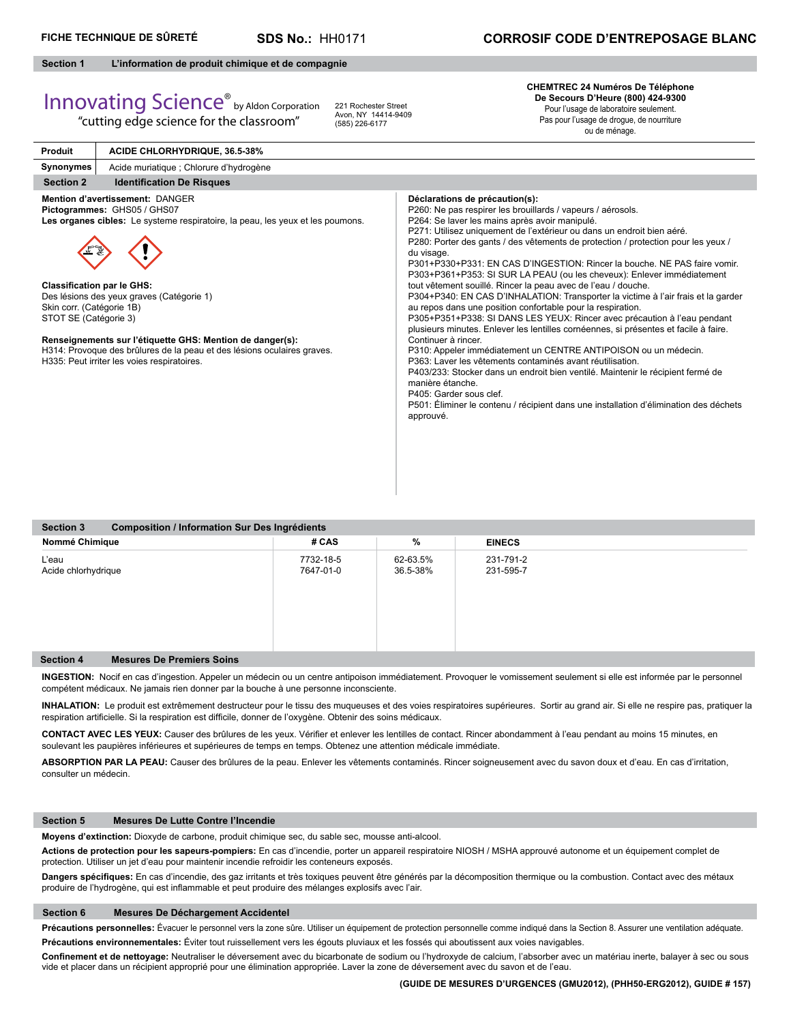**Produit**

**SDS No.:** HH0171

# **Section 1 L'information de produit chimique et de compagnie**

# Innovating Science® by Aldon Corporation

"cutting edge science for the classroom"

**ACIDE CHLORHYDRIQUE, 36.5-38%**

221 Rochester Street Avon, NY 14414-9409 (585) 226-6177

# **CHEMTREC 24 Numéros De Téléphone De Secours D'Heure (800) 424-9300** Pour l'usage de laboratoire seulement.

Pas pour l'usage de drogue, de nourriture ou de ménage.

| rivuut                                                                                  | AVIDE ONEONIT DINGOE, 30.3-3070                                                                                                                                                                                                                                                                                                                                                      |                                                                                                                                                                                                                                                                                                                                                                                                                                                                                                                                                                                                                                                                                                                                                                                                                                                                                                                                                                                                                                                                                                                                                                                                                                                                             |
|-----------------------------------------------------------------------------------------|--------------------------------------------------------------------------------------------------------------------------------------------------------------------------------------------------------------------------------------------------------------------------------------------------------------------------------------------------------------------------------------|-----------------------------------------------------------------------------------------------------------------------------------------------------------------------------------------------------------------------------------------------------------------------------------------------------------------------------------------------------------------------------------------------------------------------------------------------------------------------------------------------------------------------------------------------------------------------------------------------------------------------------------------------------------------------------------------------------------------------------------------------------------------------------------------------------------------------------------------------------------------------------------------------------------------------------------------------------------------------------------------------------------------------------------------------------------------------------------------------------------------------------------------------------------------------------------------------------------------------------------------------------------------------------|
| Synonymes                                                                               | Acide muriatique ; Chlorure d'hydrogène                                                                                                                                                                                                                                                                                                                                              |                                                                                                                                                                                                                                                                                                                                                                                                                                                                                                                                                                                                                                                                                                                                                                                                                                                                                                                                                                                                                                                                                                                                                                                                                                                                             |
| <b>Section 2</b>                                                                        | <b>Identification De Risques</b>                                                                                                                                                                                                                                                                                                                                                     |                                                                                                                                                                                                                                                                                                                                                                                                                                                                                                                                                                                                                                                                                                                                                                                                                                                                                                                                                                                                                                                                                                                                                                                                                                                                             |
| <b>Classification par le GHS:</b><br>Skin corr. (Catégorie 1B)<br>STOT SE (Catégorie 3) | Mention d'avertissement: DANGER<br>Pictogrammes: GHS05 / GHS07<br>Les organes cibles: Le systeme respiratoire, la peau, les yeux et les poumons.<br>Des lésions des yeux graves (Catégorie 1)<br>Renseignements sur l'étiquette GHS: Mention de danger(s):<br>H314: Provoque des brûlures de la peau et des lésions oculaires graves.<br>H335: Peut irriter les voies respiratoires. | Déclarations de précaution(s):<br>P260: Ne pas respirer les brouillards / vapeurs / aérosols.<br>P264: Se laver les mains après avoir manipulé.<br>P271: Utilisez uniquement de l'extérieur ou dans un endroit bien aéré.<br>P280: Porter des gants / des vêtements de protection / protection pour les yeux /<br>du visage.<br>P301+P330+P331: EN CAS D'INGESTION: Rincer la bouche. NE PAS faire vomir.<br>P303+P361+P353: SI SUR LA PEAU (ou les cheveux): Enlever immédiatement<br>tout vêtement souillé. Rincer la peau avec de l'eau / douche.<br>P304+P340: EN CAS D'INHALATION: Transporter la victime à l'air frais et la garder<br>au repos dans une position confortable pour la respiration.<br>P305+P351+P338: SI DANS LES YEUX: Rincer avec précaution à l'eau pendant<br>plusieurs minutes. Enlever les lentilles cornéennes, si présentes et facile à faire.<br>Continuer à rincer.<br>P310: Appeler immédiatement un CENTRE ANTIPOISON ou un médecin.<br>P363: Laver les vêtements contaminés avant réutilisation.<br>P403/233: Stocker dans un endroit bien ventilé. Maintenir le récipient fermé de<br>manière étanche.<br>P405: Garder sous clef.<br>P501: Éliminer le contenu / récipient dans une installation d'élimination des déchets<br>approuvé. |

| <b>Section 3</b><br>Composition / Information Sur Des Ingrédients |                        |                      |                        |  |  |  |  |
|-------------------------------------------------------------------|------------------------|----------------------|------------------------|--|--|--|--|
| Nommé Chimique                                                    | # CAS                  | $\%$                 | <b>EINECS</b>          |  |  |  |  |
| L'eau<br>Acide chlorhydrique                                      | 7732-18-5<br>7647-01-0 | 62-63.5%<br>36.5-38% | 231-791-2<br>231-595-7 |  |  |  |  |
| <b>Section 4</b><br><b>Mesures De Premiers Soins</b>              |                        |                      |                        |  |  |  |  |

**INGESTION:** Nocif en cas d'ingestion. Appeler un médecin ou un centre antipoison immédiatement. Provoquer le vomissement seulement si elle est informée par le personnel compétent médicaux. Ne jamais rien donner par la bouche à une personne inconsciente.

**INHALATION:** Le produit est extrêmement destructeur pour le tissu des muqueuses et des voies respiratoires supérieures. Sortir au grand air. Si elle ne respire pas, pratiquer la respiration artificielle. Si la respiration est difficile, donner de l'oxygène. Obtenir des soins médicaux.

CONTACT AVEC LES YEUX: Causer des brûlures de les yeux. Vérifier et enlever les lentilles de contact. Rincer abondamment à l'eau pendant au moins 15 minutes, en soulevant les paupières inférieures et supérieures de temps en temps. Obtenez une attention médicale immédiate.

**ABSORPTION PAR LA PEAU:** Causer des brûlures de la peau. Enlever les vêtements contaminés. Rincer soigneusement avec du savon doux et d'eau. En cas d'irritation, consulter un médecin.

### **Section 5 Mesures De Lutte Contre l'Incendie**

**Moyens d'extinction:** Dioxyde de carbone, produit chimique sec, du sable sec, mousse anti-alcool.

**Actions de protection pour les sapeurs-pompiers:** En cas d'incendie, porter un appareil respiratoire NIOSH / MSHA approuvé autonome et un équipement complet de protection. Utiliser un jet d'eau pour maintenir incendie refroidir les conteneurs exposés.

Dangers spécifiques: En cas d'incendie, des gaz irritants et très toxiques peuvent être générés par la décomposition thermique ou la combustion. Contact avec des métaux produire de l'hydrogène, qui est inflammable et peut produire des mélanges explosifs avec l'air.

## **Section 6 Mesures De Déchargement Accidentel**

Précautions personnelles: Évacuer le personnel vers la zone sûre. Utiliser un équipement de protection personnelle comme indiqué dans la Section 8. Assurer une ventilation adéquate.

**Précautions environnementales:** Éviter tout ruissellement vers les égouts pluviaux et les fossés qui aboutissent aux voies navigables.

Confinement et de nettoyage: Neutraliser le déversement avec du bicarbonate de sodium ou l'hydroxyde de calcium, l'absorber avec un matériau inerte, balayer à sec ou sous vide et placer dans un récipient approprié pour une élimination appropriée. Laver la zone de déversement avec du savon et de l'eau.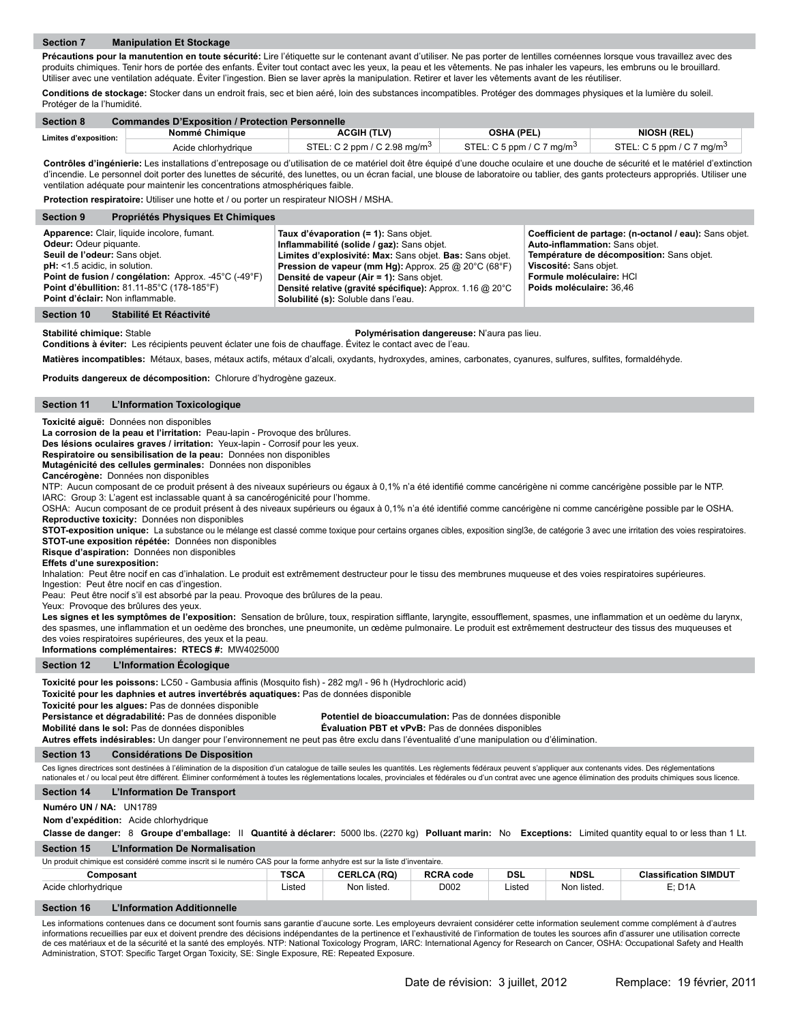Précautions pour la manutention en toute sécurité: Lire l'étiquette sur le contenant avant d'utiliser. Ne pas porter de lentilles cornéennes lorsque vous travaillez avec des produits chimiques. Tenir hors de portée des enfants. Éviter tout contact avec les yeux, la peau et les vêtements. Ne pas inhaler les vapeurs, les embruns ou le brouillard. Utiliser avec une ventilation adéquate. Éviter l'ingestion. Bien se laver après la manipulation. Retirer et laver les vêtements avant de les réutiliser.

**Conditions de stockage:** Stocker dans un endroit frais, sec et bien aéré, loin des substances incompatibles. Protéger des dommages physiques et la lumière du soleil. Protéger de la l'humidité.

| <b>Section 8</b>      | <b>Commandes D'Exposition / Protection Personnelle</b> |                                          |                                       |                                       |  |  |  |
|-----------------------|--------------------------------------------------------|------------------------------------------|---------------------------------------|---------------------------------------|--|--|--|
| Limites d'exposition: | Nommé Chimique                                         | <b>ACGIH (TLV)</b>                       | <b>OSHA (PEL)</b>                     | <b>NIOSH (REL)</b>                    |  |  |  |
|                       | Acide chlorhydriaue                                    | STEL: C 2 ppm / C 2.98 mg/m <sup>3</sup> | STEL: C 5 ppm / C 7 mg/m <sup>3</sup> | STEL: C 5 ppm / C 7 mg/m <sup>3</sup> |  |  |  |

**Contrôles d'ingénierie:** Les installations d'entreposage ou d'utilisation de ce matériel doit être équipé d'une douche oculaire et une douche de sécurité et le matériel d'extinction d'incendie. Le personnel doit porter des lunettes de sécurité, des lunettes, ou un écran facial, une blouse de laboratoire ou tablier, des gants protecteurs appropriés. Utiliser une ventilation adéquate pour maintenir les concentrations atmosphériques faible.

**Protection respiratoire:** Utiliser une hotte et / ou porter un respirateur NIOSH / MSHA.

| <b>Propriétés Physiques Et Chimiques</b><br><b>Section 9</b>                                                                                                                                                                                                                        |                                                                                                                                                                                                                                                                                                                                                                 |                                                                                                                                                                                                                         |
|-------------------------------------------------------------------------------------------------------------------------------------------------------------------------------------------------------------------------------------------------------------------------------------|-----------------------------------------------------------------------------------------------------------------------------------------------------------------------------------------------------------------------------------------------------------------------------------------------------------------------------------------------------------------|-------------------------------------------------------------------------------------------------------------------------------------------------------------------------------------------------------------------------|
| Apparence: Clair, liquide incolore, fumant.<br>Odeur: Odeur piquante.<br>Seuil de l'odeur: Sans objet.<br>$pH:$ <1.5 acidic, in solution.<br>Point de fusion / congélation: Approx. -45°C (-49°F)<br>Point d'ébullition: 81.11-85°C (178-185°F)<br>Point d'éclair: Non inflammable. | Taux d'évaporation (= 1): Sans objet.<br>Inflammabilité (solide / gaz): Sans objet.<br>Limites d'explosivité: Max: Sans objet. Bas: Sans objet.<br><b>Pression de vapeur (mm Hg):</b> Approx. 25 @ 20°C (68°F)<br>Densité de vapeur (Air = 1): Sans objet.<br>Densité relative (gravité spécifique): Approx. 1.16 @ 20°C<br>Solubilité (s): Soluble dans l'eau. | Coefficient de partage: (n-octanol / eau): Sans objet.<br>Auto-inflammation: Sans objet.<br>Température de décomposition: Sans objet.<br>Viscosité: Sans objet.<br>Formule moléculaire: HCI<br>Poids moléculaire: 36.46 |

### **Section 10 Stabilité Et Réactivité**

**Stabilité chimique:** Stable **Polymérisation dangereuse:** N'aura pas lieu.

**Conditions à éviter:** Les récipients peuvent éclater une fois de chauffage. Évitez le contact avec de l'eau.

Matières incompatibles: Métaux, bases, métaux actifs, métaux d'alcali, oxydants, hydroxydes, amines, carbonates, cyanures, sulfures, sulfites, formaldéhyde.

**Produits dangereux de décomposition:** Chlorure d'hydrogène gazeux.

# **Section 11 L'Information Toxicologique**

# **Toxicité aiguë:** Données non disponibles

**La corrosion de la peau et l'irritation:** Peau-lapin - Provoque des brûlures. **Des lésions oculaires graves / irritation:** Yeux-lapin - Corrosif pour les yeux.

**Respiratoire ou sensibilisation de la peau:** Données non disponibles

**Mutagénicité des cellules germinales:** Données non disponibles

# **Cancérogène:** Données non disponibles

NTP: Aucun composant de ce produit présent à des niveaux supérieurs ou égaux à 0,1% n'a été identifié comme cancérigène ni comme cancérigène possible par le NTP. IARC: Group 3: L'agent est inclassable quant à sa cancérogénicité pour l'homme.

OSHA: Aucun composant de ce produit présent à des niveaux supérieurs ou égaux à 0,1% n'a été identifié comme cancérigène ni comme cancérigène possible par le OSHA. **Reproductive toxicity:** Données non disponibles

**STOT-exposition unique:** La substance ou le mélange est classé comme toxique pour certains organes cibles, exposition singl3e, de catégorie 3 avec une irritation des voies respiratoires. **STOT-une exposition répétée:** Données non disponibles

**Risque d'aspiration:** Données non disponibles

## **Effets d'une surexposition:**

Inhalation: Peut être nocif en cas d'inhalation. Le produit est extrêmement destructeur pour le tissu des membrunes muqueuse et des voies respiratoires supérieures.

Ingestion: Peut être nocif en cas d'ingestion.

Peau: Peut être nocif s'il est absorbé par la peau. Provoque des brûlures de la peau.

Yeux: Provoque des brûlures des yeux.

Les signes et les symptômes de l'exposition: Sensation de brûlure, toux, respiration sifflante, laryngite, essoufflement, spasmes, une inflammation et un oedème du larynx, des spasmes, une inflammation et un oedème des bronches, une pneumonite, un œdème pulmonaire. Le produit est extrêmement destructeur des tissus des muqueuses et des voies respiratoires supérieures, des yeux et la peau.

**Informations complémentaires: RTECS #:** MW4025000

## **Section 12 L'Information Écologique**

**Section 13 Considérations De Disposition** Ces lignes directrices sont destinées à l'élimination de la disposition d'un catalogue de taille seules les quantités. Les règlements fédéraux peuvent s'appliquer aux contenants vides. Des réglementations nationales et / ou local peut être différent. Éliminer conformément à toutes les réglementations locales, provinciales et fédérales ou d'un contrat avec une agence élimination des produits chimiques sous licence. Toxicité pour les poissons: LC50 - Gambusia affinis (Mosquito fish) - 282 mg/l - 96 h (Hydrochloric acid) **Toxicité pour les daphnies et autres invertébrés aquatiques:** Pas de données disponible **Toxicité pour les algues:** Pas de données disponible Potentiel de bioaccumulation: Pas de données disponible **Mobilité dans le sol:** Pas de données disponibles **Évaluation PBT et vPvB:** Pas de données disponibles **Autres effets indésirables:** Un danger pour l'environnement ne peut pas être exclu dans l'éventualité d'une manipulation ou d'élimination.

#### **Section 14 L'Information De Transport**

# **Numéro UN / NA:** UN1789

**Nom d'expédition:** Acide chlorhydrique

**Section 15 L'Information De Normalisation Classe de danger:** 8 **Groupe d'emballage:** II **Quantité à déclarer:** 5000 lbs. (2270 kg) **Polluant marin:** No **Exceptions:** Limited quantity equal to or less than 1 Lt.

Un produit chimique est considéré comme inscrit si le numéro CAS pour la forme anhydre est sur la liste d'inventaire.

| Composant           | <b>TSCA</b> | <b>CERLCA (RQ)</b> | <b>RCRA code</b>      | <b>DSL</b> | <b>NDSL</b> | <b>Classification SIMDUT</b> |
|---------------------|-------------|--------------------|-----------------------|------------|-------------|------------------------------|
| Acide chlorhydrique | Listed      | listed.<br>Non     | D002<br>$\sim$ $\sim$ | Listed     | Non listed. | E: D1A                       |

# **Section 16 L'Information Additionnelle**

Les informations contenues dans ce document sont fournis sans garantie d'aucune sorte. Les employeurs devraient considérer cette information seulement comme complément à d'autres informations recueillies par eux et doivent prendre des décisions indépendantes de la pertinence et l'exhaustivité de l'information de toutes les sources afin d'assurer une utilisation correcte de ces matériaux et de la sécurité et la santé des employés. NTP: National Toxicology Program, IARC: International Agency for Research on Cancer, OSHA: Occupational Safety and Health Administration, STOT: Specific Target Organ Toxicity, SE: Single Exposure, RE: Repeated Exposure.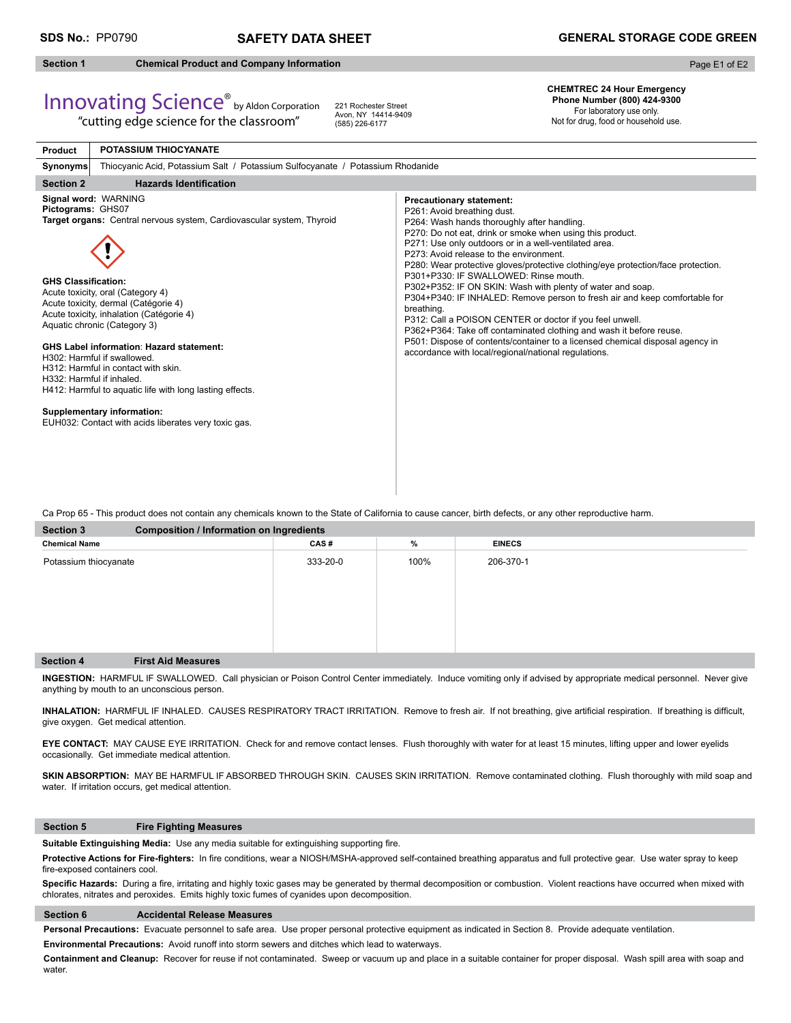# **Section 1 Chemical Product and Company Information**

Innovating Science® by Aldon Corporation "cutting edge science for the classroom"

Page E1 of E2

# **CHEMTREC 24 Hour Emergency Phone Number (800) 424-9300**  For laboratory use only.

Not for drug, food or household use.

| <b>Product</b>                                  | <b>POTASSIUM THIOCYANATE</b>                                                                                                                                                                                                                                                                                                                                                                                                                                                                                                                                          |                                                                                                                                                                                                                                                                                                                                                                                                                                                                                                                                                                                                                                                                                                                                                                                                                                                   |  |  |  |  |
|-------------------------------------------------|-----------------------------------------------------------------------------------------------------------------------------------------------------------------------------------------------------------------------------------------------------------------------------------------------------------------------------------------------------------------------------------------------------------------------------------------------------------------------------------------------------------------------------------------------------------------------|---------------------------------------------------------------------------------------------------------------------------------------------------------------------------------------------------------------------------------------------------------------------------------------------------------------------------------------------------------------------------------------------------------------------------------------------------------------------------------------------------------------------------------------------------------------------------------------------------------------------------------------------------------------------------------------------------------------------------------------------------------------------------------------------------------------------------------------------------|--|--|--|--|
| Synonyms                                        | Thiocyanic Acid, Potassium Salt / Potassium Sulfocyanate / Potassium Rhodanide                                                                                                                                                                                                                                                                                                                                                                                                                                                                                        |                                                                                                                                                                                                                                                                                                                                                                                                                                                                                                                                                                                                                                                                                                                                                                                                                                                   |  |  |  |  |
| <b>Section 2</b>                                | <b>Hazards Identification</b>                                                                                                                                                                                                                                                                                                                                                                                                                                                                                                                                         |                                                                                                                                                                                                                                                                                                                                                                                                                                                                                                                                                                                                                                                                                                                                                                                                                                                   |  |  |  |  |
| Pictograms: GHS07<br><b>GHS Classification:</b> | Signal word: WARNING<br>Target organs: Central nervous system, Cardiovascular system, Thyroid<br>Acute toxicity, oral (Category 4)<br>Acute toxicity, dermal (Catégorie 4)<br>Acute toxicity, inhalation (Catégorie 4)<br>Aquatic chronic (Category 3)<br><b>GHS Label information: Hazard statement:</b><br>H302: Harmful if swallowed.<br>H312: Harmful in contact with skin.<br>H332: Harmful if inhaled.<br>H412: Harmful to aquatic life with long lasting effects.<br><b>Supplementary information:</b><br>EUH032: Contact with acids liberates very toxic gas. | <b>Precautionary statement:</b><br>P261: Avoid breathing dust.<br>P264: Wash hands thoroughly after handling.<br>P270: Do not eat, drink or smoke when using this product.<br>P271: Use only outdoors or in a well-ventilated area.<br>P273: Avoid release to the environment.<br>P280: Wear protective gloves/protective clothing/eye protection/face protection.<br>P301+P330: IF SWALLOWED: Rinse mouth.<br>P302+P352: IF ON SKIN: Wash with plenty of water and soap.<br>P304+P340: IF INHALED: Remove person to fresh air and keep comfortable for<br>breathing.<br>P312: Call a POISON CENTER or doctor if you feel unwell.<br>P362+P364: Take off contaminated clothing and wash it before reuse.<br>P501: Dispose of contents/container to a licensed chemical disposal agency in<br>accordance with local/regional/national regulations. |  |  |  |  |

221 Rochester Street Avon, NY 14414-9409 (585) 226-6177

Ca Prop 65 - This product does not contain any chemicals known to the State of California to cause cancer, birth defects, or any other reproductive harm.

| <b>Section 3</b>      |                           | <b>Composition / Information on Ingredients</b> |      |               |  |  |  |  |
|-----------------------|---------------------------|-------------------------------------------------|------|---------------|--|--|--|--|
| <b>Chemical Name</b>  |                           | CAS#                                            | %    | <b>EINECS</b> |  |  |  |  |
| Potassium thiocyanate |                           | 333-20-0                                        | 100% | 206-370-1     |  |  |  |  |
| <b>Section 4</b>      | <b>First Aid Measures</b> |                                                 |      |               |  |  |  |  |

**INGESTION:** HARMFUL IF SWALLOWED. Call physician or Poison Control Center immediately. Induce vomiting only if advised by appropriate medical personnel.Never give anything by mouth to an unconscious person.

INHALATION: HARMFUL IF INHALED. CAUSES RESPIRATORY TRACT IRRITATION. Remove to fresh air. If not breathing, give artificial respiration. If breathing is difficult, give oxygen. Get medical attention.

**EYE CONTACT:** MAY CAUSE EYE IRRITATION. Check for and remove contact lenses. Flush thoroughly with water for at least 15 minutes, lifting upper and lower eyelids occasionally. Get immediate medical attention.

SKIN ABSORPTION: MAY BE HARMFUL IF ABSORBED THROUGH SKIN. CAUSES SKIN IRRITATION. Remove contaminated clothing. Flush thoroughly with mild soap and water. If irritation occurs, get medical attention.

# **Section 5 Fire Fighting Measures**

Suitable Extinguishing Media: Use any media suitable for extinguishing supporting fire.

Protective Actions for Fire-fighters: In fire conditions, wear a NIOSH/MSHA-approved self-contained breathing apparatus and full protective gear. Use water spray to keep fire-exposed containers cool.

Specific Hazards: During a fire, irritating and highly toxic gases may be generated by thermal decomposition or combustion. Violent reactions have occurred when mixed with chlorates, nitrates and peroxides. Emits highly toxic fumes of cyanides upon decomposition.

# **Section 6 Accidental Release Measures**

**Personal Precautions:** Evacuate personnel to safe area. Use proper personal protective equipment as indicated in Section 8. Provide adequate ventilation.

**Environmental Precautions:** Avoid runoff into storm sewers and ditches which lead to waterways.

**Containment and Cleanup:** Recover for reuse if not contaminated. Sweep or vacuum up and place in a suitable container for proper disposal. Wash spill area with soap and water.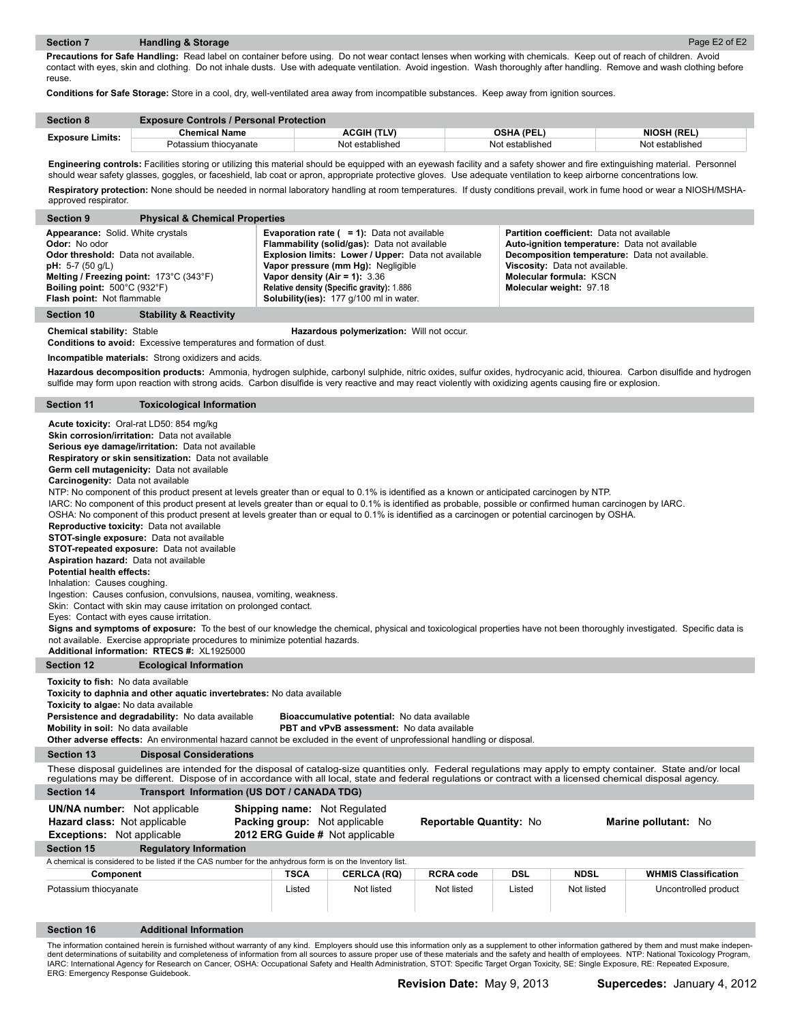ı

I.

ı

**Precautions for Safe Handling:** Read label on container before using. Do not wear contact lenses when working with chemicals. Keep out of reach of children. Avoid contact with eyes, skin and clothing. Do not inhale dusts. Use with adequate ventilation. Avoid ingestion. Wash thoroughly after handling. Remove and wash clothing before reuse.

**Conditions for Safe Storage:** Store in a cool, dry, well-ventilated area away from incompatible substances. Keep away from ignition sources.

| <b>Section 8</b>        | <b>Exposure Controls / Personal Protection</b> |                    |                   |                    |
|-------------------------|------------------------------------------------|--------------------|-------------------|--------------------|
| <b>Exposure Limits:</b> | <b>Chemical Name</b>                           | <b>ACGIH (TLV)</b> | <b>OSHA (PEL)</b> | <b>NIOSH (REL)</b> |
|                         | Potassium thiocvanate                          | Not established    | Not established   | Not established    |

Engineering controls: Facilities storing or utilizing this material should be equipped with an eyewash facility and a safety shower and fire extinguishing material. Personnel should wear safety glasses, goggles, or faceshield, lab coat or apron, appropriate protective gloves. Use adequate ventilation to keep airborne concentrations low. Respiratory protection: None should be needed in normal laboratory handling at room temperatures. If dusty conditions prevail, work in fume hood or wear a NIOSH/MSHA-

approved respirator.

| <b>Section 9</b>                                                                                                                                                                                                              | <b>Physical &amp; Chemical Properties</b>                                                                                                                                                                                                                                                                                                                                                                                                                                                                                                                                                                                                                                                                                                                                                                                                                                                                                                                                                                                                                                                                                                                                                                                                                                                                                                                                                                                                                                                          |                       |                                                                                                                                                                                                                                                                                                                                         |                                |                      |                                                                                                                                                                                                  |                                                                                                                                                                          |
|-------------------------------------------------------------------------------------------------------------------------------------------------------------------------------------------------------------------------------|----------------------------------------------------------------------------------------------------------------------------------------------------------------------------------------------------------------------------------------------------------------------------------------------------------------------------------------------------------------------------------------------------------------------------------------------------------------------------------------------------------------------------------------------------------------------------------------------------------------------------------------------------------------------------------------------------------------------------------------------------------------------------------------------------------------------------------------------------------------------------------------------------------------------------------------------------------------------------------------------------------------------------------------------------------------------------------------------------------------------------------------------------------------------------------------------------------------------------------------------------------------------------------------------------------------------------------------------------------------------------------------------------------------------------------------------------------------------------------------------------|-----------------------|-----------------------------------------------------------------------------------------------------------------------------------------------------------------------------------------------------------------------------------------------------------------------------------------------------------------------------------------|--------------------------------|----------------------|--------------------------------------------------------------------------------------------------------------------------------------------------------------------------------------------------|--------------------------------------------------------------------------------------------------------------------------------------------------------------------------|
| Appearance: Solid. White crystals<br>Odor: No odor<br>Odor threshold: Data not available.<br><b>pH:</b> 5-7 (50 g/L)<br>Melting / Freezing point: 173°C (343°F)<br>Boiling point: 500°C (932°F)<br>Flash point: Not flammable |                                                                                                                                                                                                                                                                                                                                                                                                                                                                                                                                                                                                                                                                                                                                                                                                                                                                                                                                                                                                                                                                                                                                                                                                                                                                                                                                                                                                                                                                                                    |                       | <b>Evaporation rate (<math>= 1</math>):</b> Data not available<br>Flammability (solid/gas): Data not available<br>Explosion limits: Lower / Upper: Data not available<br>Vapor pressure (mm Hg): Negligible<br>Vapor density (Air = 1): $3.36$<br>Relative density (Specific gravity): 1.886<br>Solubility(ies): 177 g/100 ml in water. |                                |                      | <b>Partition coefficient:</b> Data not available<br>Auto-ignition temperature: Data not available<br><b>Viscosity:</b> Data not available.<br>Molecular formula: KSCN<br>Molecular weight: 97.18 | Decomposition temperature: Data not available.                                                                                                                           |
| <b>Section 10</b>                                                                                                                                                                                                             | <b>Stability &amp; Reactivity</b>                                                                                                                                                                                                                                                                                                                                                                                                                                                                                                                                                                                                                                                                                                                                                                                                                                                                                                                                                                                                                                                                                                                                                                                                                                                                                                                                                                                                                                                                  |                       |                                                                                                                                                                                                                                                                                                                                         |                                |                      |                                                                                                                                                                                                  |                                                                                                                                                                          |
| <b>Chemical stability: Stable</b>                                                                                                                                                                                             | <b>Conditions to avoid:</b> Excessive temperatures and formation of dust.<br>Incompatible materials: Strong oxidizers and acids.                                                                                                                                                                                                                                                                                                                                                                                                                                                                                                                                                                                                                                                                                                                                                                                                                                                                                                                                                                                                                                                                                                                                                                                                                                                                                                                                                                   |                       | Hazardous polymerization: Will not occur.                                                                                                                                                                                                                                                                                               |                                |                      |                                                                                                                                                                                                  | Hazardous decomposition products: Ammonia, hydrogen sulphide, carbonyl sulphide, nitric oxides, sulfur oxides, hydrocyanic acid, thiourea. Carbon disulfide and hydrogen |
|                                                                                                                                                                                                                               |                                                                                                                                                                                                                                                                                                                                                                                                                                                                                                                                                                                                                                                                                                                                                                                                                                                                                                                                                                                                                                                                                                                                                                                                                                                                                                                                                                                                                                                                                                    |                       | sulfide may form upon reaction with strong acids. Carbon disulfide is very reactive and may react violently with oxidizing agents causing fire or explosion.                                                                                                                                                                            |                                |                      |                                                                                                                                                                                                  |                                                                                                                                                                          |
| <b>Section 11</b>                                                                                                                                                                                                             | <b>Toxicological Information</b>                                                                                                                                                                                                                                                                                                                                                                                                                                                                                                                                                                                                                                                                                                                                                                                                                                                                                                                                                                                                                                                                                                                                                                                                                                                                                                                                                                                                                                                                   |                       |                                                                                                                                                                                                                                                                                                                                         |                                |                      |                                                                                                                                                                                                  |                                                                                                                                                                          |
| Additional information: RTECS #: XL1925000                                                                                                                                                                                    | Acute toxicity: Oral-rat LD50: 854 mg/kg<br>Skin corrosion/irritation: Data not available<br>Serious eye damage/irritation: Data not available<br>Respiratory or skin sensitization: Data not available<br>Germ cell mutagenicity: Data not available<br>Carcinogenity: Data not available<br>NTP: No component of this product present at levels greater than or equal to 0.1% is identified as a known or anticipated carcinogen by NTP.<br>IARC: No component of this product present at levels greater than or equal to 0.1% is identified as probable, possible or confirmed human carcinogen by IARC.<br>OSHA: No component of this product present at levels greater than or equal to 0.1% is identified as a carcinogen or potential carcinogen by OSHA.<br><b>Reproductive toxicity:</b> Data not available<br><b>STOT-single exposure:</b> Data not available<br><b>STOT-repeated exposure:</b> Data not available<br>Aspiration hazard: Data not available<br><b>Potential health effects:</b><br>Inhalation: Causes coughing.<br>Ingestion: Causes confusion, convulsions, nausea, vomiting, weakness.<br>Skin: Contact with skin may cause irritation on prolonged contact.<br>Eyes: Contact with eyes cause irritation.<br>Signs and symptoms of exposure: To the best of our knowledge the chemical, physical and toxicological properties have not been thoroughly investigated. Specific data is<br>not available. Exercise appropriate procedures to minimize potential hazards. |                       |                                                                                                                                                                                                                                                                                                                                         |                                |                      |                                                                                                                                                                                                  |                                                                                                                                                                          |
| <b>Section 12</b>                                                                                                                                                                                                             | <b>Ecological Information</b>                                                                                                                                                                                                                                                                                                                                                                                                                                                                                                                                                                                                                                                                                                                                                                                                                                                                                                                                                                                                                                                                                                                                                                                                                                                                                                                                                                                                                                                                      |                       |                                                                                                                                                                                                                                                                                                                                         |                                |                      |                                                                                                                                                                                                  |                                                                                                                                                                          |
|                                                                                                                                                                                                                               | Toxicity to fish: No data available<br>Toxicity to daphnia and other aquatic invertebrates: No data available<br>Toxicity to algae: No data available<br>Persistence and degradability: No data available<br>Bioaccumulative potential: No data available<br>Mobility in soil: No data available<br>PBT and vPvB assessment: No data available<br>Other adverse effects: An environmental hazard cannot be excluded in the event of unprofessional handling or disposal.                                                                                                                                                                                                                                                                                                                                                                                                                                                                                                                                                                                                                                                                                                                                                                                                                                                                                                                                                                                                                           |                       |                                                                                                                                                                                                                                                                                                                                         |                                |                      |                                                                                                                                                                                                  |                                                                                                                                                                          |
| <b>Section 13</b>                                                                                                                                                                                                             | <b>Disposal Considerations</b>                                                                                                                                                                                                                                                                                                                                                                                                                                                                                                                                                                                                                                                                                                                                                                                                                                                                                                                                                                                                                                                                                                                                                                                                                                                                                                                                                                                                                                                                     |                       |                                                                                                                                                                                                                                                                                                                                         |                                |                      |                                                                                                                                                                                                  |                                                                                                                                                                          |
|                                                                                                                                                                                                                               |                                                                                                                                                                                                                                                                                                                                                                                                                                                                                                                                                                                                                                                                                                                                                                                                                                                                                                                                                                                                                                                                                                                                                                                                                                                                                                                                                                                                                                                                                                    |                       | requlations may be different. Dispose of in accordance with all local, state and federal requlations or contract with a licensed chemical disposal agency.                                                                                                                                                                              |                                |                      |                                                                                                                                                                                                  | These disposal guidelines are intended for the disposal of catalog-size quantities only. Federal regulations may apply to empty container. State and/or local            |
| <b>Section 14</b>                                                                                                                                                                                                             | Transport Information (US DOT / CANADA TDG)                                                                                                                                                                                                                                                                                                                                                                                                                                                                                                                                                                                                                                                                                                                                                                                                                                                                                                                                                                                                                                                                                                                                                                                                                                                                                                                                                                                                                                                        |                       |                                                                                                                                                                                                                                                                                                                                         |                                |                      |                                                                                                                                                                                                  |                                                                                                                                                                          |
| <b>UN/NA number:</b> Not applicable<br>Hazard class: Not applicable<br><b>Exceptions:</b> Not applicable                                                                                                                      |                                                                                                                                                                                                                                                                                                                                                                                                                                                                                                                                                                                                                                                                                                                                                                                                                                                                                                                                                                                                                                                                                                                                                                                                                                                                                                                                                                                                                                                                                                    |                       | Shipping name: Not Regulated<br>Packing group: Not applicable<br>2012 ERG Guide # Not applicable                                                                                                                                                                                                                                        | Reportable Quantity: No        |                      |                                                                                                                                                                                                  | Marine pollutant: No                                                                                                                                                     |
| <b>Section 15</b>                                                                                                                                                                                                             | <b>Regulatory Information</b>                                                                                                                                                                                                                                                                                                                                                                                                                                                                                                                                                                                                                                                                                                                                                                                                                                                                                                                                                                                                                                                                                                                                                                                                                                                                                                                                                                                                                                                                      |                       |                                                                                                                                                                                                                                                                                                                                         |                                |                      |                                                                                                                                                                                                  |                                                                                                                                                                          |
|                                                                                                                                                                                                                               |                                                                                                                                                                                                                                                                                                                                                                                                                                                                                                                                                                                                                                                                                                                                                                                                                                                                                                                                                                                                                                                                                                                                                                                                                                                                                                                                                                                                                                                                                                    |                       | A chemical is considered to be listed if the CAS number for the anhydrous form is on the Inventory list.                                                                                                                                                                                                                                |                                |                      |                                                                                                                                                                                                  |                                                                                                                                                                          |
| Component<br>Potassium thiocyanate                                                                                                                                                                                            |                                                                                                                                                                                                                                                                                                                                                                                                                                                                                                                                                                                                                                                                                                                                                                                                                                                                                                                                                                                                                                                                                                                                                                                                                                                                                                                                                                                                                                                                                                    | <b>TSCA</b><br>Listed | <b>CERLCA (RQ)</b><br>Not listed                                                                                                                                                                                                                                                                                                        | <b>RCRA code</b><br>Not listed | <b>DSL</b><br>Listed | <b>NDSL</b><br>Not listed                                                                                                                                                                        | <b>WHMIS Classification</b><br>Uncontrolled product                                                                                                                      |
| <b>Section 16</b>                                                                                                                                                                                                             | <b>Additional Information</b>                                                                                                                                                                                                                                                                                                                                                                                                                                                                                                                                                                                                                                                                                                                                                                                                                                                                                                                                                                                                                                                                                                                                                                                                                                                                                                                                                                                                                                                                      |                       |                                                                                                                                                                                                                                                                                                                                         |                                |                      |                                                                                                                                                                                                  |                                                                                                                                                                          |

The information contained herein is furnished without warranty of any kind. Employers should use this information only as a supplement to other information gathered by them and must make indepen-<br>dent determinations of sui IARC: International Agency for Research on Cancer, OSHA: Occupational Safety and Health Administration, STOT: Specific Target Organ Toxicity, SE: Single Exposure, RE: Repeated Exposure,<br>ERG: Emergency Response Guidebook.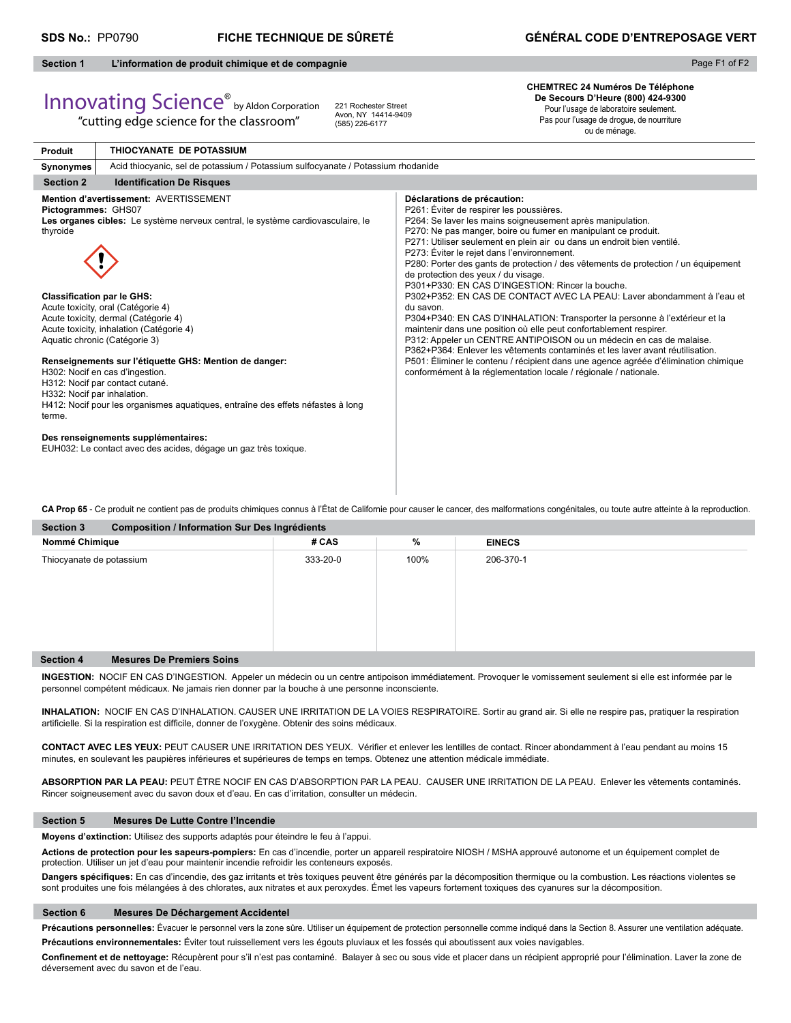Page F1 of F2

# **Section 1 L'information de produit chimique et de compagnie**

# Innovating Science® by Aldon Corporation

"cutting edge science for the classroom"

221 Rochester Street Avon, NY 14414-9409 (585) 226-6177

**CHEMTREC 24 Numéros De Téléphone De Secours D'Heure (800) 424-9300** Pour l'usage de laboratoire seulement.

Pas pour l'usage de drogue, de nourriture ou de ménage.

| <b>Produit</b>                                                                                                | THIOCYANATE DE POTASSIUM                                                                                                                                                                                                                                                                                                                                                                                                                                                                                                                                                                                          |                                                                                                                                                                                                                                                                                                                                                                                                                                                                                                                                                                                                                                                                                                                                                                                                                                                                                                                                                                                                                                                                                  |  |  |  |  |
|---------------------------------------------------------------------------------------------------------------|-------------------------------------------------------------------------------------------------------------------------------------------------------------------------------------------------------------------------------------------------------------------------------------------------------------------------------------------------------------------------------------------------------------------------------------------------------------------------------------------------------------------------------------------------------------------------------------------------------------------|----------------------------------------------------------------------------------------------------------------------------------------------------------------------------------------------------------------------------------------------------------------------------------------------------------------------------------------------------------------------------------------------------------------------------------------------------------------------------------------------------------------------------------------------------------------------------------------------------------------------------------------------------------------------------------------------------------------------------------------------------------------------------------------------------------------------------------------------------------------------------------------------------------------------------------------------------------------------------------------------------------------------------------------------------------------------------------|--|--|--|--|
| Synonymes                                                                                                     | Acid thiocyanic, sel de potassium / Potassium sulfocyanate / Potassium rhodanide                                                                                                                                                                                                                                                                                                                                                                                                                                                                                                                                  |                                                                                                                                                                                                                                                                                                                                                                                                                                                                                                                                                                                                                                                                                                                                                                                                                                                                                                                                                                                                                                                                                  |  |  |  |  |
| <b>Section 2</b>                                                                                              | <b>Identification De Risques</b>                                                                                                                                                                                                                                                                                                                                                                                                                                                                                                                                                                                  |                                                                                                                                                                                                                                                                                                                                                                                                                                                                                                                                                                                                                                                                                                                                                                                                                                                                                                                                                                                                                                                                                  |  |  |  |  |
| Pictogrammes: GHS07<br>thyroide<br><b>Classification par le GHS:</b><br>H332: Nocif par inhalation.<br>terme. | Mention d'avertissement: AVERTISSEMENT<br>Les organes cibles: Le système nerveux central, le système cardiovasculaire, le<br>Acute toxicity, oral (Catégorie 4)<br>Acute toxicity, dermal (Catégorie 4)<br>Acute toxicity, inhalation (Catégorie 4)<br>Aquatic chronic (Catégorie 3)<br>Renseignements sur l'étiquette GHS: Mention de danger:<br>H302: Nocif en cas d'ingestion.<br>H312: Nocif par contact cutané.<br>H412: Nocif pour les organismes aquatiques, entraîne des effets néfastes à long<br>Des renseignements supplémentaires:<br>EUH032: Le contact avec des acides, dégage un gaz très toxique. | Déclarations de précaution:<br>P261: Éviter de respirer les poussières.<br>P264: Se laver les mains soigneusement après manipulation.<br>P270: Ne pas manger, boire ou fumer en manipulant ce produit.<br>P271: Utiliser seulement en plein air ou dans un endroit bien ventilé.<br>P273: Éviter le rejet dans l'environnement.<br>P280: Porter des gants de protection / des vêtements de protection / un équipement<br>de protection des yeux / du visage.<br>P301+P330: EN CAS D'INGESTION: Rincer la bouche.<br>P302+P352: EN CAS DE CONTACT AVEC LA PEAU: Laver abondamment à l'eau et<br>du savon.<br>P304+P340: EN CAS D'INHALATION: Transporter la personne à l'extérieur et la<br>maintenir dans une position où elle peut confortablement respirer.<br>P312: Appeler un CENTRE ANTIPOISON ou un médecin en cas de malaise.<br>P362+P364: Enlever les vêtements contaminés et les layer avant réutilisation.<br>P501: Éliminer le contenu / récipient dans une agence agréée d'élimination chimique<br>conformément à la réglementation locale / régionale / nationale. |  |  |  |  |

**Section 3 Composition / Information Sur Des Ingrédients CA Prop 65** - Ce produit ne contient pas de produits chimiques connus à l'État de Californie pour causer le cancer, des malformations congénitales, ou toute autre atteinte à la reproduction.

| <b>Section</b> 3<br>Composition / imormation sur Des ingredients |          |      |               |  |  |  |  |
|------------------------------------------------------------------|----------|------|---------------|--|--|--|--|
| Nommé Chimique                                                   | # CAS    | %    | <b>EINECS</b> |  |  |  |  |
| Thiocyanate de potassium                                         | 333-20-0 | 100% | 206-370-1     |  |  |  |  |
| <b>Section 4</b><br><b>Mesures De Premiers Soins</b>             |          |      |               |  |  |  |  |

**INGESTION:** NOCIF EN CAS D'INGESTION. Appeler un médecin ou un centre antipoison immédiatement. Provoquer le vomissement seulement si elle est informée par le personnel compétent médicaux. Ne jamais rien donner par la bouche à une personne inconsciente.

**INHALATION:** NOCIF EN CAS D'INHALATION. CAUSER UNE IRRITATION DE LA VOIES RESPIRATOIRE. Sortir au grand air. Si elle ne respire pas, pratiquer la respiration artificielle. Si la respiration est difficile, donner de l'oxygène. Obtenir des soins médicaux.

CONTACT AVEC LES YEUX: PEUT CAUSER UNE IRRITATION DES YEUX. Vérifier et enlever les lentilles de contact. Rincer abondamment à l'eau pendant au moins 15 minutes, en soulevant les paupières inférieures et supérieures de temps en temps. Obtenez une attention médicale immédiate.

**ABSORPTION PAR LA PEAU:** PEUT ÊTRE NOCIF EN CAS D'ABSORPTION PAR LA PEAU. CAUSER UNE IRRITATION DE LA PEAU. Enlever les vêtements contaminés. Rincer soigneusement avec du savon doux et d'eau. En cas d'irritation, consulter un médecin.

# **Section 5 Mesures De Lutte Contre l'Incendie**

**Moyens d'extinction:** Utilisez des supports adaptés pour éteindre le feu à l'appui.

**Actions de protection pour les sapeurs-pompiers:** En cas d'incendie, porter un appareil respiratoire NIOSH / MSHA approuvé autonome et un équipement complet de protection. Utiliser un jet d'eau pour maintenir incendie refroidir les conteneurs exposés.

Dangers spécifiques: En cas d'incendie, des gaz irritants et très toxiques peuvent être générés par la décomposition thermique ou la combustion. Les réactions violentes se sont produites une fois mélangées à des chlorates, aux nitrates et aux peroxydes. Émet les vapeurs fortement toxiques des cyanures sur la décomposition.

# **Section 6 Mesures De Déchargement Accidentel**

Précautions personnelles: Évacuer le personnel vers la zone sûre. Utiliser un équipement de protection personnelle comme indiqué dans la Section 8. Assurer une ventilation adéquate.

**Précautions environnementales:** Éviter tout ruissellement vers les égouts pluviaux et les fossés qui aboutissent aux voies navigables.

Confinement et de nettoyage: Récupèrent pour s'il n'est pas contaminé. Balayer à sec ou sous vide et placer dans un récipient approprié pour l'élimination. Laver la zone de déversement avec du savon et de l'eau.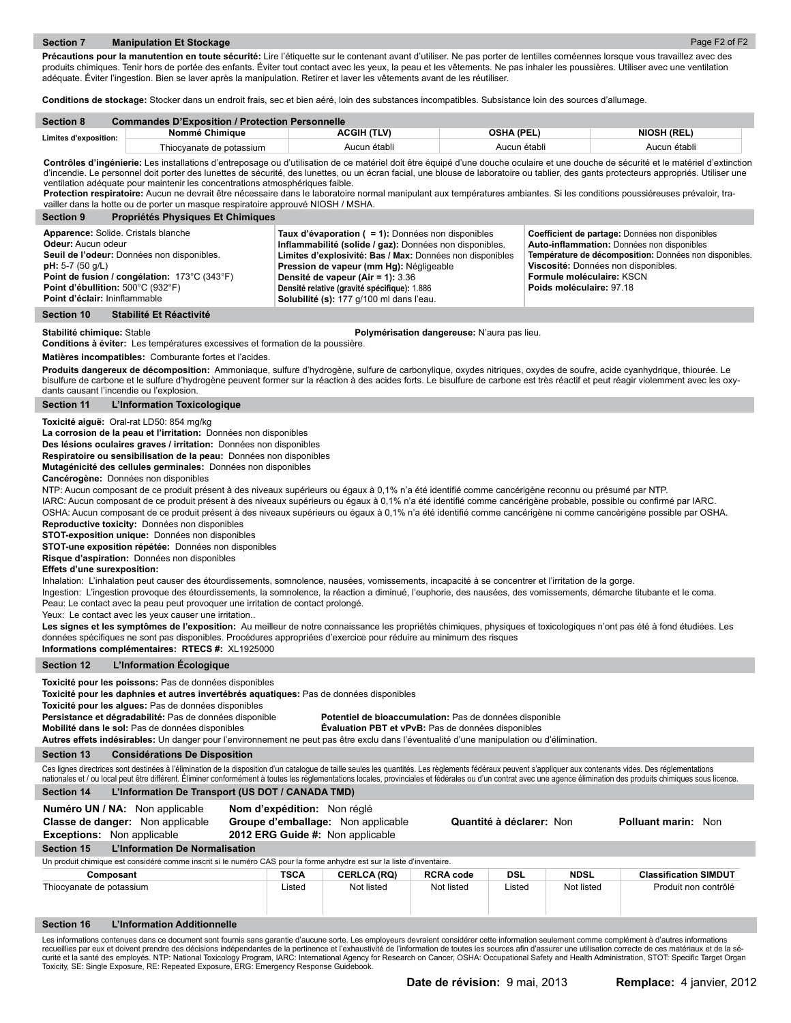Précautions pour la manutention en toute sécurité: Lire l'étiquette sur le contenant avant d'utiliser. Ne pas porter de lentilles cornéennes lorsque vous travaillez avec des produits chimiques. Tenir hors de portée des enfants. Éviter tout contact avec les yeux, la peau et les vêtements. Ne pas inhaler les poussières. Utiliser avec une ventilation adéquate. Éviter l'ingestion. Bien se laver après la manipulation. Retirer et laver les vêtements avant de les réutiliser.

**Conditions de stockage:** Stocker dans un endroit frais, sec et bien aéré, loin des substances incompatibles. Subsistance loin des sources d'allumage.

| <b>Section 8</b>      | <b>Commandes D'Exposition / Protection Personnelle</b> |                    |                   |                    |  |  |  |  |
|-----------------------|--------------------------------------------------------|--------------------|-------------------|--------------------|--|--|--|--|
| Limites d'exposition: | Nommé Chimique                                         | <b>ACGIH (TLV)</b> | <b>OSHA (PEL)</b> | <b>NIOSH (REL)</b> |  |  |  |  |
|                       | Thiocvanate de potassium                               | Aucun établi       | Aucun établi      | Aucun établi       |  |  |  |  |

Contrôles d'ingénierie: Les installations d'entreposage ou d'utilisation de ce matériel doit être équipé d'une douche oculaire et une douche de sécurité et le matériel d'extinction d'incendie. Le personnel doit porter des lunettes de sécurité, des lunettes, ou un écran facial, une blouse de laboratoire ou tablier, des gants protecteurs appropriés. Utiliser une ventilation adéquate pour maintenir les concentrations atmosphériques faible.

**Protection respiratoire:** Aucun ne devrait être nécessaire dans le laboratoire normal manipulant aux températures ambiantes. Si les conditions poussiéreuses prévaloir, travailler dans la hotte ou de porter un masque respiratoire approuvé NIOSH / MSHA.

| <b>Section 9</b><br>Propriétés Physiques Et Chimiques                                                                                                                                                                                                        |                                                                                                                                                                                                                                                                                                                                                                  |                                                                                                                                                                                                                                                         |
|--------------------------------------------------------------------------------------------------------------------------------------------------------------------------------------------------------------------------------------------------------------|------------------------------------------------------------------------------------------------------------------------------------------------------------------------------------------------------------------------------------------------------------------------------------------------------------------------------------------------------------------|---------------------------------------------------------------------------------------------------------------------------------------------------------------------------------------------------------------------------------------------------------|
| Apparence: Solide. Cristals blanche<br>Odeur: Aucun odeur<br>Seuil de l'odeur: Données non disponibles.<br>$pH: 5-7 (50 q/L)$<br><b>Point de fusion / congélation: 173 °C (343 °F)</b><br>Point d'ébullition: 500°C (932°F)<br>Point d'éclair: Ininflammable | Taux d'évaporation $( = 1)$ : Données non disponibles<br>Inflammabilité (solide / gaz): Données non disponibles.<br>Limites d'explosivité: Bas / Max: Données non disponibles<br>Pression de vapeur (mm Hg): Négligeable<br><b>Densité de vapeur (Air = 1): 3.36</b><br>Densité relative (gravité spécifique): 1.886<br>Solubilité (s): 177 g/100 ml dans l'eau. | Coefficient de partage: Données non disponibles<br>Auto-inflammation: Données non disponibles<br>Température de décomposition: Données non disponibles.<br>Viscosité: Données non disponibles.<br>Formule moléculaire: KSCN<br>Poids moléculaire: 97.18 |

# **Section 10 Stabilité Et Réactivité**

**Stabilité chimique:** Stable **Polymérisation dangereuse:** N'aura pas lieu.

**Conditions à éviter:** Les températures excessives et formation de la poussière.

**Matières incompatibles:** Comburante fortes et l'acides.

Produits dangereux de décomposition: Ammoniaque, sulfure d'hydrogène, sulfure de carbonylique, oxydes nitriques, oxydes de soufre, acide cyanhydrique, thiourée. Le bisulfure de carbone et le sulfure d'hydrogène peuvent former sur la réaction à des acides forts. Le bisulfure de carbone est très réactif et peut réagir violemment avec les oxydants causant l'incendie ou l'explosion.

**Section 11 L'Information Toxicologique**

**Toxicité aiguë:** Oral-rat LD50: 854 mg/kg

**La corrosion de la peau et l'irritation:** Données non disponibles

**Des lésions oculaires graves / irritation:** Données non disponibles

**Respiratoire ou sensibilisation de la peau:** Données non disponibles

**Mutagénicité des cellules germinales:** Données non disponibles

**Cancérogène:** Données non disponibles

NTP: Aucun composant de ce produit présent à des niveaux supérieurs ou égaux à 0,1% n'a été identifié comme cancérigène reconnu ou présumé par NTP.

IARC: Aucun composant de ce produit présent à des niveaux supérieurs ou égaux à 0,1% n'a été identifié comme cancérigène probable, possible ou confirmé par IARC. OSHA: Aucun composant de ce produit présent à des niveaux supérieurs ou égaux à 0,1% n'a été identifié comme cancérigène ni comme cancérigène possible par OSHA.

**Reproductive toxicity:** Données non disponibles

**STOT-exposition unique:** Données non disponibles

**STOT-une exposition répétée:** Données non disponibles

**Risque d'aspiration:** Données non disponibles

## **Effets d'une surexposition:**

Inhalation: L'inhalation peut causer des étourdissements, somnolence, nausées, vomissements, incapacité à se concentrer et l'irritation de la gorge.

Ingestion: L'ingestion provoque des étourdissements, la somnolence, la réaction a diminué, l'euphorie, des nausées, des vomissements, démarche titubante et le coma.

Peau: Le contact avec la peau peut provoquer une irritation de contact prolongé.

Yeux: Le contact avec les yeux causer une irritation..

Les signes et les symptômes de l'exposition: Au meilleur de notre connaissance les propriétés chimiques, physiques et toxicologiques n'ont pas été à fond étudiées. Les données spécifiques ne sont pas disponibles. Procédures appropriées d'exercice pour réduire au minimum des risques

**Informations complémentaires: RTECS #:** XL1925000

# **Section 12 L'Information Écologique**

**Toxicité pour les poissons:** Pas de données disponibles

**Toxicité pour les daphnies et autres invertébrés aquatiques:** Pas de données disponibles

**Toxicité pour les algues:** Pas de données disponibles

**Persistance et dégradabilité:** Pas de données disponible **Potentiel de bioaccumulation:** Pas de données disponible

**Mobilité dans le sol:** Pas de données disponibles **Évaluation PBT et vPvB:** Pas de données disponibles

**Autres effets indésirables:** Un danger pour l'environnement ne peut pas être exclu dans l'éventualité d'une manipulation ou d'élimination.

#### **Section 13 Considérations De Disposition**

Ces lignes directrices sont destinées à l'élimination de la disposition d'un catalogue de taille seules les quantités. Les règlements fédéraux peuvent s'appliquer aux contenants vides. Des réglementations nationales et / ou local peut être différent. Éliminer conformément à toutes les réglementations locales, provinciales et fédérales ou d'un contrat avec une agence élimination des produits chimiques sous licence.

# **Section 14 L'Information De Transport (US DOT / CANADA TMD)**

**Numéro UN / NA:** Non applicable **Nom d'expédition:** Non réglé

| <b>Classe de danger:</b> Non applicable                                                                                                                                                         | Groupe d'emballage: Non applicable |                    |                  | Quantité à déclarer: Non |             | <b>Polluant marin: Non</b>   |  |
|-------------------------------------------------------------------------------------------------------------------------------------------------------------------------------------------------|------------------------------------|--------------------|------------------|--------------------------|-------------|------------------------------|--|
| <b>Exceptions:</b> Non applicable                                                                                                                                                               | 2012 ERG Guide #: Non applicable   |                    |                  |                          |             |                              |  |
| <b>L'Information De Normalisation</b><br><b>Section 15</b>                                                                                                                                      |                                    |                    |                  |                          |             |                              |  |
| Un produit chimique est considéré comme inscrit si le numéro CAS pour la forme anhydre est sur la liste d'inventaire.                                                                           |                                    |                    |                  |                          |             |                              |  |
| Composant                                                                                                                                                                                       | TSCA                               | <b>CERLCA (RQ)</b> | <b>RCRA code</b> | DSL                      | <b>NDSL</b> | <b>Classification SIMDUT</b> |  |
| Thiocyanate de potassium                                                                                                                                                                        | Listed                             | Not listed         | Not listed       | Listed                   | Not listed  | Produit non contrôlé         |  |
| L'Information Additionnelle<br><b>Section 16</b>                                                                                                                                                |                                    |                    |                  |                          |             |                              |  |
| Les informations contenues dans ce document sont fournis sans garantie d'aucune sorte. Les employeurs devraient considérer cette information seulement comme complément à d'autres informations |                                    |                    |                  |                          |             |                              |  |

Les informations contenues dans ce document sont fournis sans garantie d'aucune sorte. Les employeurs devraient considérer cette information seulement comme complément à d'autres informations<br>recueillies par eux et doivent curité et la santé des employés. NTP: National Toxicology Program, IARC: International Agency for Research on Cancer, OSHA: Occupational Safety and Health Administration, STOT: Specific Target Organ Toxicity, SE: Single Exposure, RE: Repeated Exposure, ERG: Emergency Response Guidebook.

Page F2 of F2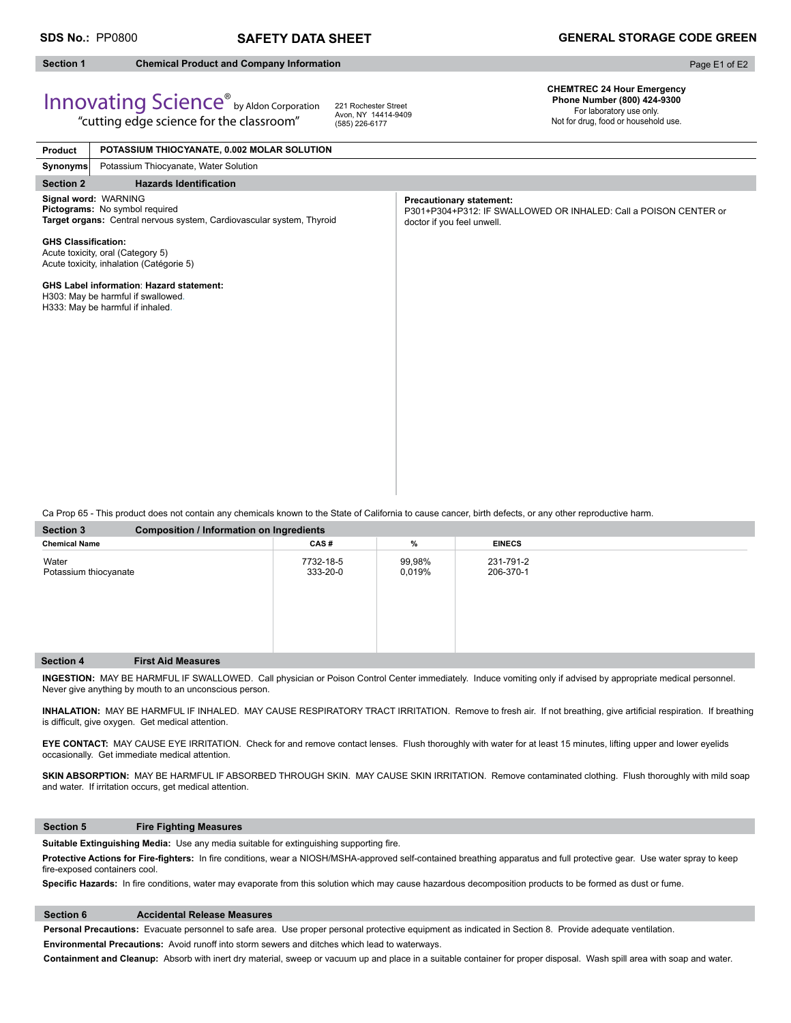**Section 1 Chemical Product and Company Information** 

Page E1 of E2

# Innovating Science® by Aldon Corporation

"cutting edge science for the classroom"

221 Rochester Street Avon, NY 14414-9409 (585) 226-6177

**CHEMTREC 24 Hour Emergency Phone Number (800) 424-9300**  For laboratory use only. Not for drug, food or household use.

| <b>Precautionary statement:</b><br>P301+P304+P312: IF SWALLOWED OR INHALED: Call a POISON CENTER or<br>doctor if you feel unwell. |
|-----------------------------------------------------------------------------------------------------------------------------------|
|                                                                                                                                   |
|                                                                                                                                   |
|                                                                                                                                   |

Ca Prop 65 - This product does not contain any chemicals known to the State of California to cause cancer, birth defects, or any other reproductive harm.

| <b>Section 3</b>               | <b>Composition / Information on Ingredients</b> |                       |                  |                        |  |  |  |
|--------------------------------|-------------------------------------------------|-----------------------|------------------|------------------------|--|--|--|
| <b>Chemical Name</b>           |                                                 | CAS#                  | %                | <b>EINECS</b>          |  |  |  |
| Water<br>Potassium thiocyanate |                                                 | 7732-18-5<br>333-20-0 | 99,98%<br>0,019% | 231-791-2<br>206-370-1 |  |  |  |
| <b>Section 4</b>               | <b>First Aid Measures</b>                       |                       |                  |                        |  |  |  |

**INGESTION:** MAY BE HARMFUL IF SWALLOWED. Call physician or Poison Control Center immediately. Induce vomiting only if advised by appropriate medical personnel. Never give anything by mouth to an unconscious person.

INHALATION: MAY BE HARMFUL IF INHALED. MAY CAUSE RESPIRATORY TRACT IRRITATION. Remove to fresh air. If not breathing, give artificial respiration. If breathing is difficult, give oxygen. Get medical attention.

**EYE CONTACT:** MAY CAUSE EYE IRRITATION. Check for and remove contact lenses. Flush thoroughly with water for at least 15 minutes, lifting upper and lower eyelids occasionally. Get immediate medical attention.

SKIN ABSORPTION: MAY BE HARMFUL IF ABSORBED THROUGH SKIN. MAY CAUSE SKIN IRRITATION. Remove contaminated clothing. Flush thoroughly with mild soap and water. If irritation occurs, get medical attention.

# **Section 5 Fire Fighting Measures**

Suitable Extinguishing Media: Use any media suitable for extinguishing supporting fire.

Protective Actions for Fire-fighters: In fire conditions, wear a NIOSH/MSHA-approved self-contained breathing apparatus and full protective gear. Use water spray to keep fire-exposed containers cool.

Specific Hazards: In fire conditions, water may evaporate from this solution which may cause hazardous decomposition products to be formed as dust or fume.

# **Section 6 Accidental Release Measures**

**Personal Precautions:** Evacuate personnel to safe area. Use proper personal protective equipment as indicated in Section 8. Provide adequate ventilation. **Environmental Precautions:** Avoid runoff into storm sewers and ditches which lead to waterways.

**Containment and Cleanup:** Absorb with inert dry material, sweep or vacuum up and place in a suitable container for proper disposal. Wash spill area with soap and water.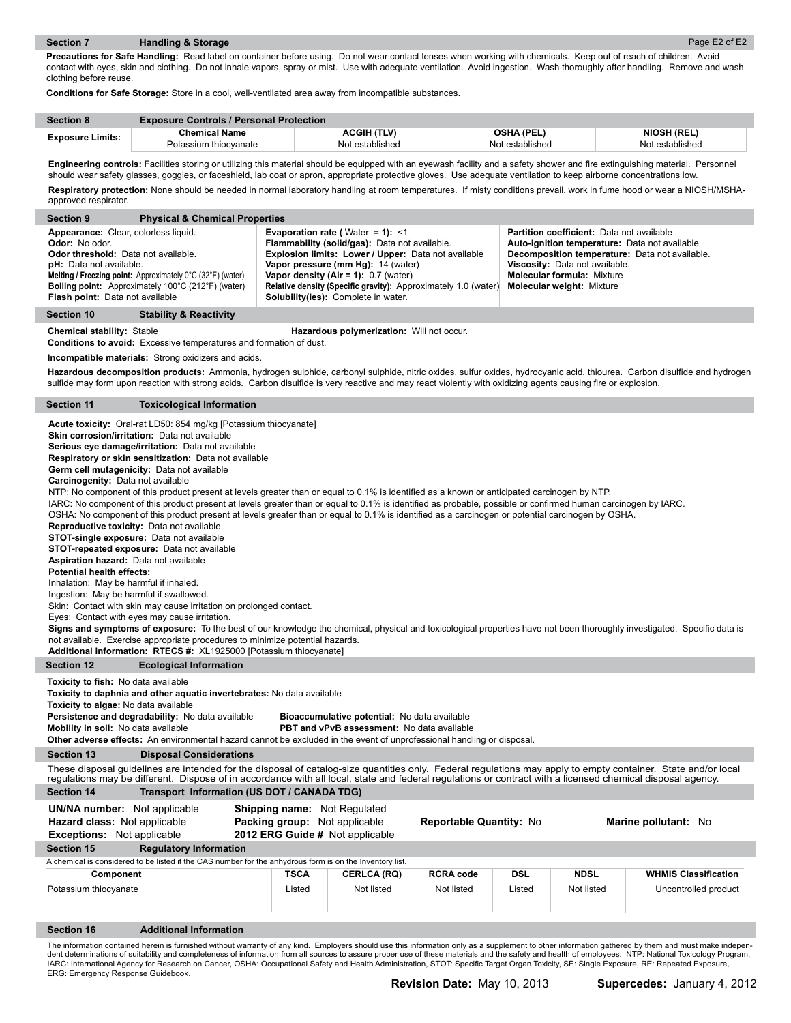**Precautions for Safe Handling:** Read label on container before using. Do not wear contact lenses when working with chemicals. Keep out of reach of children. Avoid contact with eyes, skin and clothing. Do not inhale vapors, spray or mist. Use with adequate ventilation. Avoid ingestion. Wash thoroughly after handling. Remove and wash clothing before reuse.

**Conditions for Safe Storage:** Store in a cool, well-ventilated area away from incompatible substances.

| <b>Section 8</b>        | <b>Exposure Controls / Personal Protection</b> |                 |                 |                    |  |  |
|-------------------------|------------------------------------------------|-----------------|-----------------|--------------------|--|--|
| <b>Exposure Limits:</b> | <b>Chemical Name</b>                           | ACGIH (TLV)     | OSHA (PEL)      | <b>NIOSH (REL)</b> |  |  |
|                         | Potassium thiocvanate                          | Not established | Not established | Not established    |  |  |

Engineering controls: Facilities storing or utilizing this material should be equipped with an eyewash facility and a safety shower and fire extinguishing material. Personnel should wear safety glasses, goggles, or faceshield, lab coat or apron, appropriate protective gloves. Use adequate ventilation to keep airborne concentrations low.

Respiratory protection: None should be needed in normal laboratory handling at room temperatures. If misty conditions prevail, work in fume hood or wear a NIOSH/MSHAapproved respirator.

| <b>Section 9</b>                                                                                                                                                                                                                                                                                                                                                                                                                                                                                                                                                                                                                                                                                                                                                                                                                                                                                                                                                                                                                                                                                                                                                                                                                                                                                                                                                                                                                                                                                           | <b>Physical &amp; Chemical Properties</b>                                                                                                                                                                                                            |                                                                                                         |                                                                                                                                                                                                                                                                            |                                                                |            |                                                                                                                                                      |                                                                                                                                                                          |  |
|------------------------------------------------------------------------------------------------------------------------------------------------------------------------------------------------------------------------------------------------------------------------------------------------------------------------------------------------------------------------------------------------------------------------------------------------------------------------------------------------------------------------------------------------------------------------------------------------------------------------------------------------------------------------------------------------------------------------------------------------------------------------------------------------------------------------------------------------------------------------------------------------------------------------------------------------------------------------------------------------------------------------------------------------------------------------------------------------------------------------------------------------------------------------------------------------------------------------------------------------------------------------------------------------------------------------------------------------------------------------------------------------------------------------------------------------------------------------------------------------------------|------------------------------------------------------------------------------------------------------------------------------------------------------------------------------------------------------------------------------------------------------|---------------------------------------------------------------------------------------------------------|----------------------------------------------------------------------------------------------------------------------------------------------------------------------------------------------------------------------------------------------------------------------------|----------------------------------------------------------------|------------|------------------------------------------------------------------------------------------------------------------------------------------------------|--------------------------------------------------------------------------------------------------------------------------------------------------------------------------|--|
| Appearance: Clear, colorless liquid.<br>Odor: No odor.<br>Odor threshold: Data not available.<br>pH: Data not available.<br>Flash point: Data not available                                                                                                                                                                                                                                                                                                                                                                                                                                                                                                                                                                                                                                                                                                                                                                                                                                                                                                                                                                                                                                                                                                                                                                                                                                                                                                                                                | Melting / Freezing point: Approximately 0°C (32°F) (water)<br><b>Boiling point:</b> Approximately 100°C (212°F) (water)                                                                                                                              |                                                                                                         | <b>Evaporation rate (</b> Water = $1$ ): <1<br>Flammability (solid/gas): Data not available.<br>Explosion limits: Lower / Upper: Data not available<br>Vapor pressure (mm Hg): 14 (water)<br>Vapor density (Air = 1): $0.7$ (water)<br>Solubility(ies): Complete in water. | Relative density (Specific gravity): Approximately 1.0 (water) |            | <b>Partition coefficient:</b> Data not available<br>Viscosity: Data not available.<br>Molecular formula: Mixture<br><b>Molecular weight: Mixture</b> | Auto-ignition temperature: Data not available<br>Decomposition temperature: Data not available.                                                                          |  |
| <b>Section 10</b>                                                                                                                                                                                                                                                                                                                                                                                                                                                                                                                                                                                                                                                                                                                                                                                                                                                                                                                                                                                                                                                                                                                                                                                                                                                                                                                                                                                                                                                                                          | <b>Stability &amp; Reactivity</b>                                                                                                                                                                                                                    |                                                                                                         |                                                                                                                                                                                                                                                                            |                                                                |            |                                                                                                                                                      |                                                                                                                                                                          |  |
| <b>Chemical stability: Stable</b><br>Hazardous polymerization: Will not occur.<br><b>Conditions to avoid:</b> Excessive temperatures and formation of dust.                                                                                                                                                                                                                                                                                                                                                                                                                                                                                                                                                                                                                                                                                                                                                                                                                                                                                                                                                                                                                                                                                                                                                                                                                                                                                                                                                |                                                                                                                                                                                                                                                      |                                                                                                         |                                                                                                                                                                                                                                                                            |                                                                |            |                                                                                                                                                      |                                                                                                                                                                          |  |
|                                                                                                                                                                                                                                                                                                                                                                                                                                                                                                                                                                                                                                                                                                                                                                                                                                                                                                                                                                                                                                                                                                                                                                                                                                                                                                                                                                                                                                                                                                            | Incompatible materials: Strong oxidizers and acids.                                                                                                                                                                                                  |                                                                                                         |                                                                                                                                                                                                                                                                            |                                                                |            |                                                                                                                                                      |                                                                                                                                                                          |  |
|                                                                                                                                                                                                                                                                                                                                                                                                                                                                                                                                                                                                                                                                                                                                                                                                                                                                                                                                                                                                                                                                                                                                                                                                                                                                                                                                                                                                                                                                                                            | sulfide may form upon reaction with strong acids. Carbon disulfide is very reactive and may react violently with oxidizing agents causing fire or explosion.                                                                                         |                                                                                                         |                                                                                                                                                                                                                                                                            |                                                                |            |                                                                                                                                                      | Hazardous decomposition products: Ammonia, hydrogen sulphide, carbonyl sulphide, nitric oxides, sulfur oxides, hydrocyanic acid, thiourea. Carbon disulfide and hydrogen |  |
| <b>Section 11</b>                                                                                                                                                                                                                                                                                                                                                                                                                                                                                                                                                                                                                                                                                                                                                                                                                                                                                                                                                                                                                                                                                                                                                                                                                                                                                                                                                                                                                                                                                          | <b>Toxicological Information</b>                                                                                                                                                                                                                     |                                                                                                         |                                                                                                                                                                                                                                                                            |                                                                |            |                                                                                                                                                      |                                                                                                                                                                          |  |
| <b>Acute toxicity:</b> Oral-rat LD50: 854 mg/kg [Potassium thiocyanate]<br>Skin corrosion/irritation: Data not available<br>Serious eye damage/irritation: Data not available<br>Respiratory or skin sensitization: Data not available<br>Germ cell mutagenicity: Data not available<br>Carcinogenity: Data not available<br>NTP: No component of this product present at levels greater than or equal to 0.1% is identified as a known or anticipated carcinogen by NTP.<br>IARC: No component of this product present at levels greater than or equal to 0.1% is identified as probable, possible or confirmed human carcinogen by IARC.<br>OSHA: No component of this product present at levels greater than or equal to 0.1% is identified as a carcinogen or potential carcinogen by OSHA.<br>Reproductive toxicity: Data not available<br><b>STOT-single exposure:</b> Data not available<br><b>STOT-repeated exposure:</b> Data not available<br>Aspiration hazard: Data not available<br><b>Potential health effects:</b><br>Inhalation: May be harmful if inhaled.<br>Ingestion: May be harmful if swallowed.<br>Skin: Contact with skin may cause irritation on prolonged contact.<br>Eyes: Contact with eyes may cause irritation.<br>Signs and symptoms of exposure: To the best of our knowledge the chemical, physical and toxicological properties have not been thoroughly investigated. Specific data is<br>not available. Exercise appropriate procedures to minimize potential hazards. |                                                                                                                                                                                                                                                      |                                                                                                         |                                                                                                                                                                                                                                                                            |                                                                |            |                                                                                                                                                      |                                                                                                                                                                          |  |
| <b>Section 12</b>                                                                                                                                                                                                                                                                                                                                                                                                                                                                                                                                                                                                                                                                                                                                                                                                                                                                                                                                                                                                                                                                                                                                                                                                                                                                                                                                                                                                                                                                                          | Additional information: RTECS #: XL1925000 [Potassium thiocyanate]<br><b>Ecological Information</b>                                                                                                                                                  |                                                                                                         |                                                                                                                                                                                                                                                                            |                                                                |            |                                                                                                                                                      |                                                                                                                                                                          |  |
| <b>Toxicity to fish:</b> No data available<br>Toxicity to algae: No data available<br>Mobility in soil: No data available                                                                                                                                                                                                                                                                                                                                                                                                                                                                                                                                                                                                                                                                                                                                                                                                                                                                                                                                                                                                                                                                                                                                                                                                                                                                                                                                                                                  | Toxicity to daphnia and other aquatic invertebrates: No data available<br>Persistence and degradability: No data available<br>Other adverse effects: An environmental hazard cannot be excluded in the event of unprofessional handling or disposal. |                                                                                                         | Bioaccumulative potential: No data available<br><b>PBT and vPvB assessment:</b> No data available                                                                                                                                                                          |                                                                |            |                                                                                                                                                      |                                                                                                                                                                          |  |
| <b>Section 13</b>                                                                                                                                                                                                                                                                                                                                                                                                                                                                                                                                                                                                                                                                                                                                                                                                                                                                                                                                                                                                                                                                                                                                                                                                                                                                                                                                                                                                                                                                                          | <b>Disposal Considerations</b>                                                                                                                                                                                                                       |                                                                                                         |                                                                                                                                                                                                                                                                            |                                                                |            |                                                                                                                                                      |                                                                                                                                                                          |  |
|                                                                                                                                                                                                                                                                                                                                                                                                                                                                                                                                                                                                                                                                                                                                                                                                                                                                                                                                                                                                                                                                                                                                                                                                                                                                                                                                                                                                                                                                                                            | requlations may be different. Dispose of in accordance with all local, state and federal requlations or contract with a licensed chemical disposal agency.                                                                                           |                                                                                                         |                                                                                                                                                                                                                                                                            |                                                                |            |                                                                                                                                                      | These disposal guidelines are intended for the disposal of catalog-size quantities only. Federal regulations may apply to empty container. State and/or local            |  |
| <b>Section 14</b>                                                                                                                                                                                                                                                                                                                                                                                                                                                                                                                                                                                                                                                                                                                                                                                                                                                                                                                                                                                                                                                                                                                                                                                                                                                                                                                                                                                                                                                                                          |                                                                                                                                                                                                                                                      | Transport Information (US DOT / CANADA TDG)                                                             |                                                                                                                                                                                                                                                                            |                                                                |            |                                                                                                                                                      |                                                                                                                                                                          |  |
| <b>UN/NA number:</b> Not applicable<br>Hazard class: Not applicable<br><b>Exceptions:</b> Not applicable                                                                                                                                                                                                                                                                                                                                                                                                                                                                                                                                                                                                                                                                                                                                                                                                                                                                                                                                                                                                                                                                                                                                                                                                                                                                                                                                                                                                   |                                                                                                                                                                                                                                                      | <b>Shipping name:</b> Not Regulated<br>Packing group: Not applicable<br>2012 ERG Guide # Not applicable |                                                                                                                                                                                                                                                                            | Reportable Quantity: No                                        |            |                                                                                                                                                      | <b>Marine pollutant: No</b>                                                                                                                                              |  |
| <b>Section 15</b>                                                                                                                                                                                                                                                                                                                                                                                                                                                                                                                                                                                                                                                                                                                                                                                                                                                                                                                                                                                                                                                                                                                                                                                                                                                                                                                                                                                                                                                                                          | <b>Regulatory Information</b>                                                                                                                                                                                                                        |                                                                                                         |                                                                                                                                                                                                                                                                            |                                                                |            |                                                                                                                                                      |                                                                                                                                                                          |  |
|                                                                                                                                                                                                                                                                                                                                                                                                                                                                                                                                                                                                                                                                                                                                                                                                                                                                                                                                                                                                                                                                                                                                                                                                                                                                                                                                                                                                                                                                                                            | A chemical is considered to be listed if the CAS number for the anhydrous form is on the Inventory list.                                                                                                                                             |                                                                                                         |                                                                                                                                                                                                                                                                            |                                                                |            |                                                                                                                                                      |                                                                                                                                                                          |  |
| Component                                                                                                                                                                                                                                                                                                                                                                                                                                                                                                                                                                                                                                                                                                                                                                                                                                                                                                                                                                                                                                                                                                                                                                                                                                                                                                                                                                                                                                                                                                  |                                                                                                                                                                                                                                                      | <b>TSCA</b>                                                                                             | <b>CERLCA (RQ)</b>                                                                                                                                                                                                                                                         | <b>RCRA code</b>                                               | <b>DSL</b> | <b>NDSL</b>                                                                                                                                          | <b>WHMIS Classification</b>                                                                                                                                              |  |
| Potassium thiocyanate                                                                                                                                                                                                                                                                                                                                                                                                                                                                                                                                                                                                                                                                                                                                                                                                                                                                                                                                                                                                                                                                                                                                                                                                                                                                                                                                                                                                                                                                                      |                                                                                                                                                                                                                                                      | Listed                                                                                                  | Not listed                                                                                                                                                                                                                                                                 | Not listed                                                     | Listed     | Not listed                                                                                                                                           | Uncontrolled product                                                                                                                                                     |  |
| Section 16                                                                                                                                                                                                                                                                                                                                                                                                                                                                                                                                                                                                                                                                                                                                                                                                                                                                                                                                                                                                                                                                                                                                                                                                                                                                                                                                                                                                                                                                                                 | <b>Additional Information</b>                                                                                                                                                                                                                        |                                                                                                         |                                                                                                                                                                                                                                                                            |                                                                |            |                                                                                                                                                      |                                                                                                                                                                          |  |

The information contained herein is furnished without warranty of any kind. Employers should use this information only as a supplement to other information gathered by them and must make indepen-<br>dent determinations of sui IARC: International Agency for Research on Cancer, OSHA: Occupational Safety and Health Administration, STOT: Specific Target Organ Toxicity, SE: Single Exposure, RE: Repeated Exposure,<br>ERG: Emergency Response Guidebook.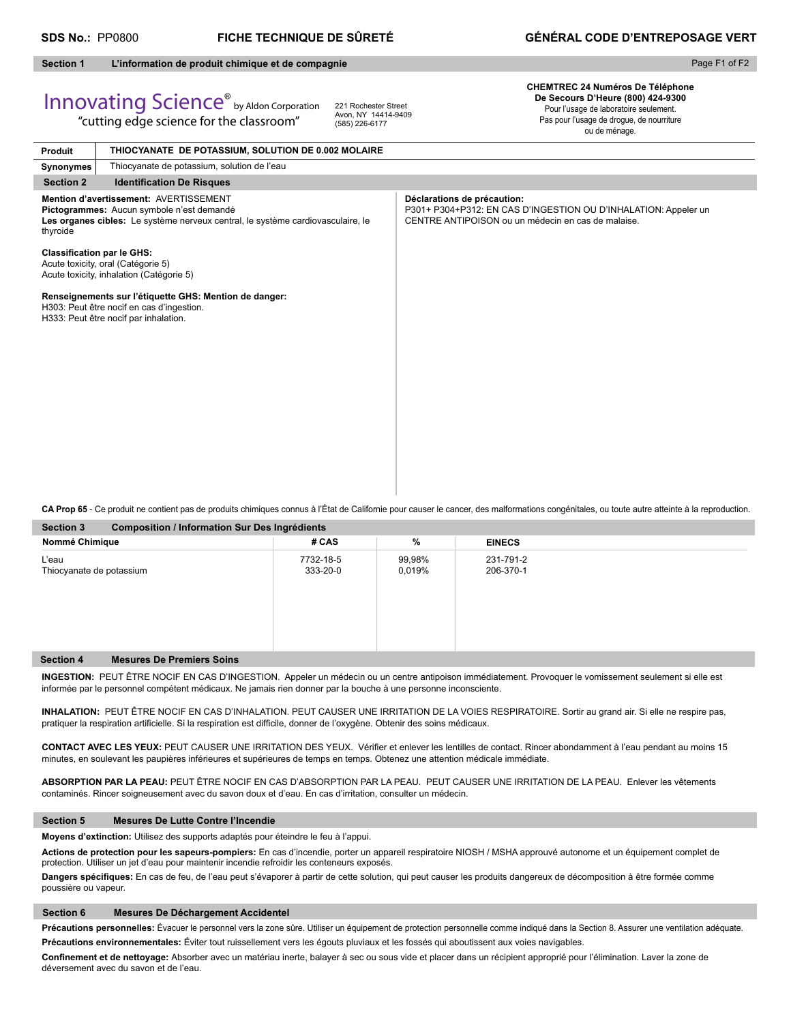**Produit**

# **Section 1 L'information de produit chimique et de compagnie**

"cutting edge science for the classroom"

**THIOCYANATE DE POTASSIUM, SOLUTION DE 0.002 MOLAIRE**

# Page F1 of F2

# Innovating Science® by Aldon Corporation

221 Rochester Street Avon, NY 14414-9409 (585) 226-6177

**CHEMTREC 24 Numéros De Téléphone De Secours D'Heure (800) 424-9300** Pour l'usage de laboratoire seulement. Pas pour l'usage de drogue, de nourriture

ou de ménage.

| <b>FIGUUL</b>                     |                                                                                                                                                                        |                                                                                                                                                      |
|-----------------------------------|------------------------------------------------------------------------------------------------------------------------------------------------------------------------|------------------------------------------------------------------------------------------------------------------------------------------------------|
| Synonymes                         | Thiocyanate de potassium, solution de l'eau                                                                                                                            |                                                                                                                                                      |
| <b>Section 2</b>                  | <b>Identification De Risques</b>                                                                                                                                       |                                                                                                                                                      |
| thyroide                          | Mention d'avertissement: AVERTISSEMENT<br>Pictogrammes: Aucun symbole n'est demandé<br>Les organes cibles: Le système nerveux central, le système cardiovasculaire, le | Déclarations de précaution:<br>P301+ P304+P312: EN CAS D'INGESTION OU D'INHALATION: Appeler un<br>CENTRE ANTIPOISON ou un médecin en cas de malaise. |
| <b>Classification par le GHS:</b> | Acute toxicity, oral (Catégorie 5)<br>Acute toxicity, inhalation (Catégorie 5)                                                                                         |                                                                                                                                                      |
|                                   | Renseignements sur l'étiquette GHS: Mention de danger:<br>H303: Peut être nocif en cas d'ingestion.<br>H333: Peut être nocif par inhalation.                           |                                                                                                                                                      |
|                                   |                                                                                                                                                                        |                                                                                                                                                      |

**CA Prop 65** - Ce produit ne contient pas de produits chimiques connus à l'État de Californie pour causer le cancer, des malformations congénitales, ou toute autre atteinte à la reproduction.

| <b>Section 3</b><br><b>Composition / Information Sur Des Ingrédients</b> |                       |                  |                        |  |  |  |  |  |
|--------------------------------------------------------------------------|-----------------------|------------------|------------------------|--|--|--|--|--|
| Nommé Chimique                                                           | # CAS                 | %                | <b>EINECS</b>          |  |  |  |  |  |
| L'eau<br>Thiocyanate de potassium                                        | 7732-18-5<br>333-20-0 | 99,98%<br>0,019% | 231-791-2<br>206-370-1 |  |  |  |  |  |
| <b>Section 4</b><br><b>Mesures De Premiers Soins</b>                     |                       |                  |                        |  |  |  |  |  |

**INGESTION:** PEUT ÊTRE NOCIF EN CAS D'INGESTION. Appeler un médecin ou un centre antipoison immédiatement. Provoquer le vomissement seulement si elle est informée par le personnel compétent médicaux. Ne jamais rien donner par la bouche à une personne inconsciente.

**INHALATION:** PEUT ÊTRE NOCIF EN CAS D'INHALATION. PEUT CAUSER UNE IRRITATION DE LA VOIES RESPIRATOIRE. Sortir au grand air. Si elle ne respire pas, pratiquer la respiration artificielle. Si la respiration est difficile, donner de l'oxygène. Obtenir des soins médicaux.

CONTACT AVEC LES YEUX: PEUT CAUSER UNE IRRITATION DES YEUX. Vérifier et enlever les lentilles de contact. Rincer abondamment à l'eau pendant au moins 15 minutes, en soulevant les paupières inférieures et supérieures de temps en temps. Obtenez une attention médicale immédiate.

**ABSORPTION PAR LA PEAU:** PEUT ÊTRE NOCIF EN CAS D'ABSORPTION PAR LA PEAU. PEUT CAUSER UNE IRRITATION DE LA PEAU. Enlever les vêtements contaminés. Rincer soigneusement avec du savon doux et d'eau. En cas d'irritation, consulter un médecin.

# **Section 5 Mesures De Lutte Contre l'Incendie**

**Moyens d'extinction:** Utilisez des supports adaptés pour éteindre le feu à l'appui.

**Actions de protection pour les sapeurs-pompiers:** En cas d'incendie, porter un appareil respiratoire NIOSH / MSHA approuvé autonome et un équipement complet de protection. Utiliser un jet d'eau pour maintenir incendie refroidir les conteneurs exposés.

Dangers spécifiques: En cas de feu, de l'eau peut s'évaporer à partir de cette solution, qui peut causer les produits dangereux de décomposition à être formée comme poussière ou vapeur.

# **Section 6 Mesures De Déchargement Accidentel**

Précautions personnelles: Évacuer le personnel vers la zone sûre. Utiliser un équipement de protection personnelle comme indiqué dans la Section 8. Assurer une ventilation adéquate. **Précautions environnementales:** Éviter tout ruissellement vers les égouts pluviaux et les fossés qui aboutissent aux voies navigables.

Confinement et de nettoyage: Absorber avec un matériau inerte, balayer à sec ou sous vide et placer dans un récipient approprié pour l'élimination. Laver la zone de déversement avec du savon et de l'eau.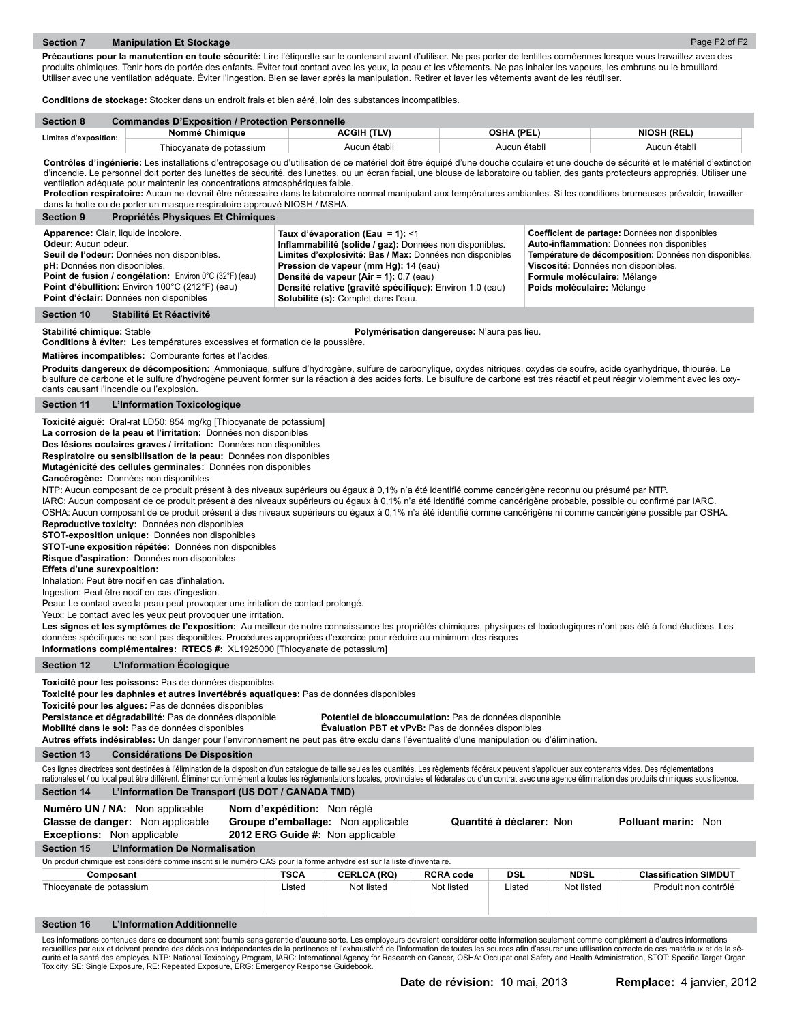Précautions pour la manutention en toute sécurité: Lire l'étiquette sur le contenant avant d'utiliser. Ne pas porter de lentilles cornéennes lorsque vous travaillez avec des produits chimiques. Tenir hors de portée des enfants. Éviter tout contact avec les yeux, la peau et les vêtements. Ne pas inhaler les vapeurs, les embruns ou le brouillard. Utiliser avec une ventilation adéquate. Éviter l'ingestion. Bien se laver après la manipulation. Retirer et laver les vêtements avant de les réutiliser.

**Conditions de stockage:** Stocker dans un endroit frais et bien aéré, loin des substances incompatibles.

| <b>Section 8</b>      | <b>Commandes D'Exposition / Protection Personnelle</b> |              |              |                    |  |  |  |  |
|-----------------------|--------------------------------------------------------|--------------|--------------|--------------------|--|--|--|--|
| Limites d'exposition: | Nommé Chimique                                         | ACGIH (TLV)  | OSHA (PEL)   | <b>NIOSH (REL)</b> |  |  |  |  |
|                       | Thiocvanate de potassium                               | Aucun établi | Aucun établi | Aucun établi       |  |  |  |  |

Contrôles d'ingénierie: Les installations d'entreposage ou d'utilisation de ce matériel doit être équipé d'une douche oculaire et une douche de sécurité et le matériel d'extinction d'incendie. Le personnel doit porter des lunettes de sécurité, des lunettes, ou un écran facial, une blouse de laboratoire ou tablier, des gants protecteurs appropriés. Utiliser une ventilation adéquate pour maintenir les concentrations atmosphériques faible.

Protection respiratoire: Aucun ne devrait être nécessaire dans le laboratoire normal manipulant aux températures ambiantes. Si les conditions brumeuses prévaloir, travailler dans la hotte ou de porter un masque respiratoire approuvé NIOSH / MSHA.

| <b>Section 9</b><br>Propriétés Physiques Et Chimiques                                                                                                                                                                                                                                                           |                                                                                                                                                                                                                                                                                                                                               |                                                                                                                                                                                                                                                              |
|-----------------------------------------------------------------------------------------------------------------------------------------------------------------------------------------------------------------------------------------------------------------------------------------------------------------|-----------------------------------------------------------------------------------------------------------------------------------------------------------------------------------------------------------------------------------------------------------------------------------------------------------------------------------------------|--------------------------------------------------------------------------------------------------------------------------------------------------------------------------------------------------------------------------------------------------------------|
| Apparence: Clair, liquide incolore.<br><b>Odeur:</b> Aucun odeur.<br>Seuil de l'odeur: Données non disponibles.<br>pH: Données non disponibles.<br><b>Point de fusion / congélation:</b> Environ 0°C (32°F) (eau)<br>Point d'ébullition: Environ 100°C (212°F) (eau)<br>Point d'éclair: Données non disponibles | Taux d'évaporation (Eau = 1): <1<br>Inflammabilité (solide / gaz): Données non disponibles.<br>Limites d'explosivité: Bas / Max: Données non disponibles<br>Pression de vapeur (mm Hg): 14 (eau)<br>Densité de vapeur (Air = 1): 0.7 (eau)<br>Densité relative (gravité spécifique): Environ 1.0 (eau)<br>Solubilité (s): Complet dans l'eau. | Coefficient de partage: Données non disponibles<br>Auto-inflammation: Données non disponibles<br>Température de décomposition: Données non disponibles.<br>Viscosité: Données non disponibles.<br>Formule moléculaire: Mélange<br>Poids moléculaire: Mélange |

# **Section 10 Stabilité Et Réactivité**

**Stabilité chimique:** Stable **Polymérisation dangereuse:** N'aura pas lieu.

**Conditions à éviter:** Les températures excessives et formation de la poussière.

**Matières incompatibles:** Comburante fortes et l'acides.

Produits dangereux de décomposition: Ammoniaque, sulfure d'hydrogène, sulfure de carbonylique, oxydes nitriques, oxydes de soufre, acide cyanhydrique, thiourée. Le bisulfure de carbone et le sulfure d'hydrogène peuvent former sur la réaction à des acides forts. Le bisulfure de carbone est très réactif et peut réagir violemment avec les oxydants causant l'incendie ou l'explosion.

**Section 11 L'Information Toxicologique**

**Toxicité aiguë:** Oral-rat LD50: 854 mg/kg [Thiocyanate de potassium]

**La corrosion de la peau et l'irritation:** Données non disponibles

**Des lésions oculaires graves / irritation:** Données non disponibles

**Respiratoire ou sensibilisation de la peau:** Données non disponibles

**Mutagénicité des cellules germinales:** Données non disponibles

**Cancérogène:** Données non disponibles

NTP: Aucun composant de ce produit présent à des niveaux supérieurs ou égaux à 0,1% n'a été identifié comme cancérigène reconnu ou présumé par NTP.

IARC: Aucun composant de ce produit présent à des niveaux supérieurs ou égaux à 0,1% n'a été identifié comme cancérigène probable, possible ou confirmé par IARC.

OSHA: Aucun composant de ce produit présent à des niveaux supérieurs ou égaux à 0,1% n'a été identifié comme cancérigène ni comme cancérigène possible par OSHA. **Reproductive toxicity:** Données non disponibles

**STOT-exposition unique:** Données non disponibles

**STOT-une exposition répétée:** Données non disponibles

**Risque d'aspiration:** Données non disponibles

# **Effets d'une surexposition:**

Inhalation: Peut être nocif en cas d'inhalation.

Ingestion: Peut être nocif en cas d'ingestion.

Peau: Le contact avec la peau peut provoquer une irritation de contact prolongé.

Yeux: Le contact avec les yeux peut provoquer une irritation.

Les signes et les symptômes de l'exposition: Au meilleur de notre connaissance les propriétés chimiques, physiques et toxicologiques n'ont pas été à fond étudiées. Les données spécifiques ne sont pas disponibles. Procédures appropriées d'exercice pour réduire au minimum des risques

**Informations complémentaires: RTECS #:** XL1925000 [Thiocyanate de potassium]

# **Section 12 L'Information Écologique**

**Toxicité pour les poissons:** Pas de données disponibles

**Toxicité pour les daphnies et autres invertébrés aquatiques:** Pas de données disponibles

**Toxicité pour les algues:** Pas de données disponibles

**Persistance et dégradabilité:** Pas de données disponible **Potentiel de bioaccumulation:** Pas de données disponible

**Mobilité dans le sol:** Pas de données disponibles **Évaluation PBT et vPvB:** Pas de données disponibles

**Autres effets indésirables:** Un danger pour l'environnement ne peut pas être exclu dans l'éventualité d'une manipulation ou d'élimination.

# **Section 13 Considérations De Disposition**

Ces lignes directrices sont destinées à l'élimination de la disposition d'un catalogue de taille seules les quantités. Les règlements fédéraux peuvent s'appliquer aux contenants vides. Des réglementations nationales et / ou local peut être différent. Éliminer conformément à toutes les réglementations locales, provinciales et fédérales ou d'un contrat avec une agence élimination des produits chimiques sous licence.

# **Section 14 L'Information De Transport (US DOT / CANADA TMD)**

**Numéro UN / NA:** Non applicable **Nom d'expédition:** Non réglé

| <b>Classe de danger:</b> Non applicable<br>Non applicable<br><b>Exceptions:</b>                                                                                                                 | Groupe d'emballage: Non applicable<br>2012 ERG Guide #: Non applicable |                    |                  | Quantité à déclarer: Non |             | <b>Polluant marin: Non</b>   |  |
|-------------------------------------------------------------------------------------------------------------------------------------------------------------------------------------------------|------------------------------------------------------------------------|--------------------|------------------|--------------------------|-------------|------------------------------|--|
| <b>L'Information De Normalisation</b><br><b>Section 15</b>                                                                                                                                      |                                                                        |                    |                  |                          |             |                              |  |
| Un produit chimique est considéré comme inscrit si le numéro CAS pour la forme anhydre est sur la liste d'inventaire.                                                                           |                                                                        |                    |                  |                          |             |                              |  |
| Composant                                                                                                                                                                                       | <b>TSCA</b>                                                            | <b>CERLCA (RQ)</b> | <b>RCRA code</b> | DSL                      | <b>NDSL</b> | <b>Classification SIMDUT</b> |  |
| Thiocyanate de potassium                                                                                                                                                                        | Listed                                                                 | Not listed         | Not listed       | Listed                   | Not listed  | Produit non contrôlé         |  |
| <b>Section 16</b><br>L'Information Additionnelle                                                                                                                                                |                                                                        |                    |                  |                          |             |                              |  |
| Les informations contenues dans ce document sont fournis sans garantie d'aucune sorte. Les employeurs devraient considérer cette information seulement comme complément à d'autres informations |                                                                        |                    |                  |                          |             |                              |  |

Les informations contenues dans ce document sont fournis sans garantie d'aucune sorte. Les employeurs devraient considérer cette information seulement comme complément à d'autres informations<br>recueillies par eux et doivent curité et la santé des employés. NTP: National Toxicology Program, IARC: International Agency for Research on Cancer, OSHA: Occupational Safety and Health Administration, STOT: Specific Target Organ Toxicity, SE: Single Exposure, RE: Repeated Exposure, ERG: Emergency Response Guidebook.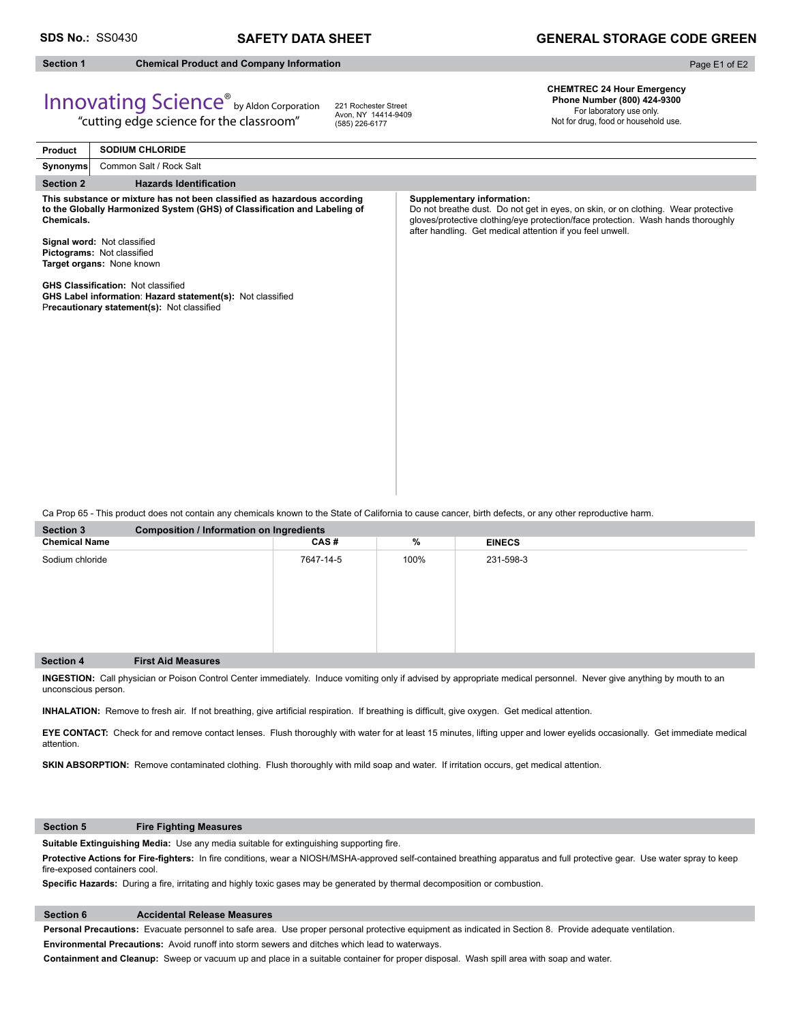# **SDS No.:** SS0430 **SAFETY DATA SHEET**

# **GENERAL STORAGE CODE GREEN**

# **Section 1 Chemical Product and Company Information**

Page E1 of E2

# Innovating Science® by Aldon Corporation

"cutting edge science for the classroom"

221 Rochester Street Avon, NY 14414-9409 (585) 226-6177

**CHEMTREC 24 Hour Emergency Phone Number (800) 424-9300**  For laboratory use only.

Not for drug, food or household use.

| Product          | <b>SODIUM CHLORIDE</b>                                                                                                                                |                                                                                                                                                                                                                                                                         |
|------------------|-------------------------------------------------------------------------------------------------------------------------------------------------------|-------------------------------------------------------------------------------------------------------------------------------------------------------------------------------------------------------------------------------------------------------------------------|
| Synonyms         | Common Salt / Rock Salt                                                                                                                               |                                                                                                                                                                                                                                                                         |
| <b>Section 2</b> | <b>Hazards Identification</b>                                                                                                                         |                                                                                                                                                                                                                                                                         |
| Chemicals.       | This substance or mixture has not been classified as hazardous according<br>to the Globally Harmonized System (GHS) of Classification and Labeling of | <b>Supplementary information:</b><br>Do not breathe dust. Do not get in eyes, on skin, or on clothing. Wear protective<br>gloves/protective clothing/eye protection/face protection. Wash hands thoroughly<br>after handling. Get medical attention if you feel unwell. |
|                  | Signal word: Not classified<br>Pictograms: Not classified<br>Target organs: None known                                                                |                                                                                                                                                                                                                                                                         |
|                  | <b>GHS Classification: Not classified</b><br>GHS Label information: Hazard statement(s): Not classified<br>Precautionary statement(s): Not classified |                                                                                                                                                                                                                                                                         |
|                  |                                                                                                                                                       |                                                                                                                                                                                                                                                                         |
|                  |                                                                                                                                                       |                                                                                                                                                                                                                                                                         |
|                  |                                                                                                                                                       |                                                                                                                                                                                                                                                                         |

Ca Prop 65 - This product does not contain any chemicals known to the State of California to cause cancer, birth defects, or any other reproductive harm.

| Section 3            | <b>Composition / Information on Ingredients</b> |           |      |               |  |  |
|----------------------|-------------------------------------------------|-----------|------|---------------|--|--|
| <b>Chemical Name</b> |                                                 | CAS#      | %    | <b>EINECS</b> |  |  |
| Sodium chloride      |                                                 | 7647-14-5 | 100% | 231-598-3     |  |  |
| Section 4            | <b>First Aid Measures</b>                       |           |      |               |  |  |

**INGESTION:** Call physician or Poison Control Center immediately. Induce vomiting only if advised by appropriate medical personnel.Never give anything by mouth to an unconscious person.

INHALATION: Remove to fresh air. If not breathing, give artificial respiration. If breathing is difficult, give oxygen. Get medical attention.

**EYE CONTACT:** Check for and remove contact lenses. Flush thoroughly with water for at least 15 minutes, lifting upper and lower eyelids occasionally. Get immediate medical attention.

**SKIN ABSORPTION:** Remove contaminated clothing. Flush thoroughly with mild soap and water. If irritation occurs, get medical attention.

# **Section 5 Fire Fighting Measures**

Suitable Extinguishing Media: Use any media suitable for extinguishing supporting fire.

Protective Actions for Fire-fighters: In fire conditions, wear a NIOSH/MSHA-approved self-contained breathing apparatus and full protective gear. Use water spray to keep fire-exposed containers cool.

Specific Hazards: During a fire, irritating and highly toxic gases may be generated by thermal decomposition or combustion.

# **Section 6 Accidental Release Measures**

**Personal Precautions:** Evacuate personnel to safe area. Use proper personal protective equipment as indicated in Section 8. Provide adequate ventilation.

**Environmental Precautions:** Avoid runoff into storm sewers and ditches which lead to waterways.

**Containment and Cleanup:** Sweep or vacuum up and place in a suitable container for proper disposal. Wash spill area with soap and water.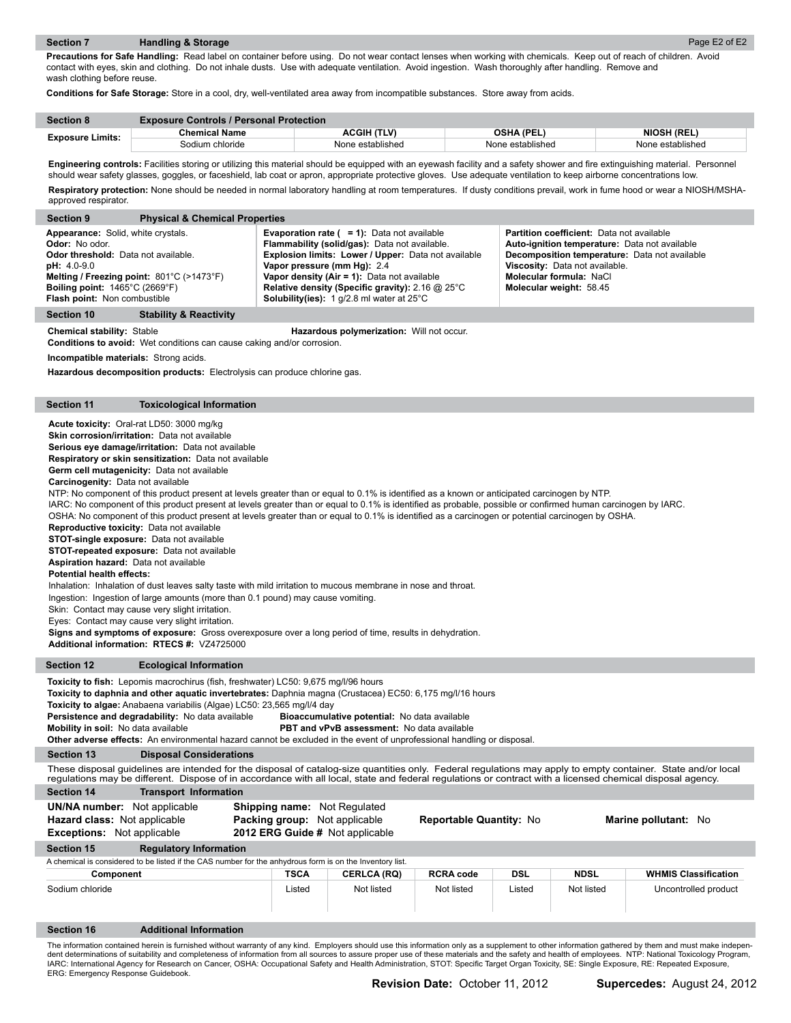**Precautions for Safe Handling:** Read label on container before using. Do not wear contact lenses when working with chemicals. Keep out of reach of children. Avoid contact with eyes, skin and clothing. Do not inhale dusts. Use with adequate ventilation. Avoid ingestion. Wash thoroughly after handling. Remove and wash clothing before reuse.

**Conditions for Safe Storage:** Store in a cool, dry, well-ventilated area away from incompatible substances. Store away from acids.

| <b>Section 8</b>        | <b>Exposure Controls / Personal Protection</b> |                    |                   |                    |  |
|-------------------------|------------------------------------------------|--------------------|-------------------|--------------------|--|
| <b>Exposure Limits:</b> | <b>Chemical Name</b>                           | <b>ACGIH (TLV)</b> | <b>OSHA (PEL)</b> | <b>NIOSH (REL)</b> |  |
|                         | Sodium chloride                                | None established   | None established  | None established   |  |

**Engineering controls:** Facilities storing or utilizing this material should be equipped with an eyewash facility and a safety shower and fire extinguishing material. Personnel should wear safety glasses, goggles, or faceshield, lab coat or apron, appropriate protective gloves. Use adequate ventilation to keep airborne concentrations low. Respiratory protection: None should be needed in normal laboratory handling at room temperatures. If dusty conditions prevail, work in fume hood or wear a NIOSH/MSHA-

approved respirator.

| <b>Physical &amp; Chemical Properties</b><br><b>Section 9</b>                                                                                                                                                                                                                              |                                                                                                                                                                                                                                                                                                                                                                                      |                                                                                                                                                                                                                                            |
|--------------------------------------------------------------------------------------------------------------------------------------------------------------------------------------------------------------------------------------------------------------------------------------------|--------------------------------------------------------------------------------------------------------------------------------------------------------------------------------------------------------------------------------------------------------------------------------------------------------------------------------------------------------------------------------------|--------------------------------------------------------------------------------------------------------------------------------------------------------------------------------------------------------------------------------------------|
| Appearance: Solid, white crystals.<br><b>Odor:</b> No odor.<br><b>Odor threshold:</b> Data not available.<br>$pH: 4.0-9.0$<br>Melting / Freezing point: $801^{\circ}$ C (>1473 $^{\circ}$ F)<br><b>Boiling point:</b> $1465^{\circ}$ C (2669 $^{\circ}$ F)<br>Flash point: Non combustible | <b>Evaporation rate (<math>= 1</math>):</b> Data not available<br>Flammability (solid/gas): Data not available.<br><b>Explosion limits: Lower / Upper: Data not available</b><br>Vapor pressure (mm Hg): 2.4<br>Vapor density (Air = 1): Data not available<br>Relative density (Specific gravity): 2.16 $@$ 25 $°C$<br><b>Solubility(ies):</b> 1 $q/2.8$ ml water at $25^{\circ}$ C | <b>Partition coefficient:</b> Data not available<br>Auto-ignition temperature: Data not available<br>Decomposition temperature: Data not available<br>Viscosity: Data not available.<br>Molecular formula: NaCl<br>Molecular weight: 58.45 |
| <b>Stability &amp; Reactivity</b><br>Section 10                                                                                                                                                                                                                                            |                                                                                                                                                                                                                                                                                                                                                                                      |                                                                                                                                                                                                                                            |

**Chemical stability:** Stable **Hazardous polymerization:** Will not occur.

**Conditions to avoid:** Wet conditions can cause caking and/or corrosion.

**Incompatible materials:** Strong acids.

**Hazardous decomposition products:** Electrolysis can produce chlorine gas.

## **Section 11 Toxicological Information**

**Acute toxicity:** Oral-rat LD50: 3000 mg/kg

**Skin corrosion/irritation:** Data not available

**Serious eye damage/irritation:** Data not available

**Respiratory or skin sensitization:** Data not available **Germ cell mutagenicity:** Data not available

**Carcinogenity:** Data not available

NTP: No component of this product present at levels greater than or equal to 0.1% is identified as a known or anticipated carcinogen by NTP.

IARC: No component of this product present at levels greater than or equal to 0.1% is identified as probable, possible or confirmed human carcinogen by IARC.

OSHA: No component of this product present at levels greater than or equal to 0.1% is identified as a carcinogen or potential carcinogen by OSHA.

**Reproductive toxicity:** Data not available

**STOT-single exposure:** Data not available

**STOT-repeated exposure:** Data not available

**Aspiration hazard:** Data not available

**Potential health effects:** 

Inhalation: Inhalation of dust leaves salty taste with mild irritation to mucous membrane in nose and throat.

Ingestion: Ingestion of large amounts (more than 0.1 pound) may cause vomiting.

Skin: Contact may cause very slight irritation.

Eyes: Contact may cause very slight irritation.

**Signs and symptoms of exposure:** Gross overexposure over a long period of time, results in dehydration.

**Additional information: RTECS #:** VZ4725000

# **Section 12 Ecological Information**

Toxicity to fish: Lepomis macrochirus (fish, freshwater) LC50: 9,675 mg/l/96 hours

**Toxicity to daphnia and other aquatic invertebrates:** Daphnia magna (Crustacea) EC50: 6,175 mg/l/16 hours

**Toxicity to algae:** Anabaena variabilis (Algae) LC50: 23,565 mg/l/4 day

**Persistence and degradability:** No data available **Bioaccumulative potential:** No data available

**Mobility in soil:** No data available **PBT and vPvB assessment:** No data available

**Other adverse effects:** An environmental hazard cannot be excluded in the event of unprofessional handling or disposal.

**Section 13 Disposal Considerations**

These disposal guidelines are intended for the disposal of catalog-size quantities only. Federal regulations may apply to empty container. State and/or local regulations may be different. Dispose of in accordance with all local, state and federal regulations or contract with a licensed chemical disposal agency.

| <b>Section 14</b> | <b>Transport Information</b> |  |  |
|-------------------|------------------------------|--|--|
|                   |                              |  |  |

| <b>UN/NA number:</b> Not applicable<br><b>Hazard class: Not applicable</b><br><b>Exceptions:</b> Not applicable | <b>Shipping name:</b> Not Regulated<br><b>Packing group:</b> Not applicable<br>2012 ERG Guide # Not applicable |                    | <b>Reportable Quantity: No</b> |            |             | Marine pollutant: No        |
|-----------------------------------------------------------------------------------------------------------------|----------------------------------------------------------------------------------------------------------------|--------------------|--------------------------------|------------|-------------|-----------------------------|
| Section 15<br><b>Regulatory Information</b>                                                                     |                                                                                                                |                    |                                |            |             |                             |
| A chemical is considered to be listed if the CAS number for the anhydrous form is on the Inventory list.        |                                                                                                                |                    |                                |            |             |                             |
| Component                                                                                                       | TSCA                                                                                                           | <b>CERLCA (RQ)</b> | <b>RCRA code</b>               | <b>DSL</b> | <b>NDSL</b> | <b>WHMIS Classification</b> |

Sodium chloride Listed Not listed Not listed Listed Not listed Uncontrolled product

# **Section 16 Additional Information**

The information contained herein is furnished without warranty of any kind. Employers should use this information only as a supplement to other information gathered by them and must make independent determinations of suitability and completeness of information from all sources to assure proper use of these materials and the safety and health of employees. NTP: National Toxicology Program, IARC: International Agency for Research on Cancer, OSHA: Occupational Safety and Health Administration, STOT: Specific Target Organ Toxicity, SE: Single Exposure, RE: Repeated Exposure, ERG: Emergency Response Guidebook.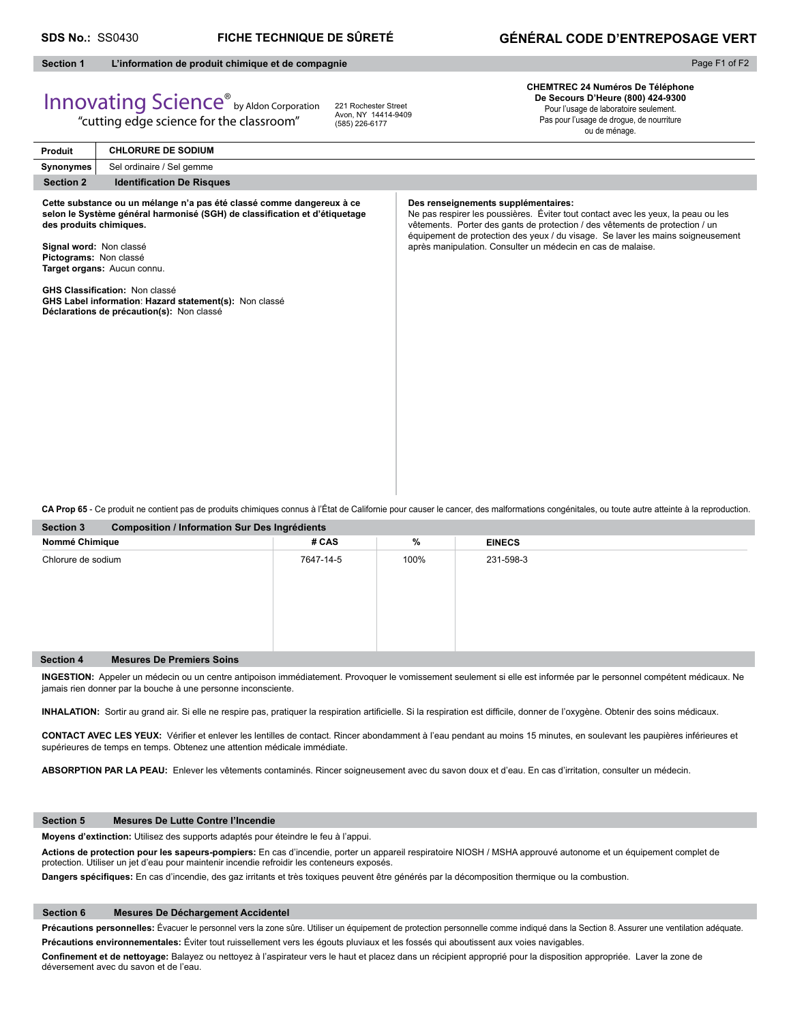# **GÉNÉRAL CODE D'ENTREPOSAGE VERT**

Page F1 of F2

# **Section 1 L'information de produit chimique et de compagnie**

# Innovating Science® by Aldon Corporation

"cutting edge science for the classroom"

221 Rochester Street Avon, NY 14414-9409 (585) 226-6177

**CHEMTREC 24 Numéros De Téléphone De Secours D'Heure (800) 424-9300** Pour l'usage de laboratoire seulement. Pas pour l'usage de drogue, de nourriture ou de ménage.

**Produit Synonymes Section 2** Identification De Risques **Des renseignements supplémentaires:** Ne pas respirer les poussières. Éviter tout contact avec les yeux, la peau ou les vêtements. Porter des gants de protection / des vêtements de protection / un équipement de protection des yeux / du visage. Se laver les mains soigneusement après manipulation. Consulter un médecin en cas de malaise. **Cette substance ou un mélange n'a pas été classé comme dangereux à ce**  selon le Système général harmonisé (SGH) de classification et d'étiquetage **des produits chimiques. Signal word:** Non classé **Pictograms:** Non classé **Target organs:** Aucun connu. **GHS Classification: Non classé GHS Label information**: **Hazard statement(s):** Non classé **Déclarations de précaution(s):** Non classé **CHLORURE DE SODIUM** Sel ordinaire / Sel gemme

**CA Prop 65** - Ce produit ne contient pas de produits chimiques connus à l'État de Californie pour causer le cancer, des malformations congénitales, ou toute autre atteinte à la reproduction.

| <b>Section 3</b><br><b>Composition / Information Sur Des Ingrédients</b> |           |      |               |  |  |
|--------------------------------------------------------------------------|-----------|------|---------------|--|--|
| Nommé Chimique                                                           | # CAS     | %    | <b>EINECS</b> |  |  |
| Chlorure de sodium                                                       | 7647-14-5 | 100% | 231-598-3     |  |  |
| <b>Mesures De Premiers Soins</b><br><b>Section 4</b>                     |           |      |               |  |  |

**INGESTION:** Appeler un médecin ou un centre antipoison immédiatement. Provoquer le vomissement seulement si elle est informée par le personnel compétent médicaux. Ne jamais rien donner par la bouche à une personne inconsciente.

INHALATION: Sortir au grand air. Si elle ne respire pas, pratiquer la respiration artificielle. Si la respiration est difficile, donner de l'oxygène. Obtenir des soins médicaux.

CONTACT AVEC LES YEUX: Vérifier et enlever les lentilles de contact. Rincer abondamment à l'eau pendant au moins 15 minutes, en soulevant les paupières inférieures et supérieures de temps en temps. Obtenez une attention médicale immédiate.

**ABSORPTION PAR LA PEAU:** Enlever les vêtements contaminés. Rincer soigneusement avec du savon doux et d'eau. En cas d'irritation, consulter un médecin.

### **Section 5 Mesures De Lutte Contre l'Incendie**

**Moyens d'extinction:** Utilisez des supports adaptés pour éteindre le feu à l'appui.

**Actions de protection pour les sapeurs-pompiers:** En cas d'incendie, porter un appareil respiratoire NIOSH / MSHA approuvé autonome et un équipement complet de protection. Utiliser un jet d'eau pour maintenir incendie refroidir les conteneurs exposés.

Dangers spécifiques: En cas d'incendie, des gaz irritants et très toxiques peuvent être générés par la décomposition thermique ou la combustion.

### **Section 6 Mesures De Déchargement Accidentel**

Précautions personnelles: Évacuer le personnel vers la zone sûre. Utiliser un équipement de protection personnelle comme indiqué dans la Section 8. Assurer une ventilation adéquate. **Précautions environnementales:** Éviter tout ruissellement vers les égouts pluviaux et les fossés qui aboutissent aux voies navigables.

Confinement et de nettoyage: Balayez ou nettoyez à l'aspirateur vers le haut et placez dans un récipient approprié pour la disposition appropriée. Laver la zone de déversement avec du savon et de l'eau.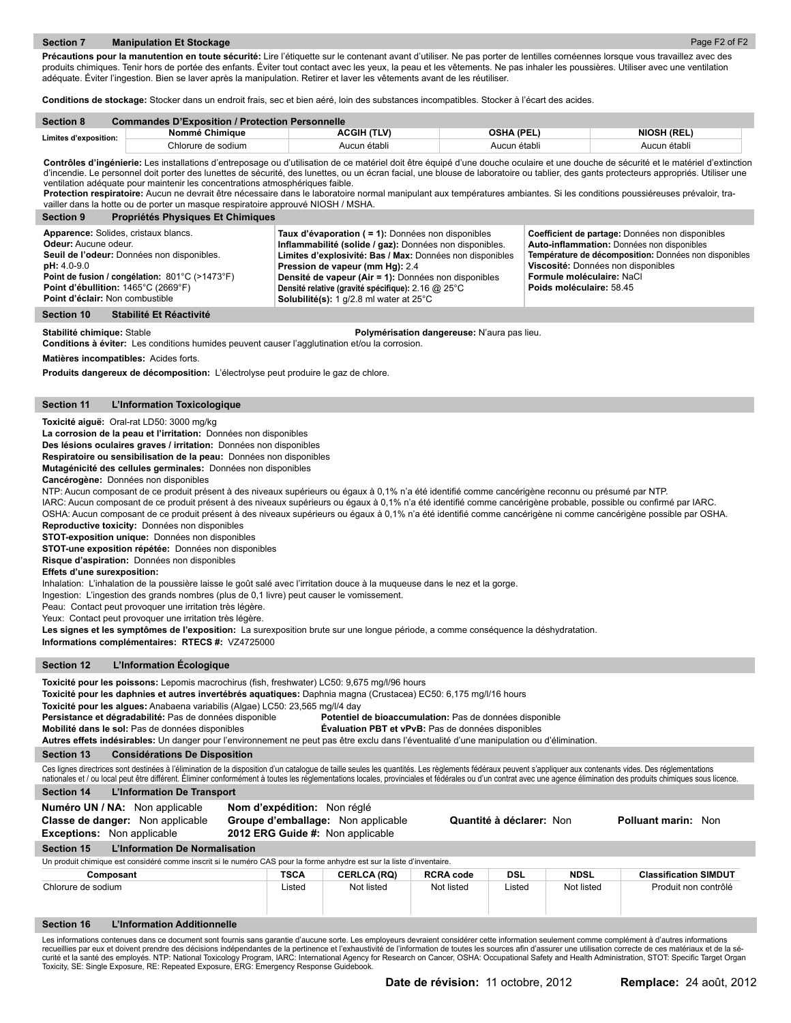Page F2 of F2

Précautions pour la manutention en toute sécurité: Lire l'étiquette sur le contenant avant d'utiliser. Ne pas porter de lentilles cornéennes lorsque vous travaillez avec des produits chimiques. Tenir hors de portée des enfants. Éviter tout contact avec les yeux, la peau et les vêtements. Ne pas inhaler les poussières. Utiliser avec une ventilation adéquate. Éviter l'ingestion. Bien se laver après la manipulation. Retirer et laver les vêtements avant de les réutiliser.

**Conditions de stockage:** Stocker dans un endroit frais, sec et bien aéré, loin des substances incompatibles. Stocker à l'écart des acides.

| <b>Section 8</b>      | <b>Commandes D'Exposition / Protection Personnelle</b> |              |              |                    |  |  |
|-----------------------|--------------------------------------------------------|--------------|--------------|--------------------|--|--|
| Limites d'exposition: | Nommé Chimique                                         | ACGIH (TLV)  | OSHA (PEL)   | <b>NIOSH (REL)</b> |  |  |
|                       | Chlorure de sodium                                     | Aucun établi | Aucun établi | Aucun établi       |  |  |

Contrôles d'ingénierie: Les installations d'entreposage ou d'utilisation de ce matériel doit être équipé d'une douche oculaire et une douche de sécurité et le matériel d'extinction d'incendie. Le personnel doit porter des lunettes de sécurité, des lunettes, ou un écran facial, une blouse de laboratoire ou tablier, des gants protecteurs appropriés. Utiliser une ventilation adéquate pour maintenir les concentrations atmosphériques faible.

**Protection respiratoire:** Aucun ne devrait être nécessaire dans le laboratoire normal manipulant aux températures ambiantes. Si les conditions poussiéreuses prévaloir, travailler dans la hotte ou de porter un masque respiratoire approuvé NIOSH / MSHA.

| <b>Propriétés Physiques Et Chimiques</b><br><b>Section 9</b>                                                                                                                                                                                              |                                                                                                                                                                                                                                                                                                                                                                        |                                                                                                                                                                                                                                                       |
|-----------------------------------------------------------------------------------------------------------------------------------------------------------------------------------------------------------------------------------------------------------|------------------------------------------------------------------------------------------------------------------------------------------------------------------------------------------------------------------------------------------------------------------------------------------------------------------------------------------------------------------------|-------------------------------------------------------------------------------------------------------------------------------------------------------------------------------------------------------------------------------------------------------|
| Apparence: Solides, cristaux blancs.<br>Odeur: Aucune odeur.<br>Seuil de l'odeur: Données non disponibles.<br>$pH: 4.0 - 9.0$<br>Point de fusion / congélation: 801°C (>1473°F)<br>Point d'ébullition: 1465°C (2669°F)<br>Point d'éclair: Non combustible | Taux d'évaporation ( = 1): Données non disponibles<br>Inflammabilité (solide / gaz): Données non disponibles.<br>Limites d'explosivité: Bas / Max: Données non disponibles<br>Pression de vapeur (mm Hg): 2.4<br>Densité de vapeur (Air = 1): Données non disponibles<br>Densité relative (gravité spécifique): 2.16 @ 25°C<br>Solubilité(s): 1 g/2.8 ml water at 25°C | Coefficient de partage: Données non disponibles<br>Auto-inflammation: Données non disponibles<br>Température de décomposition: Données non disponibles<br>Viscosité: Données non disponibles<br>Formule moléculaire: NaCl<br>Poids moléculaire: 58.45 |
|                                                                                                                                                                                                                                                           |                                                                                                                                                                                                                                                                                                                                                                        |                                                                                                                                                                                                                                                       |

# **Section 10 Stabilité Et Réactivité**

**Stabilité chimique:** Stable **Polymérisation dangereuse:** N'aura pas lieu.

**Conditions à éviter:** Les conditions humides peuvent causer l'agglutination et/ou la corrosion.

**Matières incompatibles:** Acides forts.

**Produits dangereux de décomposition:** L'électrolyse peut produire le gaz de chlore.

## **Section 11 L'Information Toxicologique**

**Toxicité aiguë:** Oral-rat LD50: 3000 mg/kg

**La corrosion de la peau et l'irritation:** Données non disponibles

**Des lésions oculaires graves / irritation:** Données non disponibles

**Respiratoire ou sensibilisation de la peau:** Données non disponibles

**Mutagénicité des cellules germinales:** Données non disponibles

# **Cancérogène:** Données non disponibles

NTP: Aucun composant de ce produit présent à des niveaux supérieurs ou égaux à 0,1% n'a été identifié comme cancérigène reconnu ou présumé par NTP.

IARC: Aucun composant de ce produit présent à des niveaux supérieurs ou égaux à 0,1% n'a été identifié comme cancérigène probable, possible ou confirmé par IARC.

OSHA: Aucun composant de ce produit présent à des niveaux supérieurs ou égaux à 0,1% n'a été identifié comme cancérigène ni comme cancérigène possible par OSHA. **Reproductive toxicity:** Données non disponibles

**STOT-exposition unique:** Données non disponibles

**STOT-une exposition répétée:** Données non disponibles

**Risque d'aspiration:** Données non disponibles

### **Effets d'une surexposition:**

Inhalation: L'inhalation de la poussière laisse le goût salé avec l'irritation douce à la muqueuse dans le nez et la gorge.

Ingestion: L'ingestion des grands nombres (plus de 0,1 livre) peut causer le vomissement.

Peau: Contact peut provoquer une irritation très légère.

Yeux: Contact peut provoquer une irritation très légère.

**Les signes et les symptômes de l'exposition:** La surexposition brute sur une longue période, a comme conséquence la déshydratation.

**Informations complémentaires: RTECS #:** VZ4725000

# **Section 12 L'Information Écologique**

Toxicité pour les poissons: Lepomis macrochirus (fish, freshwater) LC50: 9,675 mg/l/96 hours

**Toxicité pour les daphnies et autres invertébrés aquatiques:** Daphnia magna (Crustacea) EC50: 6,175 mg/l/16 hours

**Toxicité pour les algues:** Anabaena variabilis (Algae) LC50: 23,565 mg/l/4 day

**Persistance et dégradabilité:** Pas de données disponible **Potentiel de bioaccumulation:** Pas de données disponible

**Mobilité dans le sol:** Pas de données disponibles **Évaluation PBT et vPvB:** Pas de données disponibles

| Autres effets indésirables: Un danger pour l'environnement ne peut pas être exclu dans l'éventualité d'une manipulation ou d'élimination. |  |
|-------------------------------------------------------------------------------------------------------------------------------------------|--|
|                                                                                                                                           |  |

# **Section 13 Considérations De Disposition**

Ces lignes directrices sont destinées à l'élimination de la disposition d'un catalogue de taille seules les quantités. Les règlements fédéraux peuvent s'appliquer aux contenants vides. Des réglementations nationales et / ou local peut être différent. Éliminer conformément à toutes les réglementations locales, provinciales et fédérales ou d'un contrat avec une agence élimination des produits chimiques sous licence.

# **Section 14 L'Information De Transport**

| Numéro UN / NA: Non applicable<br>Classe de danger: Non applicable<br><b>Exceptions:</b> Non applicable               | Nom d'expédition: Non réglé<br>Groupe d'emballage: Non applicable<br>2012 ERG Guide #: Non applicable |                    |                  | Quantité à déclarer: Non |             | <b>Polluant marin: Non</b>   |
|-----------------------------------------------------------------------------------------------------------------------|-------------------------------------------------------------------------------------------------------|--------------------|------------------|--------------------------|-------------|------------------------------|
| L'Information De Normalisation<br><b>Section 15</b>                                                                   |                                                                                                       |                    |                  |                          |             |                              |
| Un produit chimique est considéré comme inscrit si le numéro CAS pour la forme anhydre est sur la liste d'inventaire. |                                                                                                       |                    |                  |                          |             |                              |
| Composant                                                                                                             | TSCA                                                                                                  | <b>CERLCA (RQ)</b> | <b>RCRA code</b> | DSL                      | <b>NDSL</b> | <b>Classification SIMDUT</b> |
| Chlorure de sodium                                                                                                    | Listed                                                                                                | Not listed         | Not listed       | Listed                   | Not listed  | Produit non contrôlé         |
| L'Information Additionnelle<br><b>Section 16</b>                                                                      |                                                                                                       |                    |                  |                          |             |                              |

Les informations contenues dans ce document sont fournis sans garantie d'aucune sorte. Les employeurs devraient considérer cette information seulement comme complément à d'autres informations<br>recueillies par eux et doivent Toxicity, SE: Single Exposure, RE: Repeated Exposure, ERG: Emergency Response Guidebook.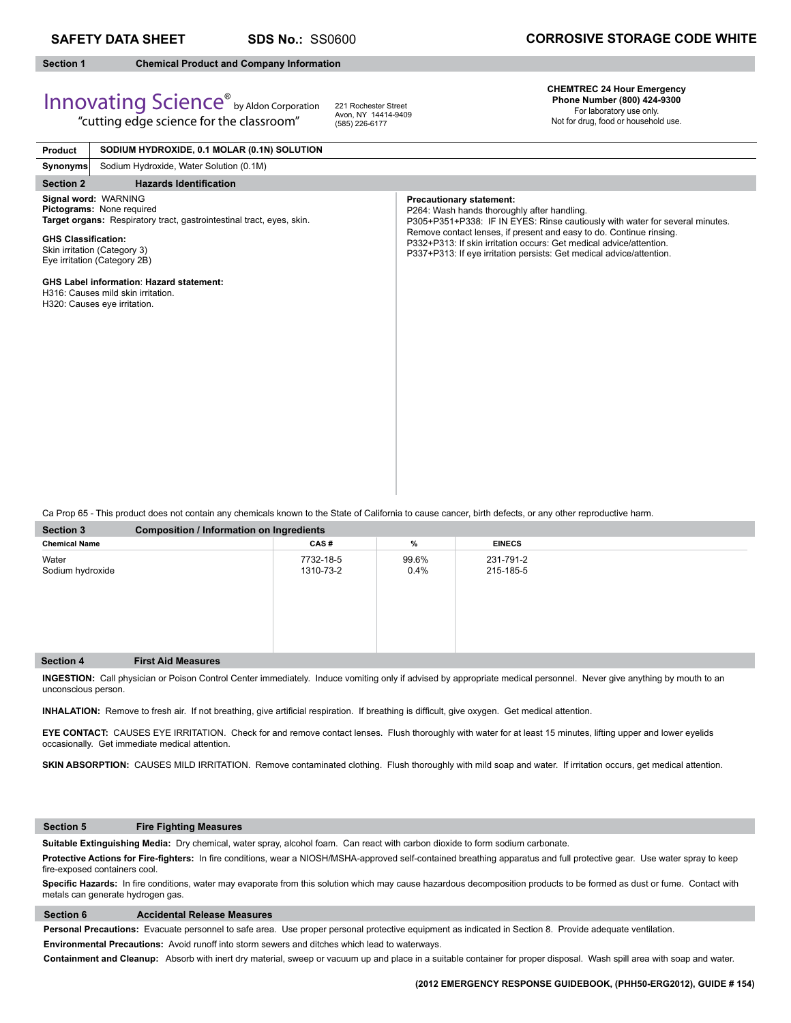Innovating Science® by Aldon Corporation "cutting edge science for the classroom"

# **Section 1 Chemical Product and Company Information**

221 Rochester Street Avon, NY 14414-9409 (585) 226-6177

# **CHEMTREC 24 Hour Emergency Phone Number (800) 424-9300**

For laboratory use only. Not for drug, food or household use.

| <b>Product</b>             | SODIUM HYDROXIDE, 0.1 MOLAR (0.1N) SOLUTION                                                                                                                                                |                                                                                                                                                                                                                                                                                                                                                                                      |
|----------------------------|--------------------------------------------------------------------------------------------------------------------------------------------------------------------------------------------|--------------------------------------------------------------------------------------------------------------------------------------------------------------------------------------------------------------------------------------------------------------------------------------------------------------------------------------------------------------------------------------|
| <b>Synonyms</b>            | Sodium Hydroxide, Water Solution (0.1M)                                                                                                                                                    |                                                                                                                                                                                                                                                                                                                                                                                      |
| <b>Section 2</b>           | <b>Hazards Identification</b>                                                                                                                                                              |                                                                                                                                                                                                                                                                                                                                                                                      |
| <b>GHS Classification:</b> | Signal word: WARNING<br>Pictograms: None required<br>Target organs: Respiratory tract, gastrointestinal tract, eyes, skin.<br>Skin irritation (Category 3)<br>Eye irritation (Category 2B) | <b>Precautionary statement:</b><br>P264: Wash hands thoroughly after handling.<br>P305+P351+P338: IF IN EYES: Rinse cautiously with water for several minutes.<br>Remove contact lenses, if present and easy to do. Continue rinsing.<br>P332+P313: If skin irritation occurs: Get medical advice/attention.<br>P337+P313: If eye irritation persists: Get medical advice/attention. |
|                            | <b>GHS Label information: Hazard statement:</b><br>H316: Causes mild skin irritation.<br>H320: Causes eye irritation.                                                                      |                                                                                                                                                                                                                                                                                                                                                                                      |

Ca Prop 65 - This product does not contain any chemicals known to the State of California to cause cancer, birth defects, or any other reproductive harm.

| Section 3                 | <b>Composition / Information on Ingredients</b> |                        |               |                        |  |
|---------------------------|-------------------------------------------------|------------------------|---------------|------------------------|--|
| <b>Chemical Name</b>      |                                                 | CAS#                   | %             | <b>EINECS</b>          |  |
| Water<br>Sodium hydroxide |                                                 | 7732-18-5<br>1310-73-2 | 99.6%<br>0.4% | 231-791-2<br>215-185-5 |  |
| Section 4                 | <b>First Aid Measures</b>                       |                        |               |                        |  |

**INGESTION:** Call physician or Poison Control Center immediately. Induce vomiting only if advised by appropriate medical personnel.Never give anything by mouth to an unconscious person.

INHALATION: Remove to fresh air. If not breathing, give artificial respiration. If breathing is difficult, give oxygen. Get medical attention.

**EYE CONTACT:** CAUSES EYE IRRITATION. Check for and remove contact lenses. Flush thoroughly with water for at least 15 minutes, lifting upper and lower eyelids occasionally. Get immediate medical attention.

SKIN ABSORPTION: CAUSES MILD IRRITATION. Remove contaminated clothing. Flush thoroughly with mild soap and water. If irritation occurs, get medical attention.

## **Section 5 Fire Fighting Measures**

**Suitable Extinguishing Media:** Dry chemical, water spray, alcohol foam. Can react with carbon dioxide to form sodium carbonate.

Protective Actions for Fire-fighters: In fire conditions, wear a NIOSH/MSHA-approved self-contained breathing apparatus and full protective gear. Use water spray to keep fire-exposed containers cool.

Specific Hazards: In fire conditions, water may evaporate from this solution which may cause hazardous decomposition products to be formed as dust or fume. Contact with metals can generate hydrogen gas.

# **Section 6 Accidental Release Measures**

**Personal Precautions:** Evacuate personnel to safe area. Use proper personal protective equipment as indicated in Section 8. Provide adequate ventilation.

**Environmental Precautions:** Avoid runoff into storm sewers and ditches which lead to waterways.

**Containment and Cleanup:** Absorb with inert dry material, sweep or vacuum up and place in a suitable container for proper disposal. Wash spill area with soap and water.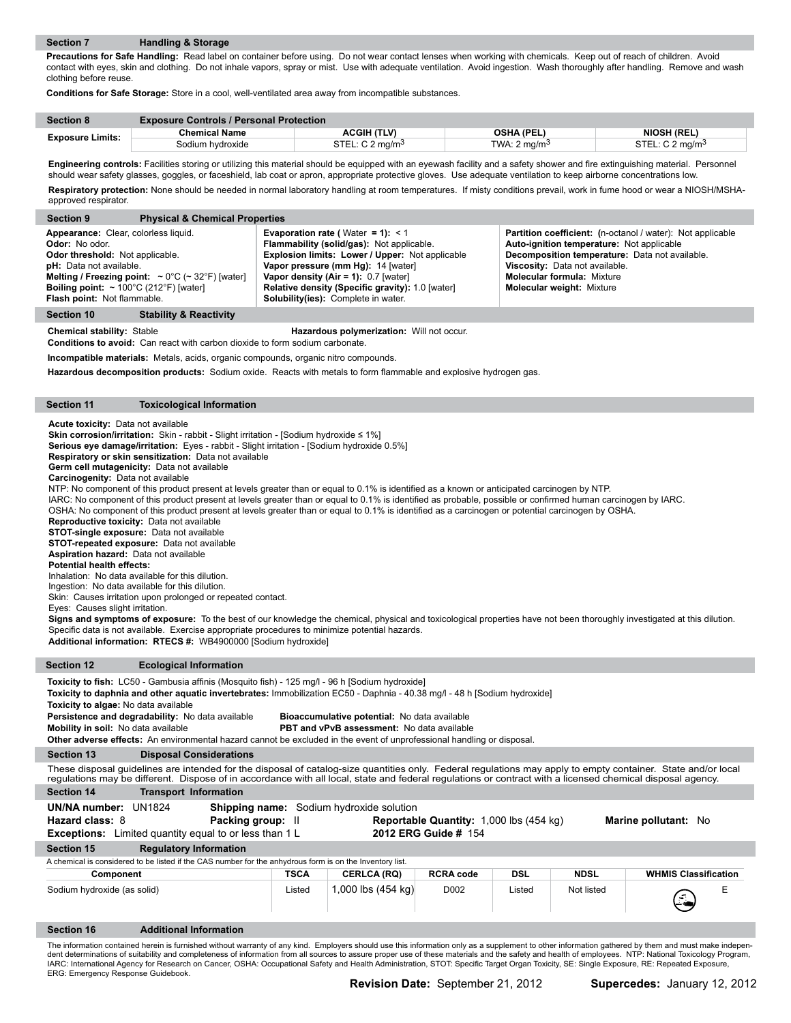**Precautions for Safe Handling:** Read label on container before using. Do not wear contact lenses when working with chemicals. Keep out of reach of children. Avoid contact with eyes, skin and clothing. Do not inhale vapors, spray or mist. Use with adequate ventilation. Avoid ingestion. Wash thoroughly after handling. Remove and wash clothing before reuse.

**Conditions for Safe Storage:** Store in a cool, well-ventilated area away from incompatible substances.

| <b>Section 8</b>        | <b>Exposure Controls / Personal Protection</b> |                               |                          |                             |
|-------------------------|------------------------------------------------|-------------------------------|--------------------------|-----------------------------|
| <b>Exposure Limits:</b> | <b>Chemical Name</b>                           | <b>ACGIH (TLV)</b>            | <b>OSHA (PEL)</b>        | <b>NIOSH (REL)</b>          |
|                         | Sodium hvdroxide                               | STEL: $C$ 2 ma/m <sup>3</sup> | TWA: 2 ma/m <sup>3</sup> | STEL: C 2 mg/m <sup>3</sup> |

**Engineering controls:** Facilities storing or utilizing this material should be equipped with an eyewash facility and a safety shower and fire extinguishing material. Personnel should wear safety glasses, goggles, or faceshield, lab coat or apron, appropriate protective gloves. Use adequate ventilation to keep airborne concentrations low. **Respiratory protection:** None should be needed in normal laboratory handling at room temperatures. If misty conditions prevail, work in fume hood or wear a NIOSH/MSHAapproved respirator.

| <b>Physical &amp; Chemical Properties</b><br><b>Section 9</b>                                                                                                                                                                                                                                                  |                                                                                                                                                                                                                                                                                                                        |                                                                                                                                                                                                                                                                             |
|----------------------------------------------------------------------------------------------------------------------------------------------------------------------------------------------------------------------------------------------------------------------------------------------------------------|------------------------------------------------------------------------------------------------------------------------------------------------------------------------------------------------------------------------------------------------------------------------------------------------------------------------|-----------------------------------------------------------------------------------------------------------------------------------------------------------------------------------------------------------------------------------------------------------------------------|
| Appearance: Clear, colorless liquid.<br><b>Odor:</b> No odor.<br><b>Odor threshold:</b> Not applicable.<br><b>pH:</b> Data not available.<br>Melting / Freezing point: $\sim 0^{\circ}$ C ( $\sim 32^{\circ}$ F) [water]<br>Boiling point: $\sim 100^{\circ}$ C (212°F) [water]<br>Flash point: Not flammable. | <b>Evaporation rate (</b> Water = 1): $<$ 1<br>Flammability (solid/gas): Not applicable.<br>Explosion limits: Lower / Upper: Not applicable<br>Vapor pressure (mm Hg): 14 [water]<br>Vapor density (Air = 1): $0.7$ [water]<br>Relative density (Specific gravity): 1.0 [water]<br>Solubility(ies): Complete in water. | <b>Partition coefficient:</b> (n-octanol / water): Not applicable<br>Auto-ignition temperature: Not applicable<br>Decomposition temperature: Data not available.<br>Viscosity: Data not available.<br><b>Molecular formula: Mixture</b><br><b>Molecular weight: Mixture</b> |
| <b>Stability &amp; Reactivity</b><br><b>Section 10</b>                                                                                                                                                                                                                                                         |                                                                                                                                                                                                                                                                                                                        |                                                                                                                                                                                                                                                                             |

**Chemical stability:** Stable **Hazardous polymerization:** Will not occur.

**Conditions to avoid:** Can react with carbon dioxide to form sodium carbonate.

**Incompatible materials:** Metals, acids, organic compounds, organic nitro compounds.

Hazardous decomposition products: Sodium oxide. Reacts with metals to form flammable and explosive hydrogen gas.

**Section 11 Toxicological Information**

**Acute toxicity:** Data not available

**Skin corrosion/irritation:** Skin - rabbit - Slight irritation - [Sodium hydroxide ≤ 1%]

**Serious eye damage/irritation:** Eyes - rabbit - Slight irritation - [Sodium hydroxide 0.5%]

**Respiratory or skin sensitization:** Data not available

**Germ cell mutagenicity:** Data not available

**Carcinogenity:** Data not available

NTP: No component of this product present at levels greater than or equal to 0.1% is identified as a known or anticipated carcinogen by NTP.

IARC: No component of this product present at levels greater than or equal to 0.1% is identified as probable, possible or confirmed human carcinogen by IARC.

OSHA: No component of this product present at levels greater than or equal to 0.1% is identified as a carcinogen or potential carcinogen by OSHA.

**Reproductive toxicity:** Data not available

**STOT-single exposure:** Data not available

**STOT-repeated exposure:** Data not available **Aspiration hazard:** Data not available

**Potential health effects:** 

Inhalation: No data available for this dilution.

Ingestion: No data available for this dilution.

Skin: Causes irritation upon prolonged or repeated contact.

Eyes: Causes slight irritation.

ı

**Signs and symptoms of exposure:** To the best of our knowledge the chemical, physical and toxicological properties have not been thoroughly investigated at this dilution. Specific data is not available. Exercise appropriate procedures to minimize potential hazards. **Additional information: RTECS #:** WB4900000 [Sodium hydroxide]

| <b>Section 12</b>                                                                                                                                                                                                                                                                                                                                                                                                                                                                                                                                                                             | <b>Ecological Information</b>                                                                                                                                                                                                                                                                                               |             |                              |                   |            |             |                             |
|-----------------------------------------------------------------------------------------------------------------------------------------------------------------------------------------------------------------------------------------------------------------------------------------------------------------------------------------------------------------------------------------------------------------------------------------------------------------------------------------------------------------------------------------------------------------------------------------------|-----------------------------------------------------------------------------------------------------------------------------------------------------------------------------------------------------------------------------------------------------------------------------------------------------------------------------|-------------|------------------------------|-------------------|------------|-------------|-----------------------------|
| Toxicity to fish: LC50 - Gambusia affinis (Mosquito fish) - 125 mg/l - 96 h [Sodium hydroxide]<br>Toxicity to daphnia and other aquatic invertebrates: Immobilization EC50 - Daphnia - 40.38 mq/l - 48 h [Sodium hydroxide]<br>Toxicity to algae: No data available<br>Persistence and degradability: No data available<br>Bioaccumulative potential: No data available<br>Mobility in soil: No data available<br><b>PBT and vPvB assessment:</b> No data available<br>Other adverse effects: An environmental hazard cannot be excluded in the event of unprofessional handling or disposal. |                                                                                                                                                                                                                                                                                                                             |             |                              |                   |            |             |                             |
| <b>Section 13</b>                                                                                                                                                                                                                                                                                                                                                                                                                                                                                                                                                                             | <b>Disposal Considerations</b>                                                                                                                                                                                                                                                                                              |             |                              |                   |            |             |                             |
|                                                                                                                                                                                                                                                                                                                                                                                                                                                                                                                                                                                               | These disposal guidelines are intended for the disposal of catalog-size quantities only. Federal regulations may apply to empty container. State and/or local<br>regulations may be different. Dispose of in accordance with all local, state and federal regulations or contract with a licensed chemical disposal agency. |             |                              |                   |            |             |                             |
| <b>Section 14</b>                                                                                                                                                                                                                                                                                                                                                                                                                                                                                                                                                                             | <b>Transport Information</b>                                                                                                                                                                                                                                                                                                |             |                              |                   |            |             |                             |
| Hazard class: 8                                                                                                                                                                                                                                                                                                                                                                                                                                                                                                                                                                               | UN/NA number: UN1824<br><b>Shipping name:</b> Sodium hydroxide solution<br><b>Packing group:</b> II<br><b>Reportable Quantity:</b> 1,000 lbs (454 kg)<br>Marine pollutant: No<br><b>Exceptions:</b> Limited quantity equal to or less than 1 L<br><b>2012 ERG Guide # 154</b>                                               |             |                              |                   |            |             |                             |
| <b>Section 15</b>                                                                                                                                                                                                                                                                                                                                                                                                                                                                                                                                                                             | <b>Regulatory Information</b>                                                                                                                                                                                                                                                                                               |             |                              |                   |            |             |                             |
| A chemical is considered to be listed if the CAS number for the anhydrous form is on the Inventory list.                                                                                                                                                                                                                                                                                                                                                                                                                                                                                      |                                                                                                                                                                                                                                                                                                                             |             |                              |                   |            |             |                             |
| Component                                                                                                                                                                                                                                                                                                                                                                                                                                                                                                                                                                                     |                                                                                                                                                                                                                                                                                                                             | <b>TSCA</b> | <b>CERLCA (RQ)</b>           | <b>RCRA code</b>  | <b>DSL</b> | <b>NDSL</b> | <b>WHMIS Classification</b> |
| Sodium hydroxide (as solid)                                                                                                                                                                                                                                                                                                                                                                                                                                                                                                                                                                   |                                                                                                                                                                                                                                                                                                                             | Listed      | 1,000 lbs $(454 \text{ kg})$ | D <sub>0</sub> 02 | Listed     | Not listed  | Е                           |

**Section 16 Additional Information**

The information contained herein is furnished without warranty of any kind. Employers should use this information only as a supplement to other information gathered by them and must make independent determinations of suitability and completeness of information from all sources to assure proper use of these materials and the safety and health of employees. NTP: National Toxicology Program, IARC: International Agency for Research on Cancer, OSHA: Occupational Safety and Health Administration, STOT: Specific Target Organ Toxicity, SE: Single Exposure, RE: Repeated Exposure, ERG: Emergency Response Guidebook.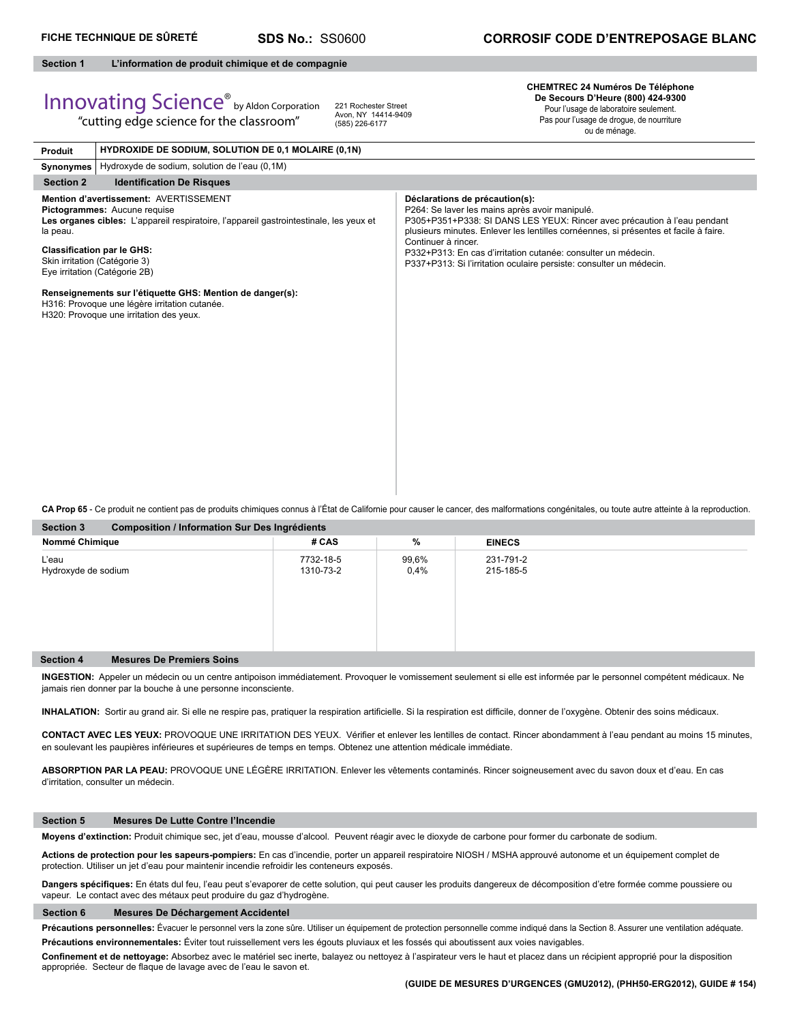**HYDROXIDE DE SODIUM, SOLUTION DE 0,1 MOLAIRE (0,1N)** 

# **Section 1 L'information de produit chimique et de compagnie**

# Innovating Science® by Aldon Corporation "cutting edge science for the classroom"

**Produit**

221 Rochester Street Avon, NY 14414-9409 (585) 226-6177

**CHEMTREC 24 Numéros De Téléphone De Secours D'Heure (800) 424-9300** Pour l'usage de laboratoire seulement.

Pas pour l'usage de drogue, de nourriture ou de ménage.

| <b>FIUUUIL</b>                                                                                                  | THERME BE SODIOM, OULD HON DE V,T MOLAINE (V, IN)                                                                                                                |                                                                                                                                                                                                                                                                                                                                                                                                                     |  |
|-----------------------------------------------------------------------------------------------------------------|------------------------------------------------------------------------------------------------------------------------------------------------------------------|---------------------------------------------------------------------------------------------------------------------------------------------------------------------------------------------------------------------------------------------------------------------------------------------------------------------------------------------------------------------------------------------------------------------|--|
|                                                                                                                 | Synonymes   Hydroxyde de sodium, solution de l'eau (0,1M)                                                                                                        |                                                                                                                                                                                                                                                                                                                                                                                                                     |  |
| <b>Section 2</b>                                                                                                | <b>Identification De Risques</b>                                                                                                                                 |                                                                                                                                                                                                                                                                                                                                                                                                                     |  |
| la peau.<br><b>Classification par le GHS:</b><br>Skin irritation (Catégorie 3)<br>Eye irritation (Catégorie 2B) | Mention d'avertissement: AVERTISSEMENT<br>Pictogrammes: Aucune requise<br>Les organes cibles: L'appareil respiratoire, l'appareil gastrointestinale, les yeux et | Déclarations de précaution(s):<br>P264: Se laver les mains après avoir manipulé.<br>P305+P351+P338: SI DANS LES YEUX: Rincer avec précaution à l'eau pendant<br>plusieurs minutes. Enlever les lentilles cornéennes, si présentes et facile à faire.<br>Continuer à rincer.<br>P332+P313: En cas d'irritation cutanée: consulter un médecin.<br>P337+P313: Si l'irritation oculaire persiste: consulter un médecin. |  |
|                                                                                                                 | Renseignements sur l'étiquette GHS: Mention de danger(s):<br>H316: Provoque une légère irritation cutanée.<br>H320: Provoque une irritation des yeux.            |                                                                                                                                                                                                                                                                                                                                                                                                                     |  |

**CA Prop 65** - Ce produit ne contient pas de produits chimiques connus à l'État de Californie pour causer le cancer, des malformations congénitales, ou toute autre atteinte à la reproduction.

| <b>Section 3</b>                                     | <b>Composition / Information Sur Des Ingrédients</b> |                  |                        |  |  |
|------------------------------------------------------|------------------------------------------------------|------------------|------------------------|--|--|
| Nommé Chimique                                       | # CAS                                                | %                | <b>EINECS</b>          |  |  |
| L'eau<br>Hydroxyde de sodium                         | 7732-18-5<br>1310-73-2                               | 99,6%<br>$0.4\%$ | 231-791-2<br>215-185-5 |  |  |
| <b>Mesures De Premiers Soins</b><br><b>Section 4</b> |                                                      |                  |                        |  |  |

**INGESTION:** Appeler un médecin ou un centre antipoison immédiatement. Provoquer le vomissement seulement si elle est informée par le personnel compétent médicaux. Ne jamais rien donner par la bouche à une personne inconsciente.

INHALATION: Sortir au grand air. Si elle ne respire pas, pratiquer la respiration artificielle. Si la respiration est difficile, donner de l'oxygène. Obtenir des soins médicaux.

CONTACT AVEC LES YEUX: PROVOQUE UNE IRRITATION DES YEUX. Vérifier et enlever les lentilles de contact. Rincer abondamment à l'eau pendant au moins 15 minutes, en soulevant les paupières inférieures et supérieures de temps en temps. Obtenez une attention médicale immédiate.

**ABSORPTION PAR LA PEAU:** PROVOQUE UNE LÉGÈRE IRRITATION. Enlever les vêtements contaminés. Rincer soigneusement avec du savon doux et d'eau. En cas d'irritation, consulter un médecin.

### **Section 5 Mesures De Lutte Contre l'Incendie**

**Moyens d'extinction:** Produit chimique sec, jet d'eau, mousse d'alcool. Peuvent réagir avec le dioxyde de carbone pour former du carbonate de sodium.

**Actions de protection pour les sapeurs-pompiers:** En cas d'incendie, porter un appareil respiratoire NIOSH / MSHA approuvé autonome et un équipement complet de protection. Utiliser un jet d'eau pour maintenir incendie refroidir les conteneurs exposés.

Dangers spécifiques: En états dul feu, l'eau peut s'evaporer de cette solution, qui peut causer les produits dangereux de décomposition d'etre formée comme poussiere ou vapeur. Le contact avec des métaux peut produire du gaz d'hydrogène.

# **Section 6 Mesures De Déchargement Accidentel**

Précautions personnelles: Évacuer le personnel vers la zone sûre. Utiliser un équipement de protection personnelle comme indiqué dans la Section 8. Assurer une ventilation adéquate. **Précautions environnementales:** Éviter tout ruissellement vers les égouts pluviaux et les fossés qui aboutissent aux voies navigables.

Confinement et de nettoyage: Absorbez avec le matériel sec inerte, balayez ou nettoyez à l'aspirateur vers le haut et placez dans un récipient approprié pour la disposition appropriée. Secteur de flaque de lavage avec de l'eau le savon et.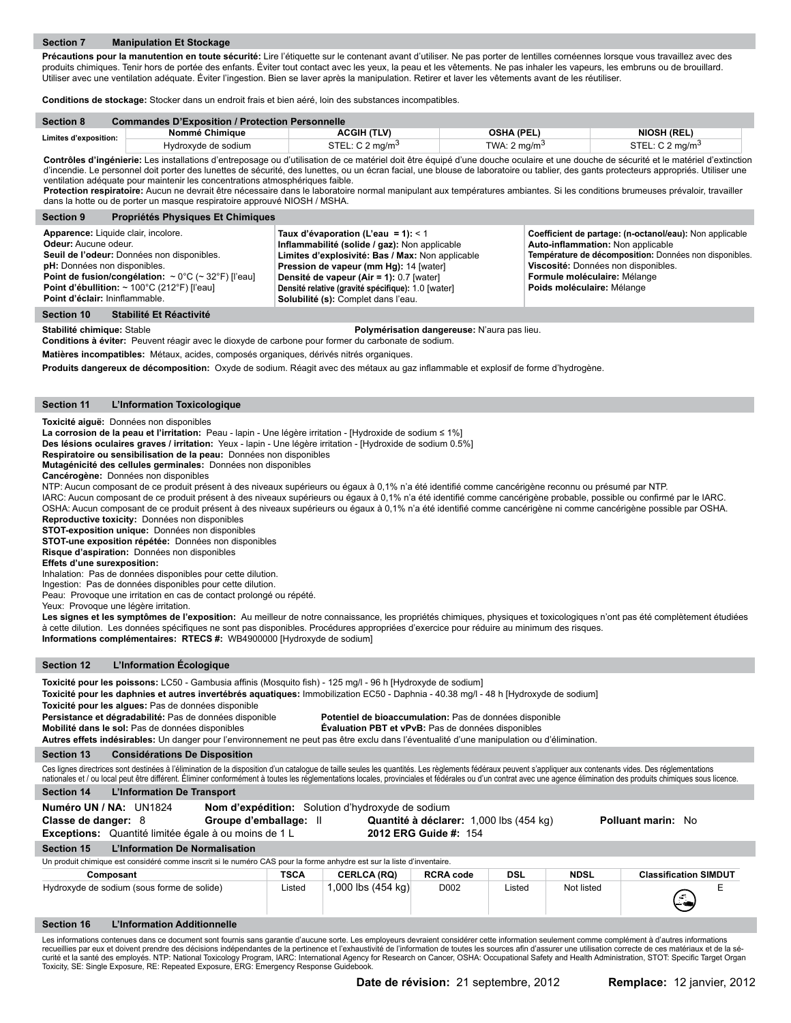Précautions pour la manutention en toute sécurité: Lire l'étiquette sur le contenant avant d'utiliser. Ne pas porter de lentilles cornéennes lorsque vous travaillez avec des produits chimiques. Tenir hors de portée des enfants. Éviter tout contact avec les yeux, la peau et les vêtements. Ne pas inhaler les vapeurs, les embruns ou de brouillard Utiliser avec une ventilation adéquate. Éviter l'ingestion. Bien se laver après la manipulation. Retirer et laver les vêtements avant de les réutiliser.

**Conditions de stockage:** Stocker dans un endroit frais et bien aéré, loin des substances incompatibles.

| <b>Section 8</b>      | <b>Commandes D'Exposition / Protection Personnelle</b> |                               |                         |                             |  |
|-----------------------|--------------------------------------------------------|-------------------------------|-------------------------|-----------------------------|--|
| Limites d'exposition: | Nommé Chimiaue                                         | ACGIH (TLV)                   | OSHA (PEL)              | <b>NIOSH (REL)</b>          |  |
|                       | Hvdroxvde de sodium_                                   | STEL: $C_2$ ma/m <sup>3</sup> | TWA: $2 \text{ ma/m}^3$ | STEL: C 2 mg/m <sup>3</sup> |  |

Contrôles d'ingénierie: Les installations d'entreposage ou d'utilisation de ce matériel doit être équipé d'une douche oculaire et une douche de sécurité et le matériel d'extinction d'incendie. Le personnel doit porter des lunettes de sécurité, des lunettes, ou un écran facial, une blouse de laboratoire ou tablier, des gants protecteurs appropriés. Utiliser une ventilation adéquate pour maintenir les concentrations atmosphériques faible.

Protection respiratoire: Aucun ne devrait être nécessaire dans le laboratoire normal manipulant aux températures ambiantes. Si les conditions brumeuses prévaloir, travailler dans la hotte ou de porter un masque respiratoire approuvé NIOSH / MSHA.

| <b>Section 9</b><br><b>Propriétés Physiques Et Chimiques</b>                                                                                                                                                                                                                                                                            |                                                                                                                                                                                                                                                                                                                             |                                                                                                                                                                                                                                                             |
|-----------------------------------------------------------------------------------------------------------------------------------------------------------------------------------------------------------------------------------------------------------------------------------------------------------------------------------------|-----------------------------------------------------------------------------------------------------------------------------------------------------------------------------------------------------------------------------------------------------------------------------------------------------------------------------|-------------------------------------------------------------------------------------------------------------------------------------------------------------------------------------------------------------------------------------------------------------|
| Apparence: Liquide clair, incolore.<br>Odeur: Aucune odeur.<br>Seuil de l'odeur: Données non disponibles.<br>pH: Données non disponibles.<br>Point de fusion/congélation: $\sim 0^{\circ}$ C ( $\sim 32^{\circ}$ F) [l'eau]<br>Point d'ébullition: $\sim$ 100 $^{\circ}$ C (212 $^{\circ}$ F) [l'eau]<br>Point d'éclair: Ininflammable. | Taux d'évaporation (L'eau = 1): < 1<br>Inflammabilité (solide / gaz): Non applicable<br>Limites d'explosivité: Bas / Max: Non applicable<br>Pression de vapeur (mm Hg): 14 [water]<br>Densité de vapeur (Air = 1): 0.7 [water]<br>Densité relative (gravité spécifique): 1.0 [water]<br>Solubilité (s): Complet dans l'eau. | Coefficient de partage: (n-octanol/eau): Non applicable<br>Auto-inflammation: Non applicable<br>Température de décomposition: Données non disponibles.<br>Viscosité: Données non disponibles.<br>Formule moléculaire: Mélange<br>Poids moléculaire: Mélange |

#### **Section 10 Stabilité Et Réactivité**

**Stabilité chimique:** Stable **Polymérisation dangereuse:** N'aura pas lieu.

**Conditions à éviter:** Peuvent réagir avec le dioxyde de carbone pour former du carbonate de sodium.

**Matières incompatibles:** Métaux, acides, composés organiques, dérivés nitrés organiques.

Produits dangereux de décomposition: Oxyde de sodium. Réagit avec des métaux au gaz inflammable et explosif de forme d'hydrogène.

## **Section 11 L'Information Toxicologique**

# **Toxicité aiguë:** Données non disponibles

**La corrosion de la peau et l'irritation:** Peau - lapin - Une légère irritation - [Hydroxide de sodium ≤ 1%]

**Des lésions oculaires graves / irritation:** Yeux - lapin - Une légère irritation - [Hydroxide de sodium 0.5%]

**Respiratoire ou sensibilisation de la peau:** Données non disponibles

**Mutagénicité des cellules germinales:** Données non disponibles

# **Cancérogène:** Données non disponibles

NTP: Aucun composant de ce produit présent à des niveaux supérieurs ou égaux à 0,1% n'a été identifié comme cancérigène reconnu ou présumé par NTP.

IARC: Aucun composant de ce produit présent à des niveaux supérieurs ou égaux à 0,1% n'a été identifié comme cancérigène probable, possible ou confirmé par le IARC. OSHA: Aucun composant de ce produit présent à des niveaux supérieurs ou égaux à 0,1% n'a été identifié comme cancérigène ni comme cancérigène possible par OSHA. **Reproductive toxicity:** Données non disponibles

**STOT-exposition unique:** Données non disponibles

**STOT-une exposition répétée:** Données non disponibles **Risque d'aspiration:** Données non disponibles

**Effets d'une surexposition:** 

Inhalation: Pas de données disponibles pour cette dilution.

Ingestion: Pas de données disponibles pour cette dilution.

Peau: Provoque une irritation en cas de contact prolongé ou répété.

Yeux: Provoque une légère irritation.

Les signes et les symptômes de l'exposition: Au meilleur de notre connaissance, les propriétés chimiques, physiques et toxicologiques n'ont pas été complètement étudiées à cette dilution. Les données spécifiques ne sont pas disponibles. Procédures appropriées d'exercice pour réduire au minimum des risques. **Informations complémentaires: RTECS #:** WB4900000 [Hydroxyde de sodium]

## **Section 12 L'Information Écologique**

| Toxicité pour les poissons: LC50 - Gambusia affinis (Mosquito fish) - 125 mg/l - 96 h [Hydroxyde de sodium]         |  |
|---------------------------------------------------------------------------------------------------------------------|--|
| Tavialtá naculas denhuise et autusa inventábude securitudes Immebilization ECEO. Donbois - 40.20 med - 40 h H holmo |  |

**Toxicité pour les daphnies et autres invertébrés aquatiques:** Immobilization EC50 - Daphnia - 40.38 mg/l - 48 h [Hydroxyde de sodium]

**Toxicité pour les algues:** Pas de données disponible

**Persistance et dégradabilité:** Pas de données disponible **Potentiel de bioaccumulation:** Pas de données disponible

**Mobilité dans le sol:** Pas de données disponibles **Évaluation PBT et vPvB:** Pas de données disponibles **Autres effets indésirables:** Un danger pour l'environnement ne peut pas être exclu dans l'éventualité d'une manipulation ou d'élimination.

### **Section 13 Considérations De Disposition**

Ces lignes directrices sont destinées à l'élimination de la disposition d'un catalogue de taille seules les quantités. Les règlements fédéraux peuvent s'appliquer aux contenants vides. Des réglementations nationales et / ou local peut être différent. Éliminer conformément à toutes les réglementations locales, provinciales et fédérales ou d'un contrat avec une agence élimination des produits chimiques sous licence

| <b>Section 14</b> |  |  |  | L'Information De Transport |
|-------------------|--|--|--|----------------------------|
|-------------------|--|--|--|----------------------------|

| Numéro UN / NA: UN1824<br>Nom d'expédition: Solution d'hydroxyde de sodium                                            |                        |                    |                                         |            |             |                              |
|-----------------------------------------------------------------------------------------------------------------------|------------------------|--------------------|-----------------------------------------|------------|-------------|------------------------------|
| Classe de danger: 8                                                                                                   | Groupe d'emballage: Il |                    | Quantité à déclarer: 1,000 lbs (454 kg) |            |             | Polluant marin: No           |
| <b>Exceptions:</b> Quantité limitée égale à ou moins de 1 L                                                           |                        |                    | 2012 ERG Guide #: 154                   |            |             |                              |
| L'Information De Normalisation<br><b>Section 15</b>                                                                   |                        |                    |                                         |            |             |                              |
| Un produit chimique est considéré comme inscrit si le numéro CAS pour la forme anhydre est sur la liste d'inventaire. |                        |                    |                                         |            |             |                              |
| Composant                                                                                                             | <b>TSCA</b>            | <b>CERLCA (RQ)</b> | <b>RCRA code</b>                        | <b>DSL</b> | <b>NDSL</b> | <b>Classification SIMDUT</b> |
| Hydroxyde de sodium (sous forme de solide)                                                                            | Listed                 | 1,000 lbs (454 kg) | D <sub>0</sub> 02                       | Listed     | Not listed  | $\left(\frac{1}{2}\right)$   |
| <b>Section 16</b><br>L'Information Additionnelle                                                                      |                        |                    |                                         |            |             |                              |

Les informations contenues dans ce document sont fournis sans garantie d'aucune sorte. Les employeurs devraient considérer cette information seulement comme complément à d'autres informations<br>recueillies par eux et doivent Toxicity, SE: Single Exposure, RE: Repeated Exposure, ERG: Emergency Response Guidebook.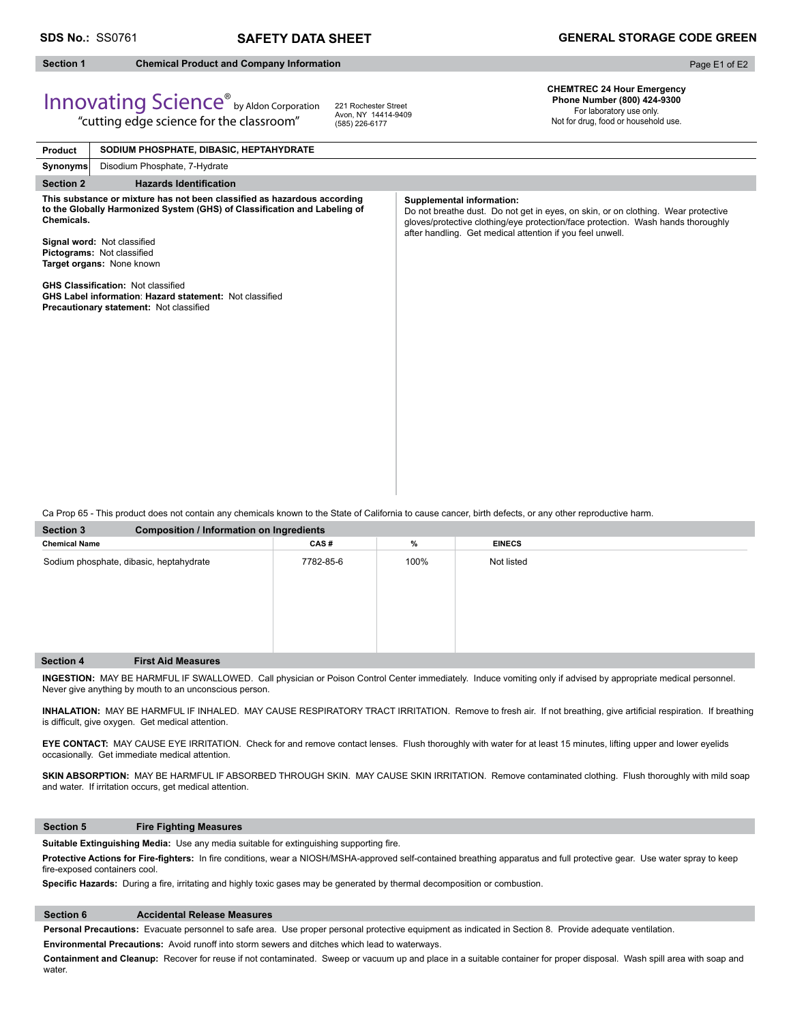# **Section 1 Chemical Product and Company Information**

Page E1 of E2

# Innovating Science® by Aldon Corporation "cutting edge science for the classroom"

221 Rochester Street Avon, NY 14414-9409 (585) 226-6177

**CHEMTREC 24 Hour Emergency Phone Number (800) 424-9300** 

> For laboratory use only. Not for drug, food or household use.

| Product          | SODIUM PHOSPHATE, DIBASIC, HEPTAHYDRATE                                                                                                                                                                                                         |                                                                                                                                                                                                                                                                        |
|------------------|-------------------------------------------------------------------------------------------------------------------------------------------------------------------------------------------------------------------------------------------------|------------------------------------------------------------------------------------------------------------------------------------------------------------------------------------------------------------------------------------------------------------------------|
| <b>Synonyms</b>  | Disodium Phosphate, 7-Hydrate                                                                                                                                                                                                                   |                                                                                                                                                                                                                                                                        |
| <b>Section 2</b> | <b>Hazards Identification</b>                                                                                                                                                                                                                   |                                                                                                                                                                                                                                                                        |
| Chemicals.       | This substance or mixture has not been classified as hazardous according<br>to the Globally Harmonized System (GHS) of Classification and Labeling of<br>Signal word: Not classified<br>Pictograms: Not classified<br>Target organs: None known | <b>Supplemental information:</b><br>Do not breathe dust. Do not get in eyes, on skin, or on clothing. Wear protective<br>gloves/protective clothing/eye protection/face protection. Wash hands thoroughly<br>after handling. Get medical attention if you feel unwell. |
|                  | <b>GHS Classification: Not classified</b><br><b>GHS Label information: Hazard statement: Not classified</b><br>Precautionary statement: Not classified                                                                                          |                                                                                                                                                                                                                                                                        |

Ca Prop 65 - This product does not contain any chemicals known to the State of California to cause cancer, birth defects, or any other reproductive harm.

| <b>Section 3</b>                        | <b>Composition / Information on Ingredients</b> |           |      |               |  |  |  |  |
|-----------------------------------------|-------------------------------------------------|-----------|------|---------------|--|--|--|--|
| <b>Chemical Name</b>                    |                                                 | CAS#      | %    | <b>EINECS</b> |  |  |  |  |
| Sodium phosphate, dibasic, heptahydrate |                                                 | 7782-85-6 | 100% | Not listed    |  |  |  |  |
| <b>Section 4</b>                        | <b>First Aid Measures</b>                       |           |      |               |  |  |  |  |

**INGESTION:** MAY BE HARMFUL IF SWALLOWED. Call physician or Poison Control Center immediately. Induce vomiting only if advised by appropriate medical personnel. Never give anything by mouth to an unconscious person.

INHALATION: MAY BE HARMFUL IF INHALED. MAY CAUSE RESPIRATORY TRACT IRRITATION. Remove to fresh air. If not breathing, give artificial respiration. If breathing is difficult, give oxygen. Get medical attention.

**EYE CONTACT:** MAY CAUSE EYE IRRITATION. Check for and remove contact lenses. Flush thoroughly with water for at least 15 minutes, lifting upper and lower eyelids occasionally. Get immediate medical attention.

SKIN ABSORPTION: MAY BE HARMFUL IF ABSORBED THROUGH SKIN. MAY CAUSE SKIN IRRITATION. Remove contaminated clothing. Flush thoroughly with mild soap and water. If irritation occurs, get medical attention.

## **Section 5 Fire Fighting Measures**

Suitable Extinguishing Media: Use any media suitable for extinguishing supporting fire.

Protective Actions for Fire-fighters: In fire conditions, wear a NIOSH/MSHA-approved self-contained breathing apparatus and full protective gear. Use water spray to keep fire-exposed containers cool.

Specific Hazards: During a fire, irritating and highly toxic gases may be generated by thermal decomposition or combustion.

# **Section 6 Accidental Release Measures**

**Personal Precautions:** Evacuate personnel to safe area. Use proper personal protective equipment as indicated in Section 8. Provide adequate ventilation.

**Environmental Precautions:** Avoid runoff into storm sewers and ditches which lead to waterways.

**Containment and Cleanup:** Recover for reuse if not contaminated. Sweep or vacuum up and place in a suitable container for proper disposal. Wash spill area with soap and water.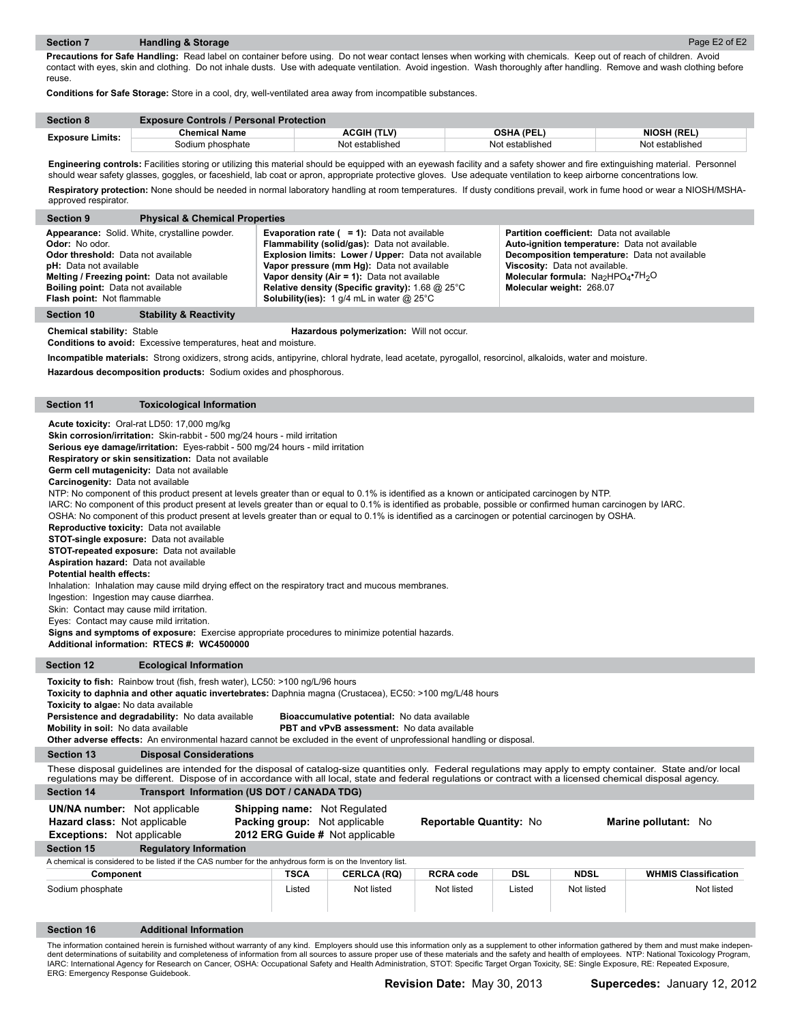**Precautions for Safe Handling:** Read label on container before using. Do not wear contact lenses when working with chemicals. Keep out of reach of children. Avoid contact with eyes, skin and clothing. Do not inhale dusts. Use with adequate ventilation. Avoid ingestion. Wash thoroughly after handling. Remove and wash clothing before reuse.

**Conditions for Safe Storage:** Store in a cool, dry, well-ventilated area away from incompatible substances.

| <b>Section 8</b>        | <b>Exposure Controls / Personal Protection</b> |                 |                 |                    |  |  |
|-------------------------|------------------------------------------------|-----------------|-----------------|--------------------|--|--|
| <b>Exposure Limits:</b> | <b>Chemical Name</b>                           | ACGIH (TLV)     | OSHA (PEL)      | <b>NIOSH (REL)</b> |  |  |
|                         | Sodium phosphate                               | Not established | Not established | Not established    |  |  |

**Engineering controls:** Facilities storing or utilizing this material should be equipped with an eyewash facility and a safety shower and fire extinguishing material. Personnel should wear safety glasses, goggles, or faceshield, lab coat or apron, appropriate protective gloves. Use adequate ventilation to keep airborne concentrations low. **Respiratory protection:** None should be needed in normal laboratory handling at room temperatures. If dusty conditions prevail, work in fume hood or wear a NIOSH/MSHAapproved respirator.

| <b>Physical &amp; Chemical Properties</b><br><b>Section 9</b>                                                                                                                                                                                                                  |                                                                                                                                                                                                                                                                                                                                                                                      |                                                                                                                                                                                                                                                       |
|--------------------------------------------------------------------------------------------------------------------------------------------------------------------------------------------------------------------------------------------------------------------------------|--------------------------------------------------------------------------------------------------------------------------------------------------------------------------------------------------------------------------------------------------------------------------------------------------------------------------------------------------------------------------------------|-------------------------------------------------------------------------------------------------------------------------------------------------------------------------------------------------------------------------------------------------------|
| Appearance: Solid. White, crystalline powder.<br><b>Odor:</b> No odor.<br><b>Odor threshold:</b> Data not available<br><b>pH:</b> Data not available<br>Melting / Freezing point: Data not available<br><b>Boiling point:</b> Data not available<br>Flash point: Not flammable | <b>Evaporation rate (<math>= 1</math>):</b> Data not available<br>Flammability (solid/gas): Data not available.<br>Explosion limits: Lower / Upper: Data not available<br>Vapor pressure (mm Hg): Data not available<br>Vapor density (Air = 1): Data not available<br><b>Relative density (Specific gravity): 1.68 @ 25°C</b><br><b>Solubility(ies):</b> 1 g/4 mL in water $@$ 25°C | <b>Partition coefficient:</b> Data not available<br>Auto-ignition temperature: Data not available<br>Decomposition temperature: Data not available<br>Viscosity: Data not available.<br>Molecular formula: $Na2HPO4·7H2O$<br>Molecular weight: 268.07 |
| <b>Stability &amp; Reactivity</b><br>Section 10                                                                                                                                                                                                                                |                                                                                                                                                                                                                                                                                                                                                                                      |                                                                                                                                                                                                                                                       |

**Chemical stability:** Stable **Hazardous polymerization:** Will not occur.

**Conditions to avoid:** Excessive temperatures, heat and moisture.

**Incompatible materials:** Strong oxidizers, strong acids, antipyrine, chloral hydrate, lead acetate, pyrogallol, resorcinol, alkaloids, water and moisture.

**Hazardous decomposition products:** Sodium oxides and phosphorous.

# **Section 11 Toxicological Information**

**Acute toxicity:** Oral-rat LD50: 17,000 mg/kg

**Skin corrosion/irritation:** Skin-rabbit - 500 mg/24 hours - mild irritation

**Serious eye damage/irritation:** Eyes-rabbit - 500 mg/24 hours - mild irritation

**Respiratory or skin sensitization:** Data not available

**Germ cell mutagenicity:** Data not available

**Carcinogenity:** Data not available

NTP: No component of this product present at levels greater than or equal to 0.1% is identified as a known or anticipated carcinogen by NTP.

IARC: No component of this product present at levels greater than or equal to 0.1% is identified as probable, possible or confirmed human carcinogen by IARC.

OSHA: No component of this product present at levels greater than or equal to 0.1% is identified as a carcinogen or potential carcinogen by OSHA.

**Reproductive toxicity:** Data not available

**STOT-single exposure:** Data not available

**STOT-repeated exposure:** Data not available

**Aspiration hazard:** Data not available

**Potential health effects:** 

Inhalation: Inhalation may cause mild drying effect on the respiratory tract and mucous membranes.

Ingestion: Ingestion may cause diarrhea.

Skin: Contact may cause mild irritation.

Eyes: Contact may cause mild irritation.

**Signs and symptoms of exposure:** Exercise appropriate procedures to minimize potential hazards.

**Additional information: RTECS #: WC4500000**

# **Section 12 Ecological Information**

Toxicity to fish: Rainbow trout (fish, fresh water), LC50: >100 ng/L/96 hours

**Toxicity to daphnia and other aquatic invertebrates:** Daphnia magna (Crustacea), EC50: >100 mg/L/48 hours

| Toxicity to algae: No data available             |  |
|--------------------------------------------------|--|
| Persistence and degradability: No data available |  |
| Mobility in soil: No data available              |  |

**Mobility in soil:** No data available **PBT and vPvB assessment:** No data available

**Other adverse effects:** An environmental hazard cannot be excluded in the event of unprofessional handling or disposal.

**Section 13 Disposal Considerations**

These disposal guidelines are intended for the disposal of catalog-size quantities only. Federal regulations may apply to empty container. State and/or local regulations may be different. Dispose of in accordance with all local, state and federal regulations or contract with a licensed chemical disposal agency.

**Bioaccumulative potential:** No data available

| <b>Section 14</b>                                                                                               | Transport Information (US DOT / CANADA TDG)                                                                    |                    |                                |            |             |                             |
|-----------------------------------------------------------------------------------------------------------------|----------------------------------------------------------------------------------------------------------------|--------------------|--------------------------------|------------|-------------|-----------------------------|
| <b>UN/NA number:</b> Not applicable<br><b>Hazard class: Not applicable</b><br><b>Exceptions:</b> Not applicable | <b>Shipping name:</b> Not Regulated<br><b>Packing group:</b> Not applicable<br>2012 ERG Guide # Not applicable |                    | <b>Reportable Quantity: No</b> |            |             | Marine pollutant: No        |
| <b>Regulatory Information</b><br><b>Section 15</b>                                                              |                                                                                                                |                    |                                |            |             |                             |
| A chemical is considered to be listed if the CAS number for the anhydrous form is on the Inventory list.        |                                                                                                                |                    |                                |            |             |                             |
| Component                                                                                                       | <b>TSCA</b>                                                                                                    | <b>CERLCA (RQ)</b> | <b>RCRA code</b>               | <b>DSL</b> | <b>NDSL</b> | <b>WHMIS Classification</b> |
| Sodium phosphate                                                                                                | Listed                                                                                                         | Not listed         | Not listed                     | Listed     | Not listed  | Not listed                  |
| <b>Additional Information</b><br><b>Section 16</b>                                                              |                                                                                                                |                    |                                |            |             |                             |
|                                                                                                                 |                                                                                                                |                    |                                |            |             |                             |

The information contained herein is furnished without warranty of any kind. Employers should use this information only as a supplement to other information gathered by them and must make independent determinations of suitability and completeness of information from all sources to assure proper use of these materials and the safety and health of employees. NTP: National Toxicology Program, IARC: International Agency for Research on Cancer, OSHA: Occupational Safety and Health Administration, STOT: Specific Target Organ Toxicity, SE: Single Exposure, RE: Repeated Exposure, ERG: Emergency Response Guidebook.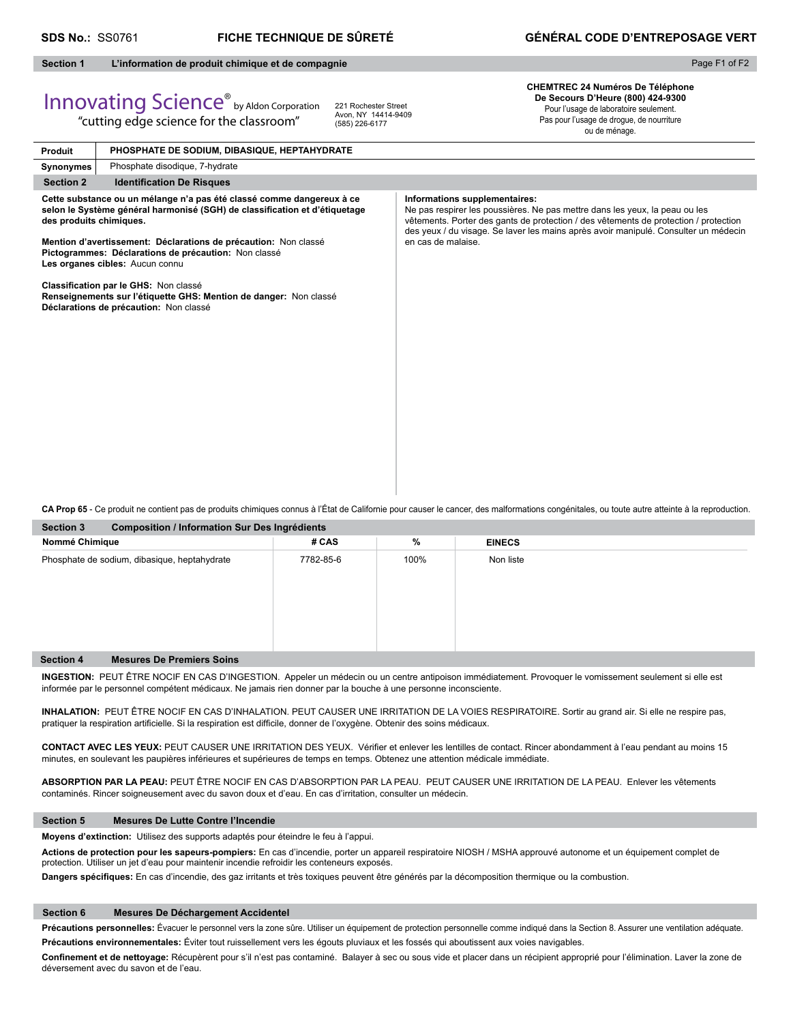# **Section 1 L'information de produit chimique et de compagnie**

"cutting edge science for the classroom"

Page F1 of F2

# Innovating Science® by Aldon Corporation

221 Rochester Street Avon, NY 14414-9409 (585) 226-6177

**CHEMTREC 24 Numéros De Téléphone De Secours D'Heure (800) 424-9300** Pour l'usage de laboratoire seulement. Pas pour l'usage de drogue, de nourriture

ou de ménage.

| Produit                                                                                                                                                    | PHOSPHATE DE SODIUM, DIBASIQUE, HEPTAHYDRATE                                                                                                         |                                                                                                                                                                                                                                                                                             |
|------------------------------------------------------------------------------------------------------------------------------------------------------------|------------------------------------------------------------------------------------------------------------------------------------------------------|---------------------------------------------------------------------------------------------------------------------------------------------------------------------------------------------------------------------------------------------------------------------------------------------|
| Synonymes                                                                                                                                                  | Phosphate disodique, 7-hydrate                                                                                                                       |                                                                                                                                                                                                                                                                                             |
| <b>Section 2</b>                                                                                                                                           | <b>Identification De Risques</b>                                                                                                                     |                                                                                                                                                                                                                                                                                             |
| des produits chimiques.                                                                                                                                    | Cette substance ou un mélange n'a pas été classé comme dangereux à ce<br>selon le Système général harmonisé (SGH) de classification et d'étiquetage  | Informations supplementaires:<br>Ne pas respirer les poussières. Ne pas mettre dans les yeux, la peau ou les<br>vêtements. Porter des gants de protection / des vêtements de protection / protection<br>des yeux / du visage. Se laver les mains après avoir manipulé. Consulter un médecin |
| Mention d'avertissement: Déclarations de précaution: Non classé<br>Pictogrammes: Déclarations de précaution: Non classé<br>Les organes cibles: Aucun connu |                                                                                                                                                      | en cas de malaise.                                                                                                                                                                                                                                                                          |
|                                                                                                                                                            | Classification par le GHS: Non classé<br>Renseignements sur l'étiquette GHS: Mention de danger: Non classé<br>Déclarations de précaution: Non classé |                                                                                                                                                                                                                                                                                             |
|                                                                                                                                                            |                                                                                                                                                      |                                                                                                                                                                                                                                                                                             |
|                                                                                                                                                            |                                                                                                                                                      |                                                                                                                                                                                                                                                                                             |
|                                                                                                                                                            |                                                                                                                                                      |                                                                                                                                                                                                                                                                                             |
|                                                                                                                                                            |                                                                                                                                                      |                                                                                                                                                                                                                                                                                             |

**CA Prop 65** - Ce produit ne contient pas de produits chimiques connus à l'État de Californie pour causer le cancer, des malformations congénitales, ou toute autre atteinte à la reproduction.

| <b>Section 3</b>                             | <b>Composition / Information Sur Des Ingrédients</b> |           |      |               |  |
|----------------------------------------------|------------------------------------------------------|-----------|------|---------------|--|
| Nommé Chimique                               |                                                      | # CAS     | $\%$ | <b>EINECS</b> |  |
| Phosphate de sodium, dibasique, heptahydrate |                                                      | 7782-85-6 | 100% | Non liste     |  |
| <b>Section 4</b>                             | <b>Mesures De Premiers Soins</b>                     |           |      |               |  |

**INGESTION:** PEUT ÊTRE NOCIF EN CAS D'INGESTION. Appeler un médecin ou un centre antipoison immédiatement. Provoquer le vomissement seulement si elle est informée par le personnel compétent médicaux. Ne jamais rien donner par la bouche à une personne inconsciente.

**INHALATION:** PEUT ÊTRE NOCIF EN CAS D'INHALATION. PEUT CAUSER UNE IRRITATION DE LA VOIES RESPIRATOIRE. Sortir au grand air. Si elle ne respire pas, pratiquer la respiration artificielle. Si la respiration est difficile, donner de l'oxygène. Obtenir des soins médicaux.

CONTACT AVEC LES YEUX: PEUT CAUSER UNE IRRITATION DES YEUX. Vérifier et enlever les lentilles de contact. Rincer abondamment à l'eau pendant au moins 15 minutes, en soulevant les paupières inférieures et supérieures de temps en temps. Obtenez une attention médicale immédiate.

**ABSORPTION PAR LA PEAU:** PEUT ÊTRE NOCIF EN CAS D'ABSORPTION PAR LA PEAU. PEUT CAUSER UNE IRRITATION DE LA PEAU. Enlever les vêtements contaminés. Rincer soigneusement avec du savon doux et d'eau. En cas d'irritation, consulter un médecin.

# **Section 5 Mesures De Lutte Contre l'Incendie**

**Moyens d'extinction:** Utilisez des supports adaptés pour éteindre le feu à l'appui.

**Actions de protection pour les sapeurs-pompiers:** En cas d'incendie, porter un appareil respiratoire NIOSH / MSHA approuvé autonome et un équipement complet de protection. Utiliser un jet d'eau pour maintenir incendie refroidir les conteneurs exposés.

Dangers spécifiques: En cas d'incendie, des gaz irritants et très toxiques peuvent être générés par la décomposition thermique ou la combustion.

## **Section 6 Mesures De Déchargement Accidentel**

Précautions personnelles: Évacuer le personnel vers la zone sûre. Utiliser un équipement de protection personnelle comme indiqué dans la Section 8. Assurer une ventilation adéquate. **Précautions environnementales:** Éviter tout ruissellement vers les égouts pluviaux et les fossés qui aboutissent aux voies navigables.

Confinement et de nettoyage: Récupèrent pour s'il n'est pas contaminé. Balayer à sec ou sous vide et placer dans un récipient approprié pour l'élimination. Laver la zone de déversement avec du savon et de l'eau.